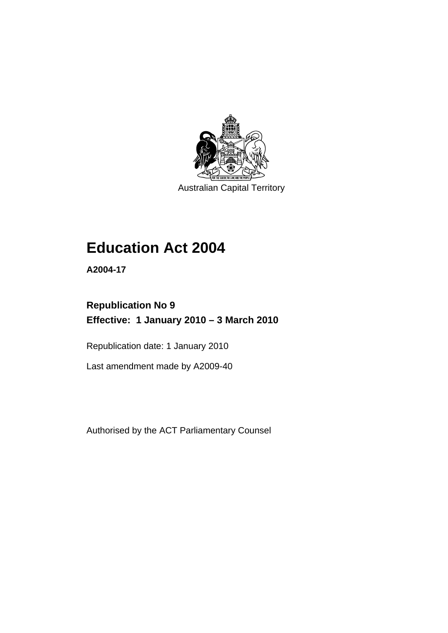

Australian Capital Territory

# **[Education Act 2004](#page-12-0)**

**A2004-17** 

# **Republication No 9 Effective: 1 January 2010 – 3 March 2010**

Republication date: 1 January 2010

Last amendment made by A2009-40

Authorised by the ACT Parliamentary Counsel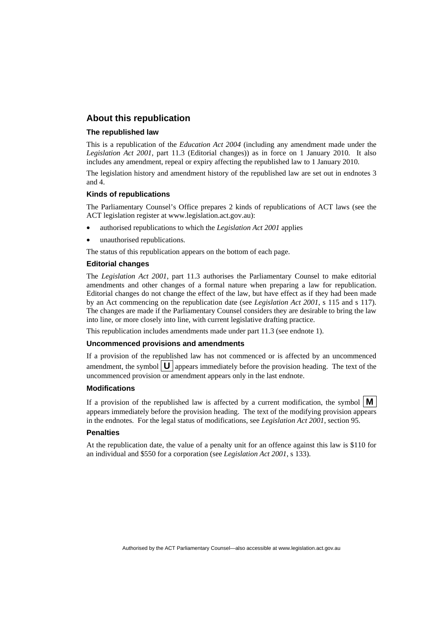## **About this republication**

#### **The republished law**

This is a republication of the *Education Act 2004* (including any amendment made under the *Legislation Act 2001*, part 11.3 (Editorial changes)) as in force on 1 January 2010*.* It also includes any amendment, repeal or expiry affecting the republished law to 1 January 2010.

The legislation history and amendment history of the republished law are set out in endnotes 3 and 4.

#### **Kinds of republications**

The Parliamentary Counsel's Office prepares 2 kinds of republications of ACT laws (see the ACT legislation register at www.legislation.act.gov.au):

- authorised republications to which the *Legislation Act 2001* applies
- unauthorised republications.

The status of this republication appears on the bottom of each page.

#### **Editorial changes**

The *Legislation Act 2001*, part 11.3 authorises the Parliamentary Counsel to make editorial amendments and other changes of a formal nature when preparing a law for republication. Editorial changes do not change the effect of the law, but have effect as if they had been made by an Act commencing on the republication date (see *Legislation Act 2001*, s 115 and s 117). The changes are made if the Parliamentary Counsel considers they are desirable to bring the law into line, or more closely into line, with current legislative drafting practice.

This republication includes amendments made under part 11.3 (see endnote 1).

#### **Uncommenced provisions and amendments**

If a provision of the republished law has not commenced or is affected by an uncommenced amendment, the symbol  $\mathbf{U}$  appears immediately before the provision heading. The text of the uncommenced provision or amendment appears only in the last endnote.

#### **Modifications**

If a provision of the republished law is affected by a current modification, the symbol  $\mathbf{M}$ appears immediately before the provision heading. The text of the modifying provision appears in the endnotes. For the legal status of modifications, see *Legislation Act 2001*, section 95.

#### **Penalties**

At the republication date, the value of a penalty unit for an offence against this law is \$110 for an individual and \$550 for a corporation (see *Legislation Act 2001*, s 133).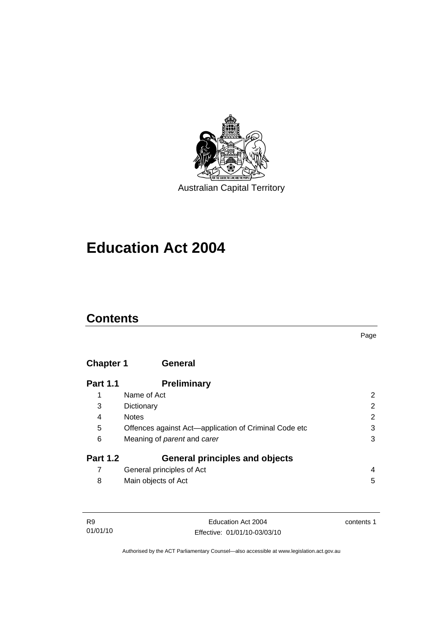

Australian Capital Territory

# **[Education Act 2004](#page-12-0)**

## **Contents**

Page

## **Chapter 1 General**

| <b>Part 1.1</b> | <b>Preliminary</b>                                    |   |
|-----------------|-------------------------------------------------------|---|
| 1               | Name of Act                                           | 2 |
| 3               | Dictionary                                            | 2 |
| 4               | <b>Notes</b>                                          | 2 |
| 5               | Offences against Act-application of Criminal Code etc | 3 |
| 6               | Meaning of parent and carer                           | 3 |
| <b>Part 1.2</b> | <b>General principles and objects</b>                 |   |
|                 | General principles of Act                             | 4 |
| 8               | Main objects of Act                                   | 5 |

| R9       | Education Act 2004           | contents 1 |
|----------|------------------------------|------------|
| 01/01/10 | Effective: 01/01/10-03/03/10 |            |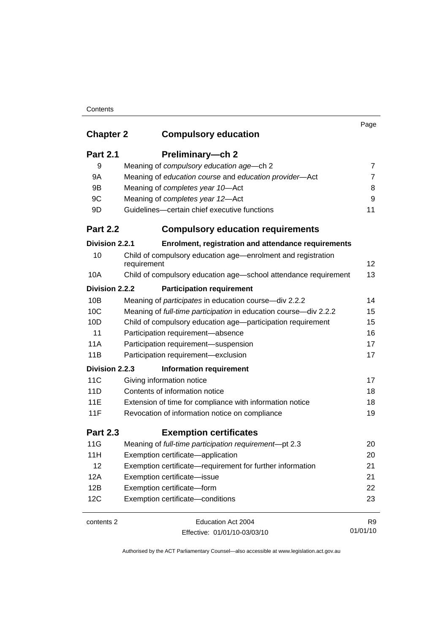## **Contents**

|                  |                                                                             | Page           |
|------------------|-----------------------------------------------------------------------------|----------------|
| <b>Chapter 2</b> | <b>Compulsory education</b>                                                 |                |
| <b>Part 2.1</b>  | Preliminary-ch 2                                                            |                |
| 9                | Meaning of compulsory education age-ch 2                                    | 7              |
| 9A               | Meaning of education course and education provider-Act                      | $\overline{7}$ |
| 9B               | Meaning of completes year 10-Act                                            | 8              |
| 9C               | Meaning of completes year 12-Act                                            | 9              |
| 9D               | Guidelines-certain chief executive functions                                | 11             |
| <b>Part 2.2</b>  | <b>Compulsory education requirements</b>                                    |                |
| Division 2.2.1   | Enrolment, registration and attendance requirements                         |                |
| 10               | Child of compulsory education age—enrolment and registration<br>requirement | 12             |
| 10A              | Child of compulsory education age-school attendance requirement             | 13             |
| Division 2.2.2   | <b>Participation requirement</b>                                            |                |
| 10B              | Meaning of participates in education course-div 2.2.2                       | 14             |
| 10C              | Meaning of full-time participation in education course-div 2.2.2            | 15             |
| 10D              | Child of compulsory education age-participation requirement                 | 15             |
| 11               | Participation requirement-absence                                           | 16             |
| 11A              | Participation requirement-suspension                                        | 17             |
| 11B              | Participation requirement-exclusion                                         | 17             |
| Division 2.2.3   | <b>Information requirement</b>                                              |                |
| 11C              | Giving information notice                                                   | 17             |
| 11D              | Contents of information notice                                              | 18             |
| 11E              | Extension of time for compliance with information notice                    | 18             |
| 11F              | Revocation of information notice on compliance                              | 19             |
| <b>Part 2.3</b>  | <b>Exemption certificates</b>                                               |                |
| 11G              | Meaning of full-time participation requirement-pt 2.3                       | 20             |
| 11H              | Exemption certificate-application                                           | 20             |
| 12               | Exemption certificate—requirement for further information                   | 21             |
| 12A              | Exemption certificate-issue                                                 | 21             |
| 12B              | Exemption certificate-form                                                  | 22             |
| 12C              | Exemption certificate-conditions                                            | 23             |
| contents 2       | Education Act 2004                                                          | R <sub>9</sub> |
|                  | Effective: 01/01/10-03/03/10                                                | 01/01/10       |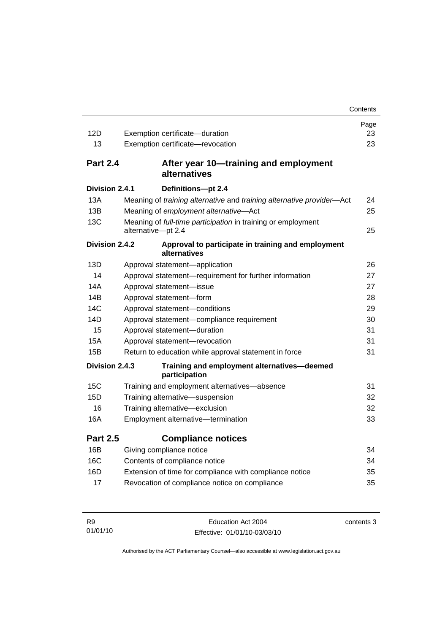|                 |                                                                                    | Contents |
|-----------------|------------------------------------------------------------------------------------|----------|
|                 |                                                                                    | Page     |
| 12D             | Exemption certificate-duration                                                     | 23       |
| 13              | Exemption certificate-revocation                                                   | 23       |
| <b>Part 2.4</b> | After year 10—training and employment<br>alternatives                              |          |
| Division 2.4.1  | Definitions-pt 2.4                                                                 |          |
| 13A             | Meaning of training alternative and training alternative provider-Act              | 24       |
| 13B             | Meaning of employment alternative-Act                                              | 25       |
| 13C             | Meaning of full-time participation in training or employment<br>alternative-pt 2.4 | 25       |
| Division 2.4.2  | Approval to participate in training and employment<br>alternatives                 |          |
| 13D             | Approval statement-application                                                     | 26       |
| 14              | Approval statement-requirement for further information                             | 27       |
| 14A             | Approval statement-issue                                                           | 27       |
| 14B             | Approval statement-form                                                            | 28       |
| 14C             | Approval statement-conditions                                                      | 29       |
| 14D             | Approval statement-compliance requirement                                          | 30       |
| 15              | Approval statement-duration                                                        | 31       |
| 15A             | Approval statement-revocation                                                      | 31       |
| 15B             | Return to education while approval statement in force                              | 31       |
| Division 2.4.3  | Training and employment alternatives-deemed<br>participation                       |          |
| 15C             | Training and employment alternatives-absence                                       | 31       |
| 15D             | Training alternative-suspension                                                    | 32       |
| 16              | Training alternative-exclusion                                                     | 32       |
| 16A             | Employment alternative-termination                                                 | 33       |
| <b>Part 2.5</b> | <b>Compliance notices</b>                                                          |          |
| 16B             | Giving compliance notice                                                           | 34       |
| 16C             | Contents of compliance notice                                                      | 34       |
| 16D             | Extension of time for compliance with compliance notice                            | 35       |
| 17              | Revocation of compliance notice on compliance                                      | 35       |

| <b>R9</b> | Education Act 2004           | contents 3 |
|-----------|------------------------------|------------|
| 01/01/10  | Effective: 01/01/10-03/03/10 |            |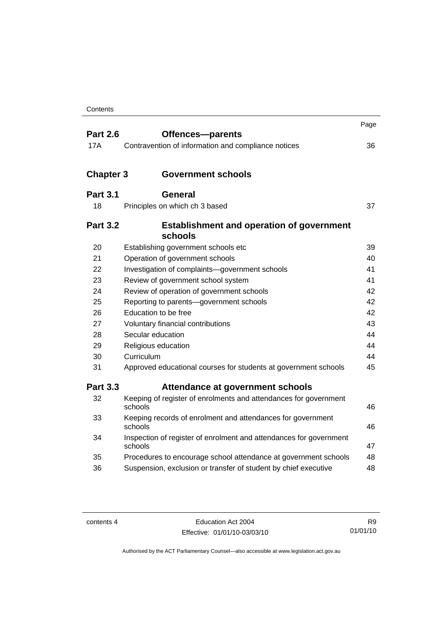|                  |                                                                               | Page |
|------------------|-------------------------------------------------------------------------------|------|
| <b>Part 2.6</b>  | Offences-parents                                                              |      |
| 17A              | Contravention of information and compliance notices                           | 36   |
| <b>Chapter 3</b> | <b>Government schools</b>                                                     |      |
|                  |                                                                               |      |
| <b>Part 3.1</b>  | <b>General</b>                                                                |      |
| 18               | Principles on which ch 3 based                                                | 37   |
| <b>Part 3.2</b>  | <b>Establishment and operation of government</b><br>schools                   |      |
| 20               | Establishing government schools etc                                           | 39   |
| 21               | Operation of government schools                                               | 40   |
| 22               | Investigation of complaints-government schools                                | 41   |
| 23               | Review of government school system                                            | 41   |
| 24               | Review of operation of government schools                                     | 42   |
| 25               | Reporting to parents-government schools                                       | 42   |
| 26               | Education to be free                                                          | 42   |
| 27               | Voluntary financial contributions                                             | 43   |
| 28               | Secular education                                                             | 44   |
| 29               | Religious education                                                           | 44   |
| 30               | Curriculum                                                                    | 44   |
| 31               | Approved educational courses for students at government schools               | 45   |
| <b>Part 3.3</b>  | Attendance at government schools                                              |      |
| 32               | Keeping of register of enrolments and attendances for government<br>schools   | 46   |
| 33               | Keeping records of enrolment and attendances for government<br>schools        | 46   |
| 34               | Inspection of register of enrolment and attendances for government<br>schools | 47   |
| 35               | Procedures to encourage school attendance at government schools               | 48   |
| 36               | Suspension, exclusion or transfer of student by chief executive               | 48   |

| contents 4 |  |
|------------|--|
|------------|--|

Education Act 2004 Effective: 01/01/10-03/03/10

R9 01/01/10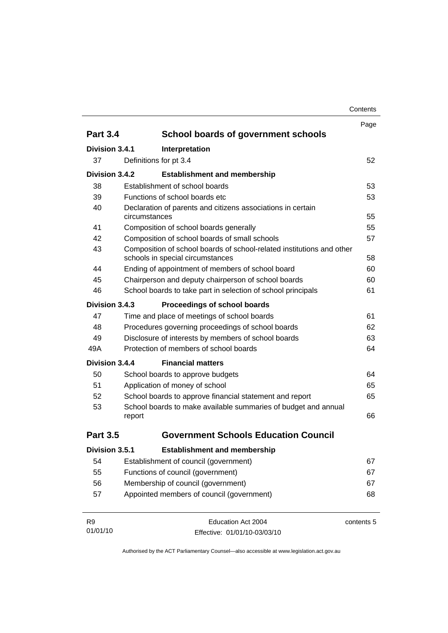| Contents |
|----------|
|----------|

|                 |               |                                                                                                           | Page       |
|-----------------|---------------|-----------------------------------------------------------------------------------------------------------|------------|
| <b>Part 3.4</b> |               | <b>School boards of government schools</b>                                                                |            |
| Division 3.4.1  |               | Interpretation                                                                                            |            |
| 37              |               | Definitions for pt 3.4                                                                                    | 52         |
| Division 3.4.2  |               | <b>Establishment and membership</b>                                                                       |            |
| 38              |               | Establishment of school boards                                                                            | 53         |
| 39              |               | Functions of school boards etc                                                                            | 53         |
| 40              | circumstances | Declaration of parents and citizens associations in certain                                               | 55         |
| 41              |               | Composition of school boards generally                                                                    | 55         |
| 42              |               | Composition of school boards of small schools                                                             | 57         |
| 43              |               | Composition of school boards of school-related institutions and other<br>schools in special circumstances | 58         |
| 44              |               | Ending of appointment of members of school board                                                          | 60         |
| 45              |               | Chairperson and deputy chairperson of school boards                                                       | 60         |
| 46              |               | School boards to take part in selection of school principals                                              | 61         |
| Division 3.4.3  |               | Proceedings of school boards                                                                              |            |
| 47              |               | Time and place of meetings of school boards                                                               | 61         |
| 48              |               | Procedures governing proceedings of school boards                                                         | 62         |
| 49              |               | Disclosure of interests by members of school boards                                                       | 63         |
| 49A             |               | Protection of members of school boards                                                                    | 64         |
| Division 3.4.4  |               | <b>Financial matters</b>                                                                                  |            |
| 50              |               | School boards to approve budgets                                                                          | 64         |
| 51              |               | Application of money of school                                                                            | 65         |
| 52              |               | School boards to approve financial statement and report                                                   | 65         |
| 53              | report        | School boards to make available summaries of budget and annual                                            | 66         |
| <b>Part 3.5</b> |               | <b>Government Schools Education Council</b>                                                               |            |
|                 |               |                                                                                                           |            |
| Division 3.5.1  |               | <b>Establishment and membership</b>                                                                       |            |
| 54              |               | Establishment of council (government)                                                                     | 67         |
| 55              |               | Functions of council (government)                                                                         | 67         |
| 56              |               | Membership of council (government)                                                                        | 67         |
| 57              |               | Appointed members of council (government)                                                                 | 68         |
| R <sub>9</sub>  |               | Education Act 2004                                                                                        | contents 5 |
| 01/01/10        |               | Effective: 01/01/10-03/03/10                                                                              |            |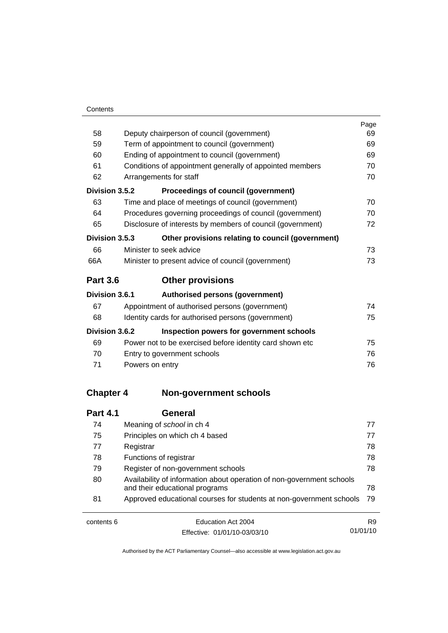|                  |                                                                                                         | Page |  |
|------------------|---------------------------------------------------------------------------------------------------------|------|--|
| 58               | Deputy chairperson of council (government)                                                              |      |  |
| 59               | Term of appointment to council (government)                                                             |      |  |
| 60               | Ending of appointment to council (government)                                                           |      |  |
| 61               | Conditions of appointment generally of appointed members                                                |      |  |
| 62               | Arrangements for staff                                                                                  | 70   |  |
| Division 3.5.2   | Proceedings of council (government)                                                                     |      |  |
| 63               | Time and place of meetings of council (government)                                                      | 70   |  |
| 64               | Procedures governing proceedings of council (government)                                                | 70   |  |
| 65               | Disclosure of interests by members of council (government)                                              | 72   |  |
| Division 3.5.3   | Other provisions relating to council (government)                                                       |      |  |
| 66               | Minister to seek advice                                                                                 | 73   |  |
| 66A              | Minister to present advice of council (government)                                                      | 73   |  |
| <b>Part 3.6</b>  | <b>Other provisions</b>                                                                                 |      |  |
| Division 3.6.1   | <b>Authorised persons (government)</b>                                                                  |      |  |
| 67               | Appointment of authorised persons (government)                                                          | 74   |  |
| 68               | Identity cards for authorised persons (government)                                                      | 75   |  |
| Division 3.6.2   | Inspection powers for government schools                                                                |      |  |
| 69               | Power not to be exercised before identity card shown etc                                                | 75   |  |
| 70               | Entry to government schools                                                                             | 76   |  |
| 71               | Powers on entry                                                                                         | 76   |  |
| <b>Chapter 4</b> | <b>Non-government schools</b>                                                                           |      |  |
|                  |                                                                                                         |      |  |
| <b>Part 4.1</b>  | <b>General</b>                                                                                          |      |  |
| 74               | Meaning of school in ch 4                                                                               | 77   |  |
| 75               | Principles on which ch 4 based                                                                          | 77   |  |
| 77               | Registrar                                                                                               | 78   |  |
| 78               | Functions of registrar                                                                                  | 78   |  |
| 79               | Register of non-government schools                                                                      | 78   |  |
| 80               | Availability of information about operation of non-government schools<br>and their educational programs | 78   |  |

contents 6 Education Act 2004 Effective: 01/01/10-03/03/10

81 Approved educational courses for students at non-government schools [79](#page-90-0)

R9 01/01/10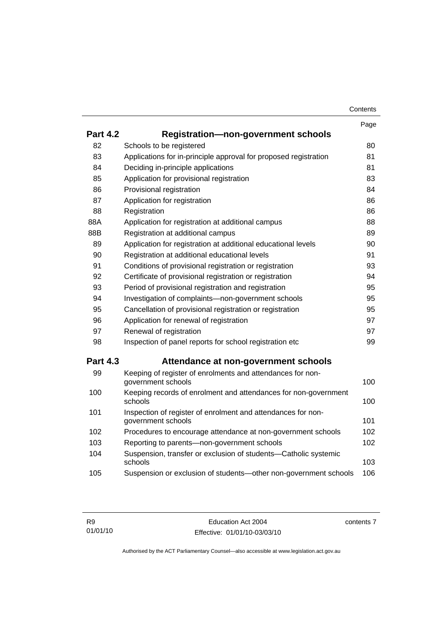| Contents |
|----------|
|----------|

|                 |                                                                                    | Page |
|-----------------|------------------------------------------------------------------------------------|------|
| <b>Part 4.2</b> | <b>Registration-non-government schools</b>                                         |      |
| 82              | Schools to be registered                                                           | 80   |
| 83              | Applications for in-principle approval for proposed registration                   | 81   |
| 84              | Deciding in-principle applications                                                 | 81   |
| 85              | Application for provisional registration                                           | 83   |
| 86              | Provisional registration                                                           | 84   |
| 87              | Application for registration                                                       | 86   |
| 88              | Registration                                                                       | 86   |
| 88A             | Application for registration at additional campus                                  | 88   |
| 88B             | Registration at additional campus                                                  | 89   |
| 89              | Application for registration at additional educational levels                      | 90   |
| 90              | Registration at additional educational levels                                      | 91   |
| 91              | Conditions of provisional registration or registration                             | 93   |
| 92              | Certificate of provisional registration or registration                            | 94   |
| 93              | Period of provisional registration and registration                                | 95   |
| 94              | Investigation of complaints-non-government schools                                 | 95   |
| 95              | Cancellation of provisional registration or registration                           | 95   |
| 96              | Application for renewal of registration                                            | 97   |
| 97              | Renewal of registration                                                            | 97   |
| 98              | Inspection of panel reports for school registration etc                            | 99   |
| <b>Part 4.3</b> | Attendance at non-government schools                                               |      |
| 99              | Keeping of register of enrolments and attendances for non-<br>government schools   | 100  |
| 100             | Keeping records of enrolment and attendances for non-government<br>schools         | 100  |
| 101             | Inspection of register of enrolment and attendances for non-<br>government schools | 101  |
| 102             | Procedures to encourage attendance at non-government schools                       | 102  |
| 103             | Reporting to parents-non-government schools                                        | 102  |
| 104             | Suspension, transfer or exclusion of students-Catholic systemic<br>schools         | 103  |
| 105             | Suspension or exclusion of students-other non-government schools                   | 106  |

contents 7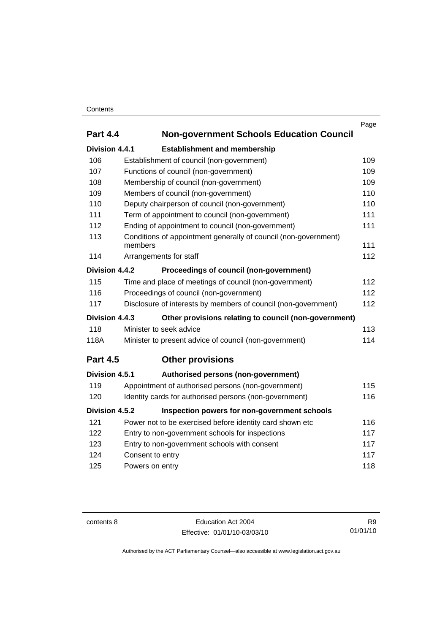## **Contents**

|                 |                                                                 | Page |  |  |
|-----------------|-----------------------------------------------------------------|------|--|--|
| <b>Part 4.4</b> | <b>Non-government Schools Education Council</b>                 |      |  |  |
| Division 4.4.1  | <b>Establishment and membership</b>                             |      |  |  |
| 106             | Establishment of council (non-government)                       | 109  |  |  |
| 107             | Functions of council (non-government)                           | 109  |  |  |
| 108             | Membership of council (non-government)                          | 109  |  |  |
| 109             | Members of council (non-government)                             | 110  |  |  |
| 110             | Deputy chairperson of council (non-government)                  | 110  |  |  |
| 111             | Term of appointment to council (non-government)                 | 111  |  |  |
| 112             | Ending of appointment to council (non-government)               | 111  |  |  |
| 113             | Conditions of appointment generally of council (non-government) |      |  |  |
|                 | members                                                         | 111  |  |  |
| 114             | Arrangements for staff                                          | 112  |  |  |
| Division 4.4.2  | Proceedings of council (non-government)                         |      |  |  |
| 115             | Time and place of meetings of council (non-government)<br>112   |      |  |  |
| 116             | Proceedings of council (non-government)                         | 112  |  |  |
| 117             | Disclosure of interests by members of council (non-government)  | 112  |  |  |
| Division 4.4.3  | Other provisions relating to council (non-government)           |      |  |  |
| 118             | Minister to seek advice                                         | 113  |  |  |
| 118A            | Minister to present advice of council (non-government)          | 114  |  |  |
| <b>Part 4.5</b> | <b>Other provisions</b>                                         |      |  |  |
| Division 4.5.1  | Authorised persons (non-government)                             |      |  |  |
| 119             | Appointment of authorised persons (non-government)              | 115  |  |  |
| 120             | Identity cards for authorised persons (non-government)<br>116   |      |  |  |
| Division 4.5.2  | Inspection powers for non-government schools                    |      |  |  |
| 121             | Power not to be exercised before identity card shown etc        | 116  |  |  |
| 122             | Entry to non-government schools for inspections<br>117          |      |  |  |
| 123             | Entry to non-government schools with consent                    | 117  |  |  |
| 124             | Consent to entry                                                | 117  |  |  |
| 125             | 118<br>Powers on entry                                          |      |  |  |
|                 |                                                                 |      |  |  |

contents 8 Education Act 2004 Effective: 01/01/10-03/03/10

R9 01/01/10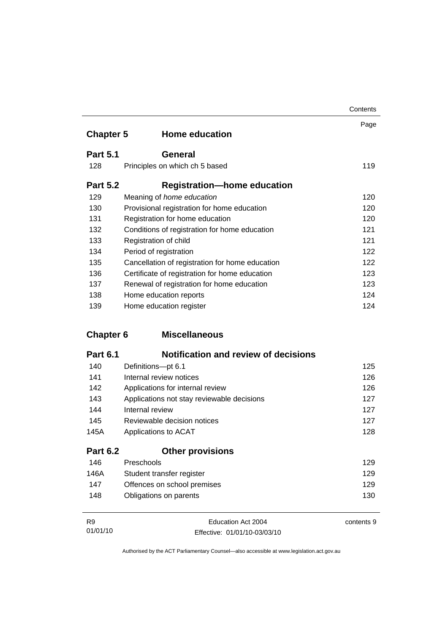|                  |                                                 | Contents |
|------------------|-------------------------------------------------|----------|
| <b>Chapter 5</b> | <b>Home education</b>                           | Page     |
| <b>Part 5.1</b>  | <b>General</b>                                  |          |
| 128              | Principles on which ch 5 based                  | 119      |
| <b>Part 5.2</b>  | <b>Registration-home education</b>              |          |
| 129              | Meaning of <i>home education</i>                | 120      |
| 130              | Provisional registration for home education     | 120      |
| 131              | Registration for home education                 | 120      |
| 132              | Conditions of registration for home education   | 121      |
| 133              | Registration of child                           | 121      |
| 134              | Period of registration                          | 122      |
| 135              | Cancellation of registration for home education | 122      |
| 136              | Certificate of registration for home education  | 123      |
| 137              | Renewal of registration for home education      | 123      |
| 138              | Home education reports                          | 124      |
| 139              | Home education register                         | 124      |

## **Chapter 6 Miscellaneous**

| <b>Part 6.1</b> | Notification and review of decisions       |     |
|-----------------|--------------------------------------------|-----|
| 140             | Definitions-pt 6.1                         | 125 |
| 141             | Internal review notices                    | 126 |
| 142             | Applications for internal review           | 126 |
| 143             | Applications not stay reviewable decisions | 127 |
| 144             | Internal review                            | 127 |
| 145             | Reviewable decision notices                | 127 |
| 145A            | Applications to ACAT                       | 128 |
| <b>Part 6.2</b> | <b>Other provisions</b>                    |     |
| 146             | Preschools                                 | 129 |
| 146A            | Student transfer register                  | 129 |
| 147             | Offences on school premises                | 129 |
| 148             | Obligations on parents                     | 130 |

| R9       | Education Act 2004           | contents 9 |
|----------|------------------------------|------------|
| 01/01/10 | Effective: 01/01/10-03/03/10 |            |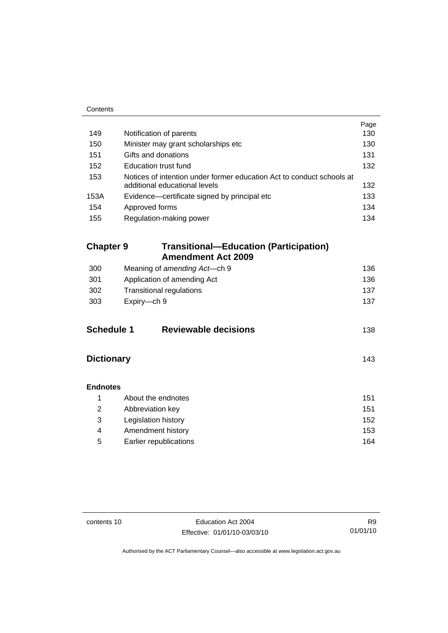| Contents          |                                                                                                        |      |
|-------------------|--------------------------------------------------------------------------------------------------------|------|
|                   |                                                                                                        | Page |
| 149               | Notification of parents                                                                                | 130  |
| 150               | Minister may grant scholarships etc                                                                    | 130  |
| 151               | Gifts and donations                                                                                    | 131  |
| 152               | <b>Education trust fund</b>                                                                            | 132  |
| 153               | Notices of intention under former education Act to conduct schools at<br>additional educational levels | 132  |
| 153A              | Evidence-certificate signed by principal etc                                                           | 133  |
| 154               | Approved forms                                                                                         | 134  |
| 155               | Regulation-making power                                                                                | 134  |
| <b>Chapter 9</b>  | <b>Transitional-Education (Participation)</b>                                                          |      |
|                   | <b>Amendment Act 2009</b>                                                                              |      |
| 300               | Meaning of amending Act-ch 9                                                                           | 136  |
| 301               | Application of amending Act                                                                            | 136  |
| 302               | <b>Transitional regulations</b>                                                                        | 137  |
| 303               | Expiry-ch 9                                                                                            | 137  |
| <b>Schedule 1</b> | <b>Reviewable decisions</b>                                                                            | 138  |
| <b>Dictionary</b> |                                                                                                        | 143  |
| <b>Endnotes</b>   |                                                                                                        |      |
| 1                 | About the endnotes                                                                                     | 151  |
| 2                 | Abbreviation key                                                                                       | 151  |
| 3                 | Legislation history                                                                                    | 152  |
| $\overline{4}$    | Amendment history                                                                                      | 153  |
| 5                 | Earlier republications                                                                                 | 164  |

L.

contents 10 Education Act 2004 Effective: 01/01/10-03/03/10

R9 01/01/10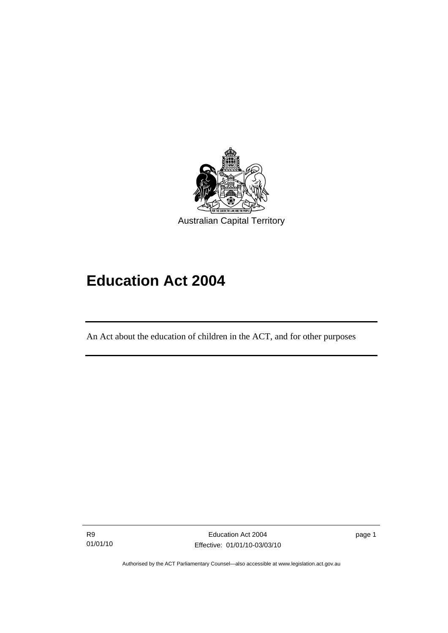<span id="page-12-0"></span>

# **Education Act 2004**

An Act about the education of children in the ACT, and for other purposes

R9 01/01/10

I

page 1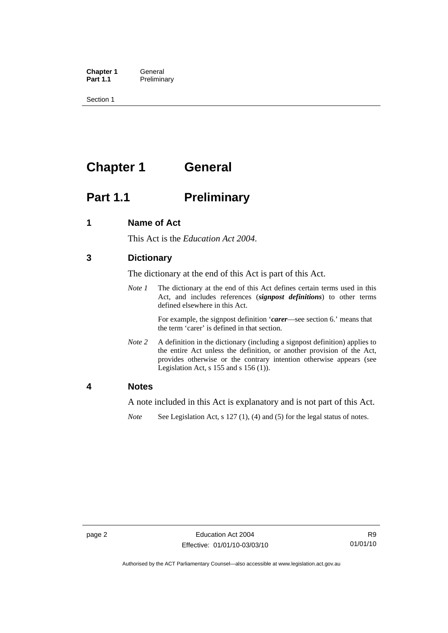<span id="page-13-0"></span>**Chapter 1 General**<br>**Part 1.1 Prelimina Preliminary** 

Section 1

# **Chapter 1 General**

## **Part 1.1** Preliminary

## **1 Name of Act**

This Act is the *Education Act 2004*.

## **3 Dictionary**

The dictionary at the end of this Act is part of this Act.

*Note 1* The dictionary at the end of this Act defines certain terms used in this Act, and includes references (*signpost definitions*) to other terms defined elsewhere in this Act.

> For example, the signpost definition '*carer*—see section 6.' means that the term 'carer' is defined in that section.

*Note 2* A definition in the dictionary (including a signpost definition) applies to the entire Act unless the definition, or another provision of the Act, provides otherwise or the contrary intention otherwise appears (see Legislation Act,  $s$  155 and  $s$  156 (1)).

## **4 Notes**

A note included in this Act is explanatory and is not part of this Act.

*Note* See Legislation Act, s 127 (1), (4) and (5) for the legal status of notes.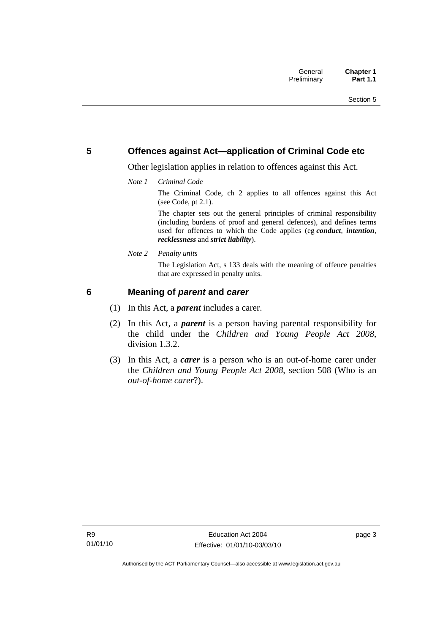## <span id="page-14-0"></span>**5 Offences against Act—application of Criminal Code etc**

Other legislation applies in relation to offences against this Act.

*Note 1 Criminal Code*

The Criminal Code, ch 2 applies to all offences against this Act (see Code, pt 2.1).

The chapter sets out the general principles of criminal responsibility (including burdens of proof and general defences), and defines terms used for offences to which the Code applies (eg *conduct*, *intention*, *recklessness* and *strict liability*).

*Note 2 Penalty units* 

The Legislation Act, s 133 deals with the meaning of offence penalties that are expressed in penalty units.

## **6 Meaning of** *parent* **and** *carer*

- (1) In this Act, a *parent* includes a carer.
- (2) In this Act, a *parent* is a person having parental responsibility for the child under the *Children and Young People Act 2008*, division 1.3.2.
- (3) In this Act, a *carer* is a person who is an out-of-home carer under the *Children and Young People Act 2008*, section 508 (Who is an *out-of-home carer*?).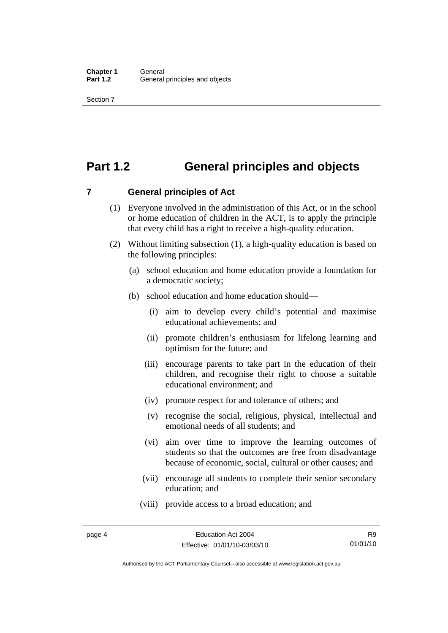## <span id="page-15-0"></span>**Part 1.2 General principles and objects**

**7 General principles of Act** 

- (1) Everyone involved in the administration of this Act, or in the school or home education of children in the ACT, is to apply the principle that every child has a right to receive a high-quality education.
- (2) Without limiting subsection (1), a high-quality education is based on the following principles:
	- (a) school education and home education provide a foundation for a democratic society;
	- (b) school education and home education should—
		- (i) aim to develop every child's potential and maximise educational achievements; and
		- (ii) promote children's enthusiasm for lifelong learning and optimism for the future; and
		- (iii) encourage parents to take part in the education of their children, and recognise their right to choose a suitable educational environment; and
		- (iv) promote respect for and tolerance of others; and
		- (v) recognise the social, religious, physical, intellectual and emotional needs of all students; and
		- (vi) aim over time to improve the learning outcomes of students so that the outcomes are free from disadvantage because of economic, social, cultural or other causes; and
		- (vii) encourage all students to complete their senior secondary education; and
		- (viii) provide access to a broad education; and

Authorised by the ACT Parliamentary Counsel—also accessible at www.legislation.act.gov.au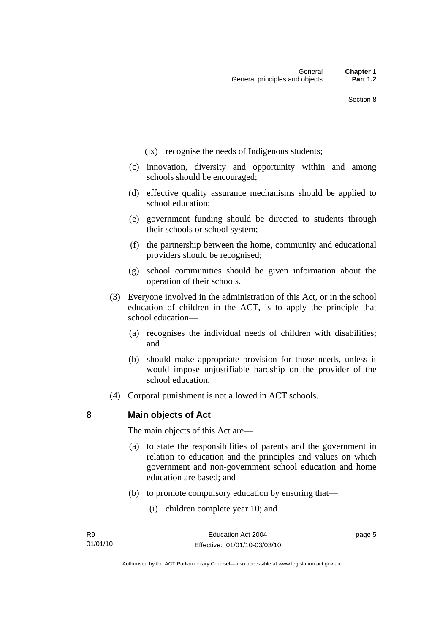- <span id="page-16-0"></span>(ix) recognise the needs of Indigenous students;
- (c) innovation, diversity and opportunity within and among schools should be encouraged;
- (d) effective quality assurance mechanisms should be applied to school education;
- (e) government funding should be directed to students through their schools or school system;
- (f) the partnership between the home, community and educational providers should be recognised;
- (g) school communities should be given information about the operation of their schools.
- (3) Everyone involved in the administration of this Act, or in the school education of children in the ACT, is to apply the principle that school education—
	- (a) recognises the individual needs of children with disabilities; and
	- (b) should make appropriate provision for those needs, unless it would impose unjustifiable hardship on the provider of the school education.
- (4) Corporal punishment is not allowed in ACT schools.

**8 Main objects of Act** 

The main objects of this Act are—

- (a) to state the responsibilities of parents and the government in relation to education and the principles and values on which government and non-government school education and home education are based; and
- (b) to promote compulsory education by ensuring that—
	- (i) children complete year 10; and

page 5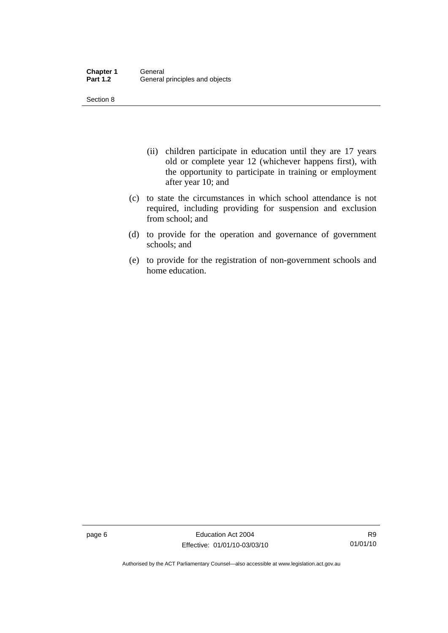Section 8

- (ii) children participate in education until they are 17 years old or complete year 12 (whichever happens first), with the opportunity to participate in training or employment after year 10; and
- (c) to state the circumstances in which school attendance is not required, including providing for suspension and exclusion from school; and
- (d) to provide for the operation and governance of government schools; and
- (e) to provide for the registration of non-government schools and home education.

page 6 **Education Act 2004** Effective: 01/01/10-03/03/10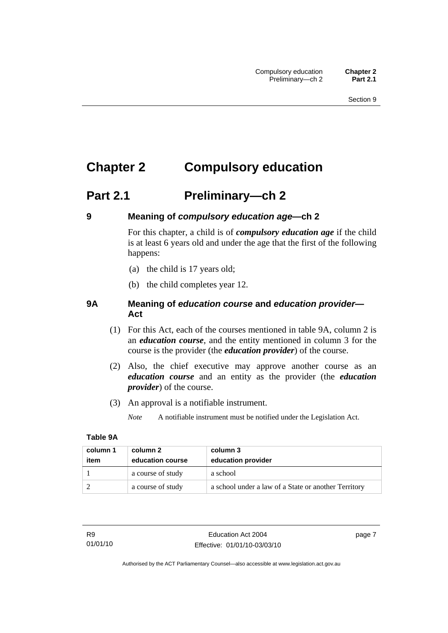# <span id="page-18-0"></span>**Chapter 2 Compulsory education**

# **Part 2.1 Preliminary—ch 2**

## **9 Meaning of** *compulsory education age***—ch 2**

For this chapter, a child is of *compulsory education age* if the child is at least 6 years old and under the age that the first of the following happens:

- (a) the child is 17 years old;
- (b) the child completes year 12.

## **9A Meaning of** *education course* **and** *education provider***— Act**

- (1) For this Act, each of the courses mentioned in table 9A, column 2 is an *education course*, and the entity mentioned in column 3 for the course is the provider (the *education provider*) of the course.
- (2) Also, the chief executive may approve another course as an *education course* and an entity as the provider (the *education provider*) of the course.
- (3) An approval is a notifiable instrument.

*Note* A notifiable instrument must be notified under the Legislation Act.

## **Table 9A**

| column 1<br>item | column 2<br>education course | column 3<br>education provider                       |
|------------------|------------------------------|------------------------------------------------------|
|                  | a course of study            | a school                                             |
|                  | a course of study            | a school under a law of a State or another Territory |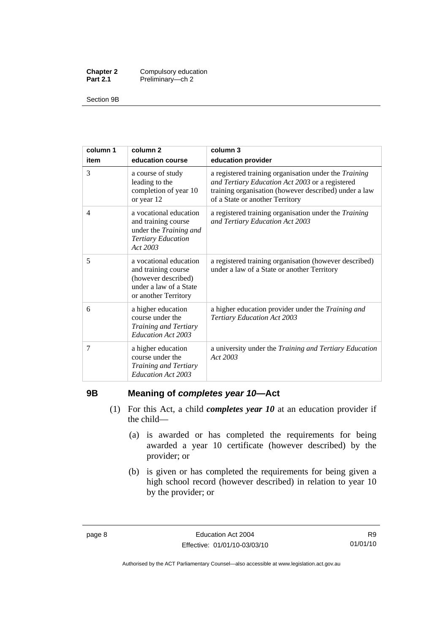<span id="page-19-0"></span>

| <b>Chapter 2</b> | Compulsory education |
|------------------|----------------------|
| <b>Part 2.1</b>  | Preliminary-ch 2     |

Section 9B

| column 1<br>item | column <sub>2</sub><br>education course                                                                                | column 3<br>education provider                                                                                                                                                                       |
|------------------|------------------------------------------------------------------------------------------------------------------------|------------------------------------------------------------------------------------------------------------------------------------------------------------------------------------------------------|
| 3                | a course of study<br>leading to the<br>completion of year 10<br>or year 12                                             | a registered training organisation under the Training<br>and Tertiary Education Act 2003 or a registered<br>training organisation (however described) under a law<br>of a State or another Territory |
| 4                | a vocational education<br>and training course<br>under the Training and<br><b>Tertiary Education</b><br>Act 2003       | a registered training organisation under the Training<br>and Tertiary Education Act 2003                                                                                                             |
| 5                | a vocational education<br>and training course<br>(however described)<br>under a law of a State<br>or another Territory | a registered training organisation (however described)<br>under a law of a State or another Territory                                                                                                |
| 6                | a higher education<br>course under the<br>Training and Tertiary<br>Education Act 2003                                  | a higher education provider under the Training and<br><b>Tertiary Education Act 2003</b>                                                                                                             |
| 7                | a higher education<br>course under the<br>Training and Tertiary<br>Education Act 2003                                  | a university under the Training and Tertiary Education<br>Act 2003                                                                                                                                   |

## **9B Meaning of** *completes year 10***—Act**

- (1) For this Act, a child *completes year 10* at an education provider if the child—
	- (a) is awarded or has completed the requirements for being awarded a year 10 certificate (however described) by the provider; or
	- (b) is given or has completed the requirements for being given a high school record (however described) in relation to year 10 by the provider; or

Authorised by the ACT Parliamentary Counsel—also accessible at www.legislation.act.gov.au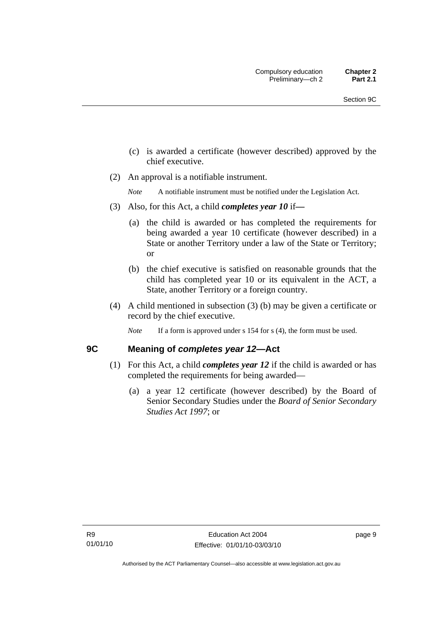- <span id="page-20-0"></span> (c) is awarded a certificate (however described) approved by the chief executive.
- (2) An approval is a notifiable instrument.

*Note* A notifiable instrument must be notified under the Legislation Act.

- (3) Also, for this Act, a child *completes year 10* if*—*
	- (a) the child is awarded or has completed the requirements for being awarded a year 10 certificate (however described) in a State or another Territory under a law of the State or Territory; or
	- (b) the chief executive is satisfied on reasonable grounds that the child has completed year 10 or its equivalent in the ACT, a State, another Territory or a foreign country.
- (4) A child mentioned in subsection (3) (b) may be given a certificate or record by the chief executive.
	- *Note* If a form is approved under s 154 for s (4), the form must be used.

## **9C Meaning of** *completes year 12***—Act**

- (1) For this Act, a child *completes year 12* if the child is awarded or has completed the requirements for being awarded—
	- (a) a year 12 certificate (however described) by the Board of Senior Secondary Studies under the *Board of Senior Secondary Studies Act 1997*; or

page 9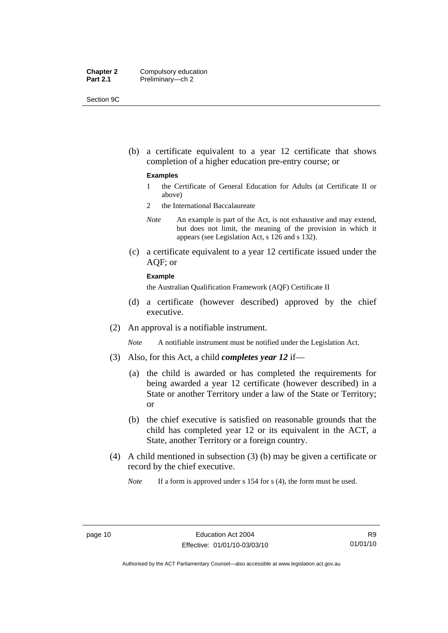| <b>Chapter 2</b> | Compulsory education |
|------------------|----------------------|
| <b>Part 2.1</b>  | Preliminary-ch 2     |

Section 9C

 (b) a certificate equivalent to a year 12 certificate that shows completion of a higher education pre-entry course; or

#### **Examples**

- 1 the Certificate of General Education for Adults (at Certificate II or above)
- 2 the International Baccalaureate
- *Note* An example is part of the Act, is not exhaustive and may extend, but does not limit, the meaning of the provision in which it appears (see Legislation Act, s 126 and s 132).
- (c) a certificate equivalent to a year 12 certificate issued under the AQF; or

## **Example**

the Australian Qualification Framework (AQF) Certificate II

- (d) a certificate (however described) approved by the chief executive.
- (2) An approval is a notifiable instrument.

*Note* A notifiable instrument must be notified under the Legislation Act.

- (3) Also, for this Act, a child *completes year 12* if—
	- (a) the child is awarded or has completed the requirements for being awarded a year 12 certificate (however described) in a State or another Territory under a law of the State or Territory; or
	- (b) the chief executive is satisfied on reasonable grounds that the child has completed year 12 or its equivalent in the ACT, a State, another Territory or a foreign country.
- (4) A child mentioned in subsection (3) (b) may be given a certificate or record by the chief executive.

*Note* If a form is approved under s 154 for s (4), the form must be used.

R9 01/01/10

Authorised by the ACT Parliamentary Counsel—also accessible at www.legislation.act.gov.au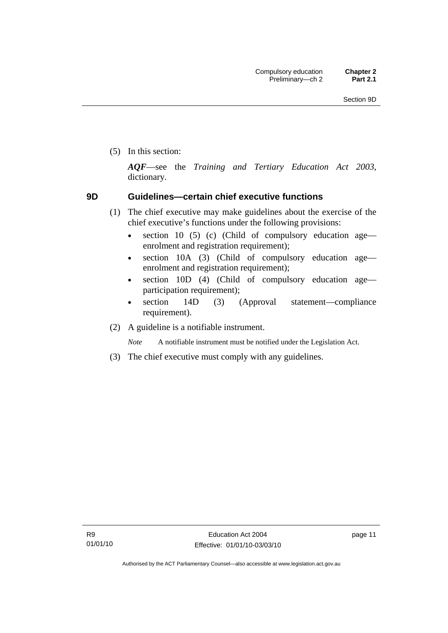<span id="page-22-0"></span>(5) In this section:

*AQF*—see the *Training and Tertiary Education Act 2003*, dictionary.

## **9D Guidelines—certain chief executive functions**

- (1) The chief executive may make guidelines about the exercise of the chief executive's functions under the following provisions:
	- section 10 (5) (c) (Child of compulsory education age enrolment and registration requirement);
	- section 10A (3) (Child of compulsory education age enrolment and registration requirement);
	- section 10D (4) (Child of compulsory education age participation requirement);
	- section 14D (3) (Approval statement—compliance requirement).
- (2) A guideline is a notifiable instrument.

*Note* A notifiable instrument must be notified under the Legislation Act.

(3) The chief executive must comply with any guidelines.

page 11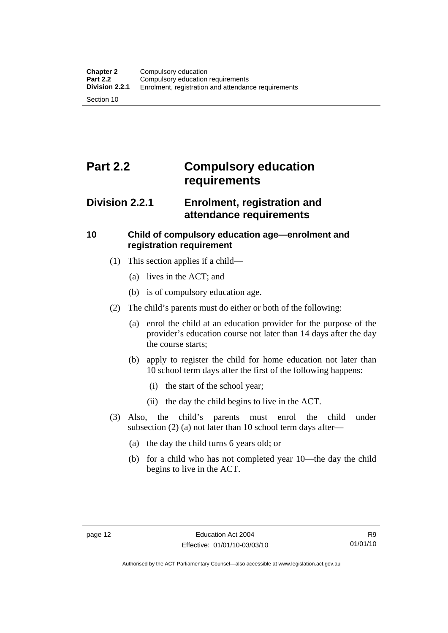# <span id="page-23-0"></span>**Part 2.2 Compulsory education requirements**

## **Division 2.2.1 Enrolment, registration and attendance requirements**

## **10 Child of compulsory education age—enrolment and registration requirement**

- (1) This section applies if a child—
	- (a) lives in the ACT; and
	- (b) is of compulsory education age.
- (2) The child's parents must do either or both of the following:
	- (a) enrol the child at an education provider for the purpose of the provider's education course not later than 14 days after the day the course starts;
	- (b) apply to register the child for home education not later than 10 school term days after the first of the following happens:
		- (i) the start of the school year;
		- (ii) the day the child begins to live in the ACT.
- (3) Also, the child's parents must enrol the child under subsection (2) (a) not later than 10 school term days after—
	- (a) the day the child turns 6 years old; or
	- (b) for a child who has not completed year 10—the day the child begins to live in the ACT.

Authorised by the ACT Parliamentary Counsel—also accessible at www.legislation.act.gov.au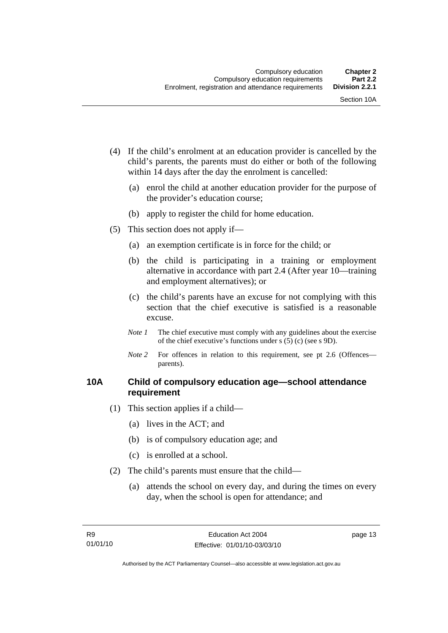- <span id="page-24-0"></span> (4) If the child's enrolment at an education provider is cancelled by the child's parents, the parents must do either or both of the following within 14 days after the day the enrolment is cancelled:
	- (a) enrol the child at another education provider for the purpose of the provider's education course;
	- (b) apply to register the child for home education.
- (5) This section does not apply if—
	- (a) an exemption certificate is in force for the child; or
	- (b) the child is participating in a training or employment alternative in accordance with part 2.4 (After year 10—training and employment alternatives); or
	- (c) the child's parents have an excuse for not complying with this section that the chief executive is satisfied is a reasonable excuse.
	- *Note 1* The chief executive must comply with any guidelines about the exercise of the chief executive's functions under s (5) (c) (see s 9D).
	- *Note* 2 For offences in relation to this requirement, see pt 2.6 (Offences parents).

## **10A Child of compulsory education age—school attendance requirement**

- (1) This section applies if a child—
	- (a) lives in the ACT; and
	- (b) is of compulsory education age; and
	- (c) is enrolled at a school.
- (2) The child's parents must ensure that the child—
	- (a) attends the school on every day, and during the times on every day, when the school is open for attendance; and

page 13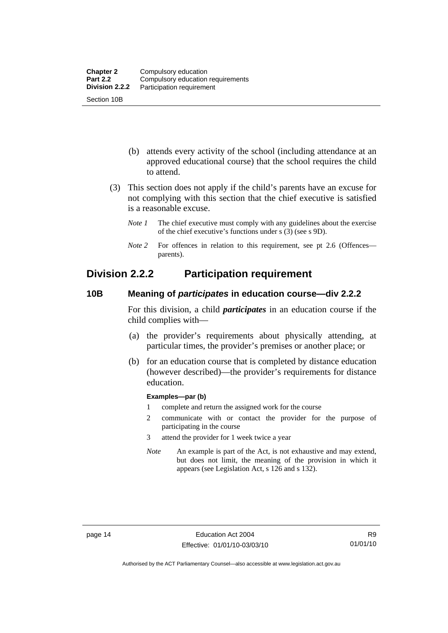- <span id="page-25-0"></span> (b) attends every activity of the school (including attendance at an approved educational course) that the school requires the child to attend.
- (3) This section does not apply if the child's parents have an excuse for not complying with this section that the chief executive is satisfied is a reasonable excuse.
	- *Note 1* The chief executive must comply with any guidelines about the exercise of the chief executive's functions under s (3) (see s 9D).
	- *Note* 2 For offences in relation to this requirement, see pt 2.6 (Offences parents).

## **Division 2.2.2 Participation requirement**

## **10B Meaning of** *participates* **in education course—div 2.2.2**

For this division, a child *participates* in an education course if the child complies with—

- (a) the provider's requirements about physically attending, at particular times, the provider's premises or another place; or
- (b) for an education course that is completed by distance education (however described)—the provider's requirements for distance education.

## **Examples—par (b)**

- 1 complete and return the assigned work for the course
- 2 communicate with or contact the provider for the purpose of participating in the course
- 3 attend the provider for 1 week twice a year
- *Note* An example is part of the Act, is not exhaustive and may extend, but does not limit, the meaning of the provision in which it appears (see Legislation Act, s 126 and s 132).

Authorised by the ACT Parliamentary Counsel—also accessible at www.legislation.act.gov.au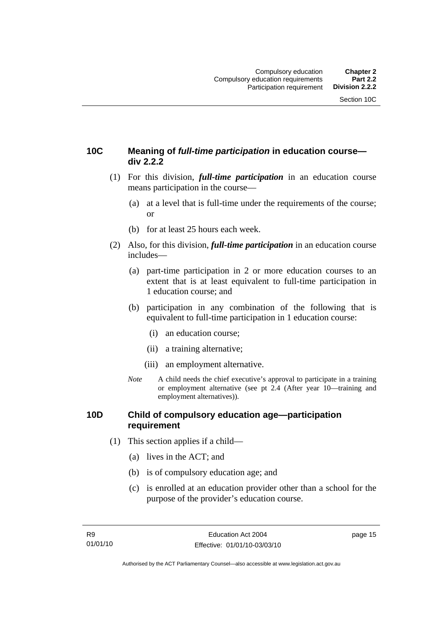## <span id="page-26-0"></span>**10C Meaning of** *full-time participation* **in education course div 2.2.2**

- (1) For this division, *full-time participation* in an education course means participation in the course—
	- (a) at a level that is full-time under the requirements of the course; or
	- (b) for at least 25 hours each week.
- (2) Also, for this division, *full-time participation* in an education course includes—
	- (a) part-time participation in 2 or more education courses to an extent that is at least equivalent to full-time participation in 1 education course; and
	- (b) participation in any combination of the following that is equivalent to full-time participation in 1 education course:
		- (i) an education course;
		- (ii) a training alternative;
		- (iii) an employment alternative.
	- *Note* A child needs the chief executive's approval to participate in a training or employment alternative (see pt 2.4 (After year 10—training and employment alternatives)).

## **10D Child of compulsory education age—participation requirement**

- (1) This section applies if a child—
	- (a) lives in the ACT; and
	- (b) is of compulsory education age; and
	- (c) is enrolled at an education provider other than a school for the purpose of the provider's education course.

page 15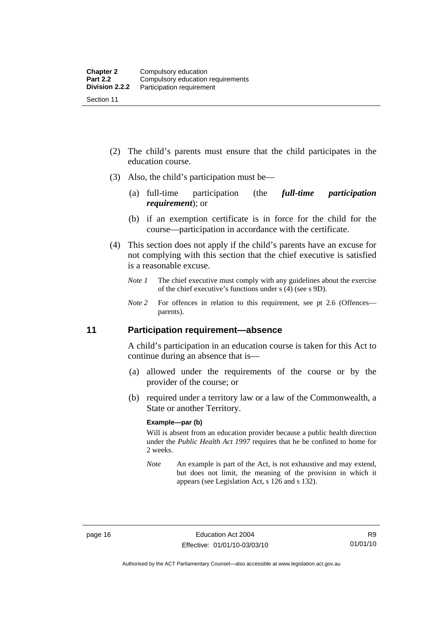- <span id="page-27-0"></span> (2) The child's parents must ensure that the child participates in the education course.
- (3) Also, the child's participation must be—
	- (a) full-time participation (the *full-time participation requirement*); or
	- (b) if an exemption certificate is in force for the child for the course—participation in accordance with the certificate.
- (4) This section does not apply if the child's parents have an excuse for not complying with this section that the chief executive is satisfied is a reasonable excuse.
	- *Note 1* The chief executive must comply with any guidelines about the exercise of the chief executive's functions under s (4) (see s 9D).
	- *Note* 2 For offences in relation to this requirement, see pt 2.6 (Offences parents).

## **11 Participation requirement—absence**

A child's participation in an education course is taken for this Act to continue during an absence that is—

- (a) allowed under the requirements of the course or by the provider of the course; or
- (b) required under a territory law or a law of the Commonwealth, a State or another Territory.

## **Example—par (b)**

Will is absent from an education provider because a public health direction under the *Public Health Act 1997* requires that he be confined to home for 2 weeks.

*Note* An example is part of the Act, is not exhaustive and may extend, but does not limit, the meaning of the provision in which it appears (see Legislation Act, s 126 and s 132).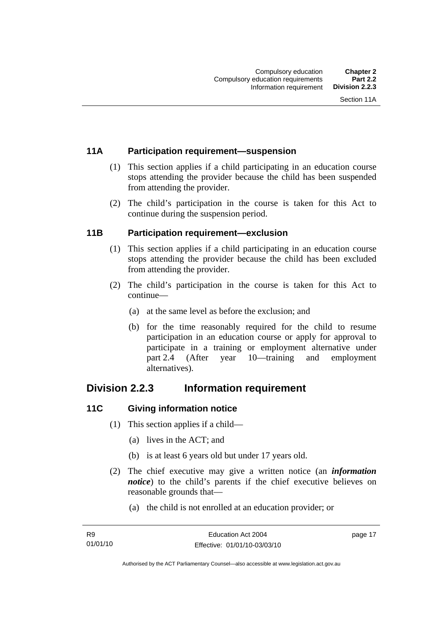## <span id="page-28-0"></span>**11A Participation requirement—suspension**

- (1) This section applies if a child participating in an education course stops attending the provider because the child has been suspended from attending the provider.
- (2) The child's participation in the course is taken for this Act to continue during the suspension period.

## **11B Participation requirement—exclusion**

- (1) This section applies if a child participating in an education course stops attending the provider because the child has been excluded from attending the provider.
- (2) The child's participation in the course is taken for this Act to continue—
	- (a) at the same level as before the exclusion; and
	- (b) for the time reasonably required for the child to resume participation in an education course or apply for approval to participate in a training or employment alternative under part 2.4 (After year 10—training and employment alternatives).

## **Division 2.2.3 Information requirement**

## **11C Giving information notice**

- (1) This section applies if a child—
	- (a) lives in the ACT; and
	- (b) is at least 6 years old but under 17 years old.
- (2) The chief executive may give a written notice (an *information notice*) to the child's parents if the chief executive believes on reasonable grounds that—
	- (a) the child is not enrolled at an education provider; or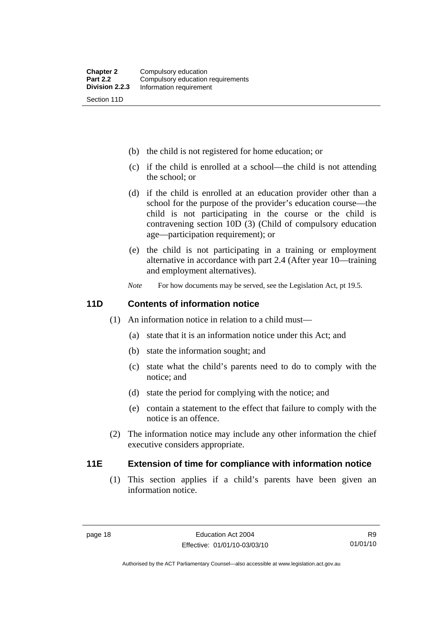- <span id="page-29-0"></span>(b) the child is not registered for home education; or
- (c) if the child is enrolled at a school—the child is not attending the school; or
- (d) if the child is enrolled at an education provider other than a school for the purpose of the provider's education course—the child is not participating in the course or the child is contravening section 10D (3) (Child of compulsory education age—participation requirement); or
- (e) the child is not participating in a training or employment alternative in accordance with part 2.4 (After year 10—training and employment alternatives).
- *Note* For how documents may be served, see the Legislation Act, pt 19.5.

## **11D Contents of information notice**

- (1) An information notice in relation to a child must—
	- (a) state that it is an information notice under this Act; and
	- (b) state the information sought; and
	- (c) state what the child's parents need to do to comply with the notice; and
	- (d) state the period for complying with the notice; and
	- (e) contain a statement to the effect that failure to comply with the notice is an offence.
- (2) The information notice may include any other information the chief executive considers appropriate.

## **11E Extension of time for compliance with information notice**

 (1) This section applies if a child's parents have been given an information notice.

R9 01/01/10

Authorised by the ACT Parliamentary Counsel—also accessible at www.legislation.act.gov.au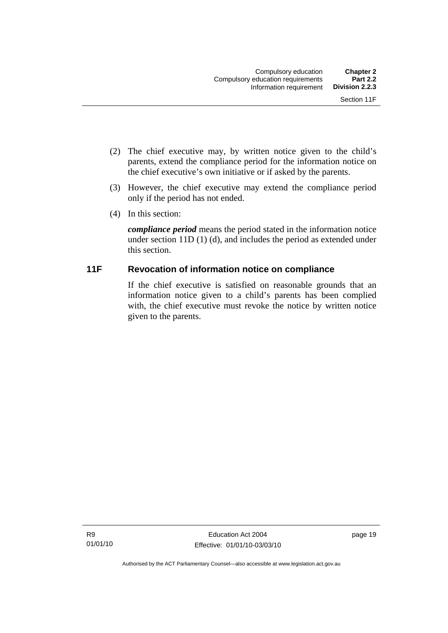- <span id="page-30-0"></span> (2) The chief executive may, by written notice given to the child's parents, extend the compliance period for the information notice on the chief executive's own initiative or if asked by the parents.
- (3) However, the chief executive may extend the compliance period only if the period has not ended.
- (4) In this section:

*compliance period* means the period stated in the information notice under section 11D (1) (d), and includes the period as extended under this section.

## **11F Revocation of information notice on compliance**

If the chief executive is satisfied on reasonable grounds that an information notice given to a child's parents has been complied with, the chief executive must revoke the notice by written notice given to the parents.

page 19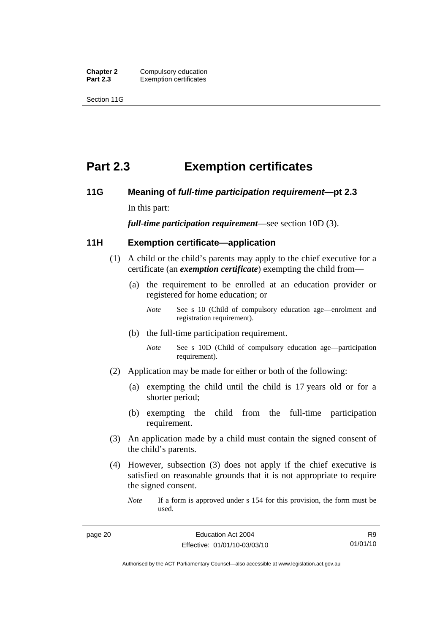<span id="page-31-0"></span>**Chapter 2 Compulsory education**<br>**Part 2.3 Exemption certificates Exemption certificates** 

Section 11G

## **Part 2.3 Exemption certificates**

## **11G Meaning of** *full-time participation requirement***—pt 2.3**

In this part:

*full-time participation requirement*—see section 10D (3).

## **11H Exemption certificate—application**

- (1) A child or the child's parents may apply to the chief executive for a certificate (an *exemption certificate*) exempting the child from—
	- (a) the requirement to be enrolled at an education provider or registered for home education; or
		- *Note* See s 10 (Child of compulsory education age—enrolment and registration requirement).
	- (b) the full-time participation requirement.
		- *Note* See s 10D (Child of compulsory education age—participation requirement).
- (2) Application may be made for either or both of the following:
	- (a) exempting the child until the child is 17 years old or for a shorter period;
	- (b) exempting the child from the full-time participation requirement.
- (3) An application made by a child must contain the signed consent of the child's parents.
- (4) However, subsection (3) does not apply if the chief executive is satisfied on reasonable grounds that it is not appropriate to require the signed consent.
	- *Note* If a form is approved under s 154 for this provision, the form must be used.

Authorised by the ACT Parliamentary Counsel—also accessible at www.legislation.act.gov.au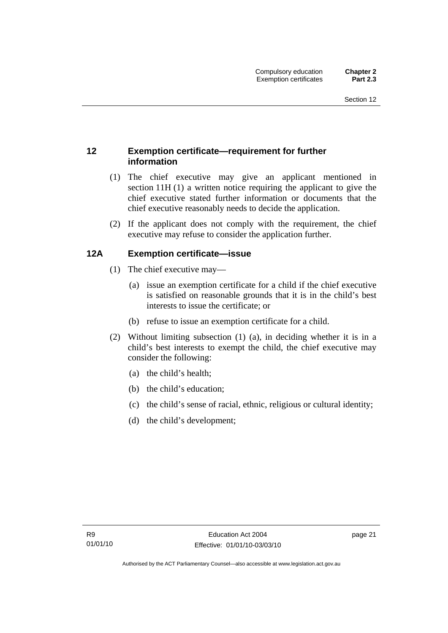## <span id="page-32-0"></span>**12 Exemption certificate—requirement for further information**

- (1) The chief executive may give an applicant mentioned in section 11H (1) a written notice requiring the applicant to give the chief executive stated further information or documents that the chief executive reasonably needs to decide the application.
- (2) If the applicant does not comply with the requirement, the chief executive may refuse to consider the application further.

## **12A Exemption certificate—issue**

- (1) The chief executive may—
	- (a) issue an exemption certificate for a child if the chief executive is satisfied on reasonable grounds that it is in the child's best interests to issue the certificate; or
	- (b) refuse to issue an exemption certificate for a child.
- (2) Without limiting subsection (1) (a), in deciding whether it is in a child's best interests to exempt the child, the chief executive may consider the following:
	- (a) the child's health;
	- (b) the child's education;
	- (c) the child's sense of racial, ethnic, religious or cultural identity;
	- (d) the child's development;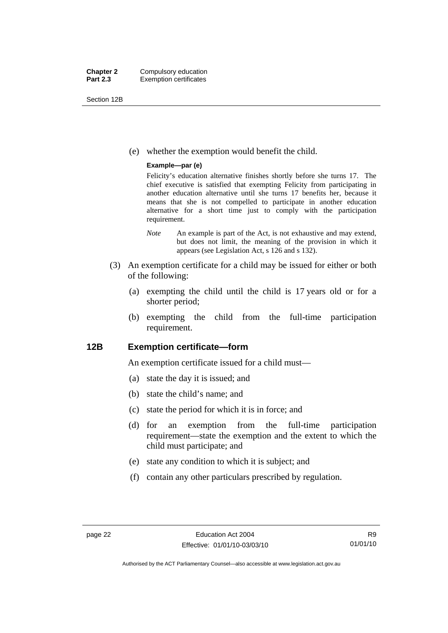<span id="page-33-0"></span>Section 12B

(e) whether the exemption would benefit the child.

## **Example—par (e)**

Felicity's education alternative finishes shortly before she turns 17. The chief executive is satisfied that exempting Felicity from participating in another education alternative until she turns 17 benefits her, because it means that she is not compelled to participate in another education alternative for a short time just to comply with the participation requirement.

- *Note* An example is part of the Act, is not exhaustive and may extend, but does not limit, the meaning of the provision in which it appears (see Legislation Act, s 126 and s 132).
- (3) An exemption certificate for a child may be issued for either or both of the following:
	- (a) exempting the child until the child is 17 years old or for a shorter period;
	- (b) exempting the child from the full-time participation requirement.

## **12B Exemption certificate—form**

An exemption certificate issued for a child must—

- (a) state the day it is issued; and
- (b) state the child's name; and
- (c) state the period for which it is in force; and
- (d) for an exemption from the full-time participation requirement—state the exemption and the extent to which the child must participate; and
- (e) state any condition to which it is subject; and
- (f) contain any other particulars prescribed by regulation.

Authorised by the ACT Parliamentary Counsel—also accessible at www.legislation.act.gov.au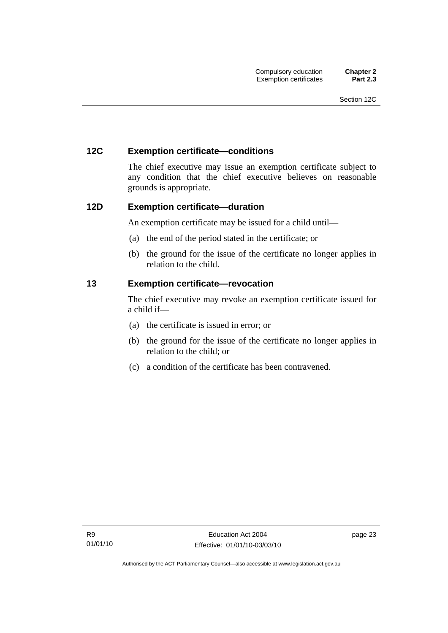## <span id="page-34-0"></span>**12C Exemption certificate—conditions**

The chief executive may issue an exemption certificate subject to any condition that the chief executive believes on reasonable grounds is appropriate.

## **12D Exemption certificate—duration**

An exemption certificate may be issued for a child until—

- (a) the end of the period stated in the certificate; or
- (b) the ground for the issue of the certificate no longer applies in relation to the child.

## **13 Exemption certificate—revocation**

The chief executive may revoke an exemption certificate issued for a child if—

- (a) the certificate is issued in error; or
- (b) the ground for the issue of the certificate no longer applies in relation to the child; or
- (c) a condition of the certificate has been contravened.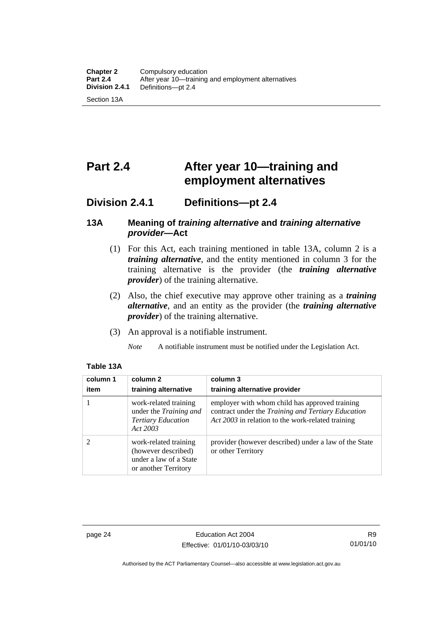# <span id="page-35-0"></span>**Part 2.4 After year 10—training and employment alternatives**

## **Division 2.4.1 Definitions—pt 2.4**

## **13A Meaning of** *training alternative* **and** *training alternative provider***—Act**

- (1) For this Act, each training mentioned in table 13A, column 2 is a *training alternative*, and the entity mentioned in column 3 for the training alternative is the provider (the *training alternative provider*) of the training alternative.
- (2) Also, the chief executive may approve other training as a *training alternative*, and an entity as the provider (the *training alternative provider*) of the training alternative.
- (3) An approval is a notifiable instrument.
	- *Note* A notifiable instrument must be notified under the Legislation Act.

| column 1<br>item | column 2<br>training alternative                                                               | column 3<br>training alternative provider                                                                                                                 |
|------------------|------------------------------------------------------------------------------------------------|-----------------------------------------------------------------------------------------------------------------------------------------------------------|
|                  | work-related training<br>under the Training and<br><b>Tertiary Education</b><br>Act 2003       | employer with whom child has approved training<br>contract under the Training and Tertiary Education<br>Act 2003 in relation to the work-related training |
| 2                | work-related training<br>(however described)<br>under a law of a State<br>or another Territory | provider (however described) under a law of the State<br>or other Territory                                                                               |

## **Table 13A**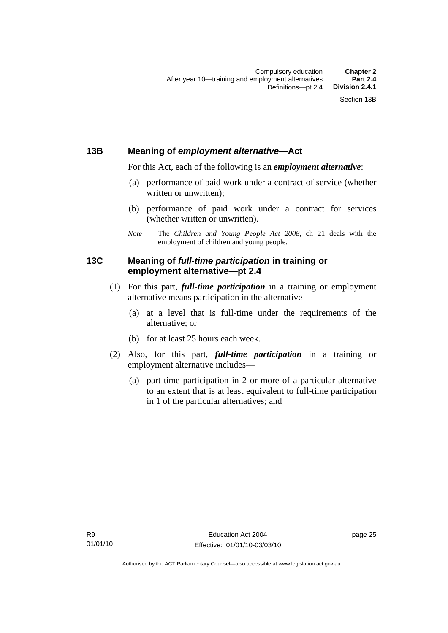# **13B Meaning of** *employment alternative***—Act**

For this Act, each of the following is an *employment alternative*:

- (a) performance of paid work under a contract of service (whether written or unwritten);
- (b) performance of paid work under a contract for services (whether written or unwritten).
- *Note* The *Children and Young People Act 2008*, ch 21 deals with the employment of children and young people.

# **13C Meaning of** *full-time participation* **in training or employment alternative—pt 2.4**

- (1) For this part, *full-time participation* in a training or employment alternative means participation in the alternative—
	- (a) at a level that is full-time under the requirements of the alternative; or
	- (b) for at least 25 hours each week.
- (2) Also, for this part, *full-time participation* in a training or employment alternative includes—
	- (a) part-time participation in 2 or more of a particular alternative to an extent that is at least equivalent to full-time participation in 1 of the particular alternatives; and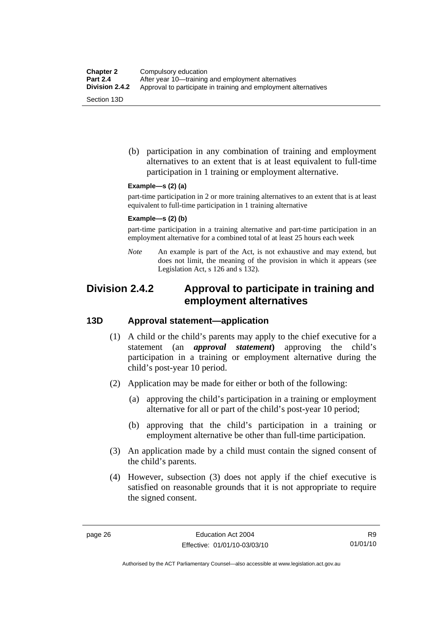(b) participation in any combination of training and employment alternatives to an extent that is at least equivalent to full-time participation in 1 training or employment alternative.

#### **Example—s (2) (a)**

part-time participation in 2 or more training alternatives to an extent that is at least equivalent to full-time participation in 1 training alternative

#### **Example—s (2) (b)**

part-time participation in a training alternative and part-time participation in an employment alternative for a combined total of at least 25 hours each week

*Note* An example is part of the Act, is not exhaustive and may extend, but does not limit, the meaning of the provision in which it appears (see Legislation Act, s 126 and s 132).

# **Division 2.4.2 Approval to participate in training and employment alternatives**

### **13D Approval statement—application**

- (1) A child or the child's parents may apply to the chief executive for a statement (an *approval statement***)** approving the child's participation in a training or employment alternative during the child's post-year 10 period.
- (2) Application may be made for either or both of the following:
	- (a) approving the child's participation in a training or employment alternative for all or part of the child's post-year 10 period;
	- (b) approving that the child's participation in a training or employment alternative be other than full-time participation.
- (3) An application made by a child must contain the signed consent of the child's parents.
- (4) However, subsection (3) does not apply if the chief executive is satisfied on reasonable grounds that it is not appropriate to require the signed consent.

Authorised by the ACT Parliamentary Counsel—also accessible at www.legislation.act.gov.au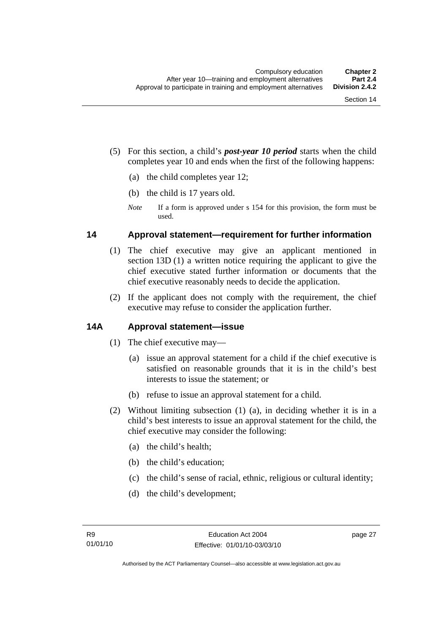- (5) For this section, a child's *post-year 10 period* starts when the child completes year 10 and ends when the first of the following happens:
	- (a) the child completes year 12;
	- (b) the child is 17 years old.
	- *Note* If a form is approved under s 154 for this provision, the form must be used.

### **14 Approval statement—requirement for further information**

- (1) The chief executive may give an applicant mentioned in section 13D (1) a written notice requiring the applicant to give the chief executive stated further information or documents that the chief executive reasonably needs to decide the application.
- (2) If the applicant does not comply with the requirement, the chief executive may refuse to consider the application further.

# **14A Approval statement—issue**

- (1) The chief executive may—
	- (a) issue an approval statement for a child if the chief executive is satisfied on reasonable grounds that it is in the child's best interests to issue the statement; or
	- (b) refuse to issue an approval statement for a child.
- (2) Without limiting subsection (1) (a), in deciding whether it is in a child's best interests to issue an approval statement for the child, the chief executive may consider the following:
	- (a) the child's health;
	- (b) the child's education;
	- (c) the child's sense of racial, ethnic, religious or cultural identity;
	- (d) the child's development;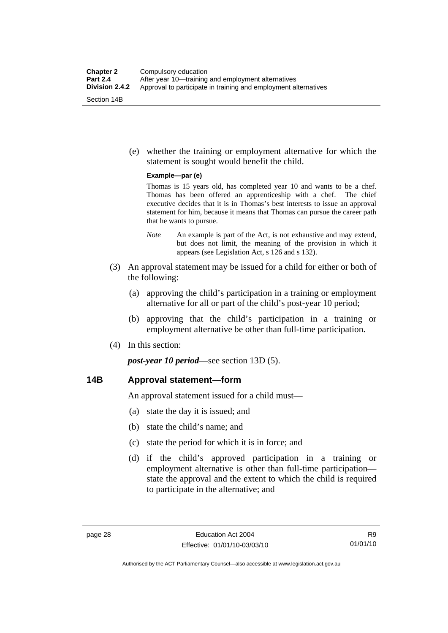(e) whether the training or employment alternative for which the statement is sought would benefit the child.

#### **Example—par (e)**

Thomas is 15 years old, has completed year 10 and wants to be a chef. Thomas has been offered an apprenticeship with a chef. The chief executive decides that it is in Thomas's best interests to issue an approval statement for him, because it means that Thomas can pursue the career path that he wants to pursue.

- *Note* An example is part of the Act, is not exhaustive and may extend, but does not limit, the meaning of the provision in which it appears (see Legislation Act, s 126 and s 132).
- (3) An approval statement may be issued for a child for either or both of the following:
	- (a) approving the child's participation in a training or employment alternative for all or part of the child's post-year 10 period;
	- (b) approving that the child's participation in a training or employment alternative be other than full-time participation.
- (4) In this section:

*post-year 10 period*—see section 13D (5).

### **14B Approval statement—form**

An approval statement issued for a child must—

- (a) state the day it is issued; and
- (b) state the child's name; and
- (c) state the period for which it is in force; and
- (d) if the child's approved participation in a training or employment alternative is other than full-time participation state the approval and the extent to which the child is required to participate in the alternative; and

Authorised by the ACT Parliamentary Counsel—also accessible at www.legislation.act.gov.au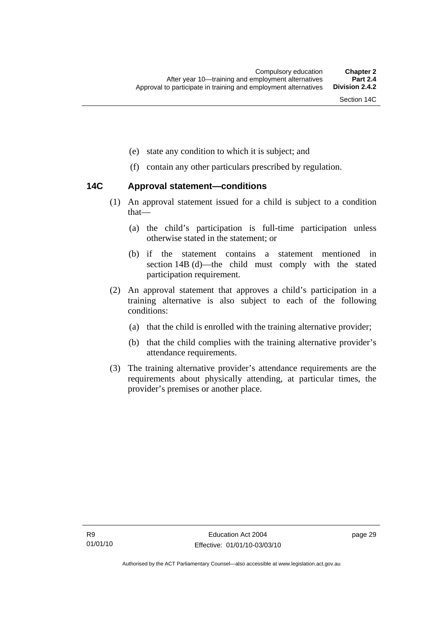- (e) state any condition to which it is subject; and
- (f) contain any other particulars prescribed by regulation.

### **14C Approval statement—conditions**

- (1) An approval statement issued for a child is subject to a condition that—
	- (a) the child's participation is full-time participation unless otherwise stated in the statement; or
	- (b) if the statement contains a statement mentioned in section 14B (d)—the child must comply with the stated participation requirement.
- (2) An approval statement that approves a child's participation in a training alternative is also subject to each of the following conditions:
	- (a) that the child is enrolled with the training alternative provider;
	- (b) that the child complies with the training alternative provider's attendance requirements.
- (3) The training alternative provider's attendance requirements are the requirements about physically attending, at particular times, the provider's premises or another place.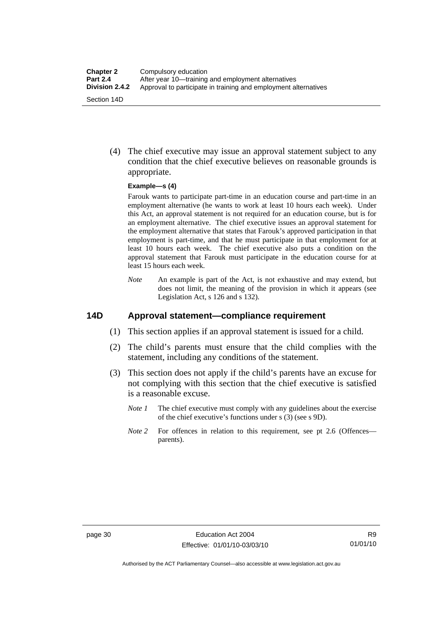(4) The chief executive may issue an approval statement subject to any condition that the chief executive believes on reasonable grounds is appropriate.

#### **Example—s (4)**

Farouk wants to participate part-time in an education course and part-time in an employment alternative (he wants to work at least 10 hours each week). Under this Act, an approval statement is not required for an education course, but is for an employment alternative. The chief executive issues an approval statement for the employment alternative that states that Farouk's approved participation in that employment is part-time, and that he must participate in that employment for at least 10 hours each week. The chief executive also puts a condition on the approval statement that Farouk must participate in the education course for at least 15 hours each week.

*Note* An example is part of the Act, is not exhaustive and may extend, but does not limit, the meaning of the provision in which it appears (see Legislation Act, s 126 and s 132).

### **14D Approval statement—compliance requirement**

- (1) This section applies if an approval statement is issued for a child.
- (2) The child's parents must ensure that the child complies with the statement, including any conditions of the statement.
- (3) This section does not apply if the child's parents have an excuse for not complying with this section that the chief executive is satisfied is a reasonable excuse.
	- *Note 1* The chief executive must comply with any guidelines about the exercise of the chief executive's functions under s (3) (see s 9D).
	- *Note 2* For offences in relation to this requirement, see pt 2.6 (Offences parents).

Authorised by the ACT Parliamentary Counsel—also accessible at www.legislation.act.gov.au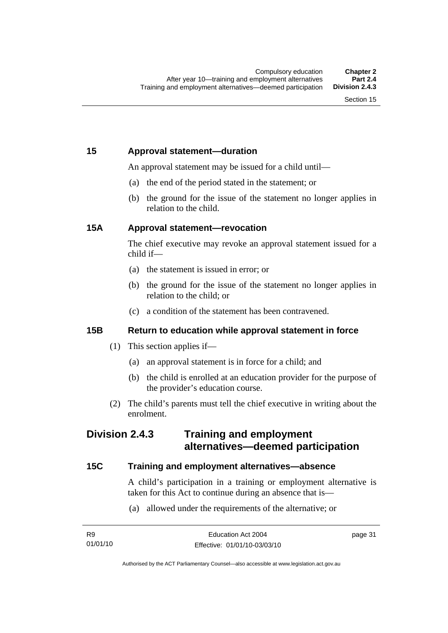# **15 Approval statement—duration**

An approval statement may be issued for a child until—

- (a) the end of the period stated in the statement; or
- (b) the ground for the issue of the statement no longer applies in relation to the child.

# **15A Approval statement—revocation**

The chief executive may revoke an approval statement issued for a child if—

- (a) the statement is issued in error; or
- (b) the ground for the issue of the statement no longer applies in relation to the child; or
- (c) a condition of the statement has been contravened.

# **15B Return to education while approval statement in force**

- (1) This section applies if—
	- (a) an approval statement is in force for a child; and
	- (b) the child is enrolled at an education provider for the purpose of the provider's education course.
- (2) The child's parents must tell the chief executive in writing about the enrolment.

# **Division 2.4.3 Training and employment alternatives—deemed participation**

# **15C Training and employment alternatives—absence**

A child's participation in a training or employment alternative is taken for this Act to continue during an absence that is—

(a) allowed under the requirements of the alternative; or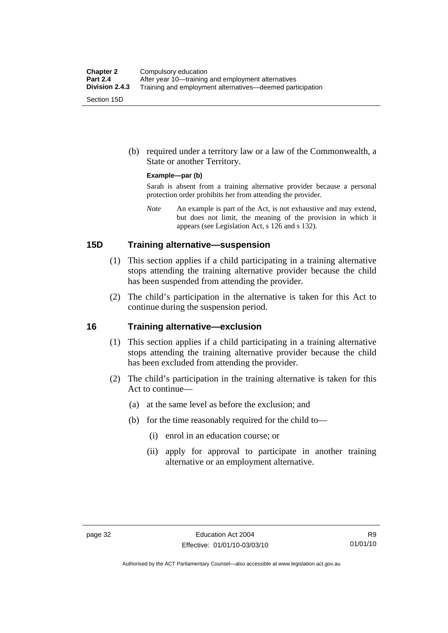(b) required under a territory law or a law of the Commonwealth, a State or another Territory.

#### **Example—par (b)**

Sarah is absent from a training alternative provider because a personal protection order prohibits her from attending the provider.

*Note* An example is part of the Act, is not exhaustive and may extend, but does not limit, the meaning of the provision in which it appears (see Legislation Act, s 126 and s 132).

### **15D Training alternative—suspension**

- (1) This section applies if a child participating in a training alternative stops attending the training alternative provider because the child has been suspended from attending the provider.
- (2) The child's participation in the alternative is taken for this Act to continue during the suspension period.

### **16 Training alternative—exclusion**

- (1) This section applies if a child participating in a training alternative stops attending the training alternative provider because the child has been excluded from attending the provider.
- (2) The child's participation in the training alternative is taken for this Act to continue—
	- (a) at the same level as before the exclusion; and
	- (b) for the time reasonably required for the child to—
		- (i) enrol in an education course; or
		- (ii) apply for approval to participate in another training alternative or an employment alternative.

Authorised by the ACT Parliamentary Counsel—also accessible at www.legislation.act.gov.au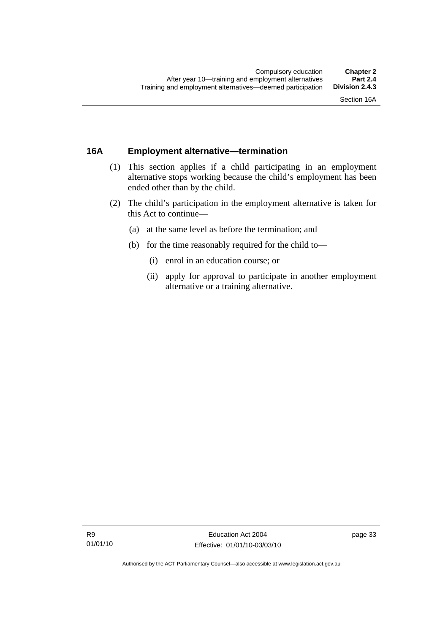# **16A Employment alternative—termination**

- (1) This section applies if a child participating in an employment alternative stops working because the child's employment has been ended other than by the child.
- (2) The child's participation in the employment alternative is taken for this Act to continue—
	- (a) at the same level as before the termination; and
	- (b) for the time reasonably required for the child to—
		- (i) enrol in an education course; or
		- (ii) apply for approval to participate in another employment alternative or a training alternative.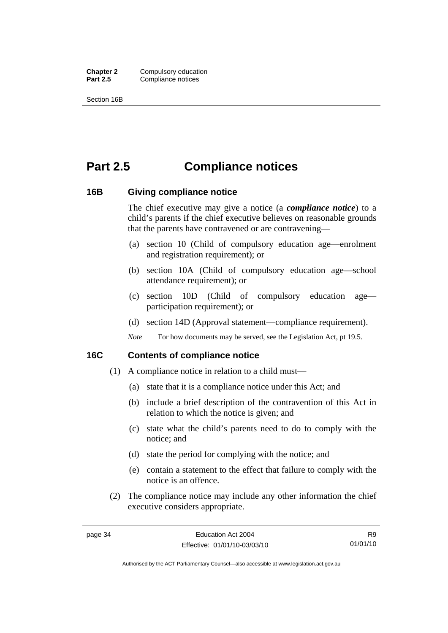**Chapter 2** Compulsory education<br>**Part 2.5** Compliance notices **Compliance notices** 

Section 16B

# **Part 2.5 Compliance notices**

#### **16B Giving compliance notice**

The chief executive may give a notice (a *compliance notice*) to a child's parents if the chief executive believes on reasonable grounds that the parents have contravened or are contravening—

- (a) section 10 (Child of compulsory education age—enrolment and registration requirement); or
- (b) section 10A (Child of compulsory education age—school attendance requirement); or
- (c) section 10D (Child of compulsory education age participation requirement); or
- (d) section 14D (Approval statement—compliance requirement).
- *Note* For how documents may be served, see the Legislation Act, pt 19.5.

#### **16C Contents of compliance notice**

- (1) A compliance notice in relation to a child must—
	- (a) state that it is a compliance notice under this Act; and
	- (b) include a brief description of the contravention of this Act in relation to which the notice is given; and
	- (c) state what the child's parents need to do to comply with the notice; and
	- (d) state the period for complying with the notice; and
	- (e) contain a statement to the effect that failure to comply with the notice is an offence.
- (2) The compliance notice may include any other information the chief executive considers appropriate.

Authorised by the ACT Parliamentary Counsel—also accessible at www.legislation.act.gov.au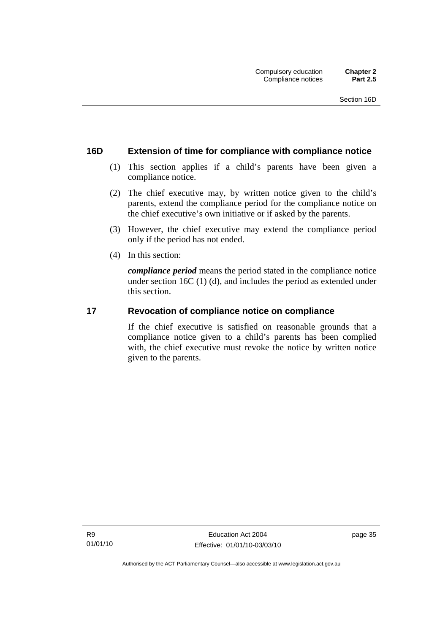### **16D Extension of time for compliance with compliance notice**

- (1) This section applies if a child's parents have been given a compliance notice.
- (2) The chief executive may, by written notice given to the child's parents, extend the compliance period for the compliance notice on the chief executive's own initiative or if asked by the parents.
- (3) However, the chief executive may extend the compliance period only if the period has not ended.
- (4) In this section:

*compliance period* means the period stated in the compliance notice under section 16C (1) (d), and includes the period as extended under this section.

#### **17 Revocation of compliance notice on compliance**

If the chief executive is satisfied on reasonable grounds that a compliance notice given to a child's parents has been complied with, the chief executive must revoke the notice by written notice given to the parents.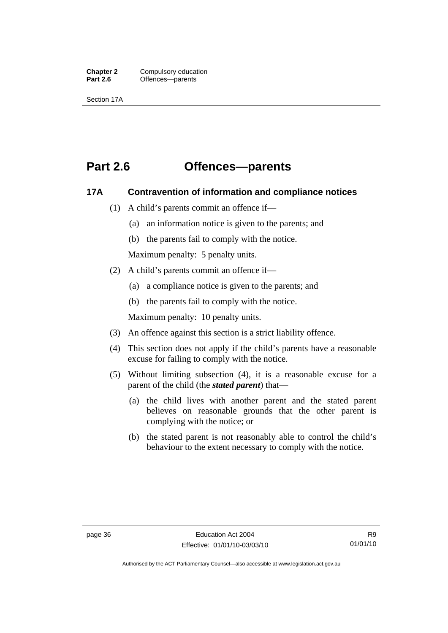**Chapter 2** Compulsory education<br> **Part 2.6 C** Offences—parents Offences—parents

Section 17A

# **Part 2.6 Offences—parents**

### **17A Contravention of information and compliance notices**

- (1) A child's parents commit an offence if—
	- (a) an information notice is given to the parents; and
	- (b) the parents fail to comply with the notice.

Maximum penalty: 5 penalty units.

- (2) A child's parents commit an offence if—
	- (a) a compliance notice is given to the parents; and
	- (b) the parents fail to comply with the notice.

Maximum penalty: 10 penalty units.

- (3) An offence against this section is a strict liability offence.
- (4) This section does not apply if the child's parents have a reasonable excuse for failing to comply with the notice.
- (5) Without limiting subsection (4), it is a reasonable excuse for a parent of the child (the *stated parent*) that—
	- (a) the child lives with another parent and the stated parent believes on reasonable grounds that the other parent is complying with the notice; or
	- (b) the stated parent is not reasonably able to control the child's behaviour to the extent necessary to comply with the notice.

Authorised by the ACT Parliamentary Counsel—also accessible at www.legislation.act.gov.au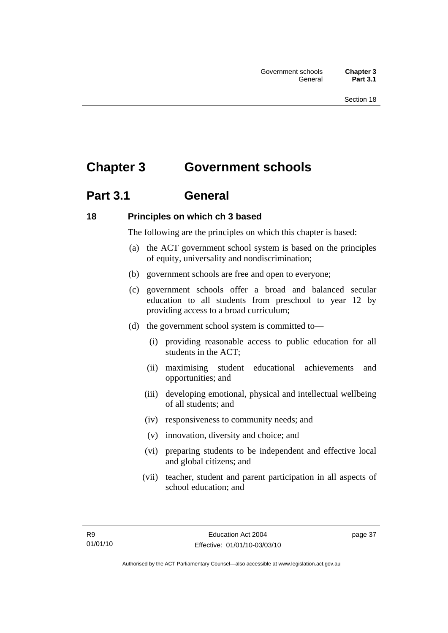# **Chapter 3 Government schools**

# **Part 3.1 General**

# **18 Principles on which ch 3 based**

The following are the principles on which this chapter is based:

- (a) the ACT government school system is based on the principles of equity, universality and nondiscrimination;
- (b) government schools are free and open to everyone;
- (c) government schools offer a broad and balanced secular education to all students from preschool to year 12 by providing access to a broad curriculum;
- (d) the government school system is committed to—
	- (i) providing reasonable access to public education for all students in the ACT;
	- (ii) maximising student educational achievements and opportunities; and
	- (iii) developing emotional, physical and intellectual wellbeing of all students; and
	- (iv) responsiveness to community needs; and
	- (v) innovation, diversity and choice; and
	- (vi) preparing students to be independent and effective local and global citizens; and
	- (vii) teacher, student and parent participation in all aspects of school education; and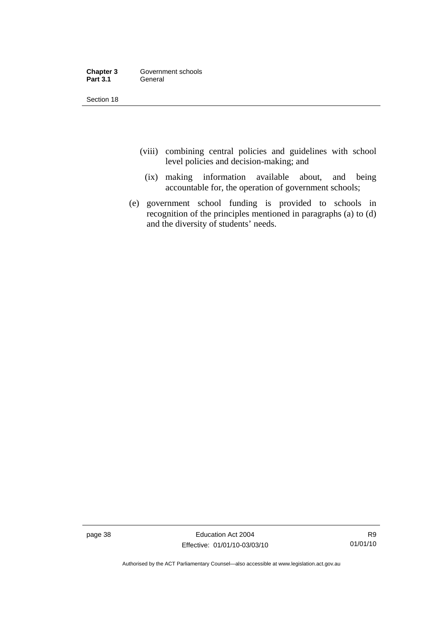| Chapter 3       | Government schools |
|-----------------|--------------------|
| <b>Part 3.1</b> | General            |

Section 18

- (viii) combining central policies and guidelines with school level policies and decision-making; and
	- (ix) making information available about, and being accountable for, the operation of government schools;
- (e) government school funding is provided to schools in recognition of the principles mentioned in paragraphs (a) to (d) and the diversity of students' needs.

page 38 Education Act 2004 Effective: 01/01/10-03/03/10

Authorised by the ACT Parliamentary Counsel—also accessible at www.legislation.act.gov.au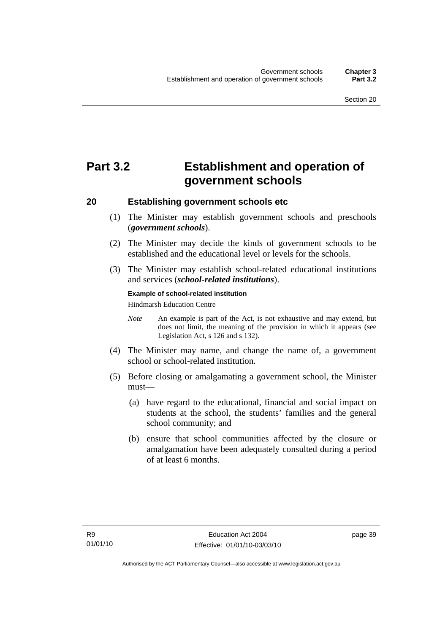# **Part 3.2 Establishment and operation of government schools**

### **20 Establishing government schools etc**

- (1) The Minister may establish government schools and preschools (*government schools*).
- (2) The Minister may decide the kinds of government schools to be established and the educational level or levels for the schools.
- (3) The Minister may establish school-related educational institutions and services (*school-related institutions*).

#### **Example of school-related institution**

Hindmarsh Education Centre

- *Note* An example is part of the Act, is not exhaustive and may extend, but does not limit, the meaning of the provision in which it appears (see Legislation Act, s 126 and s 132).
- (4) The Minister may name, and change the name of, a government school or school-related institution.
- (5) Before closing or amalgamating a government school, the Minister must—
	- (a) have regard to the educational, financial and social impact on students at the school, the students' families and the general school community; and
	- (b) ensure that school communities affected by the closure or amalgamation have been adequately consulted during a period of at least 6 months.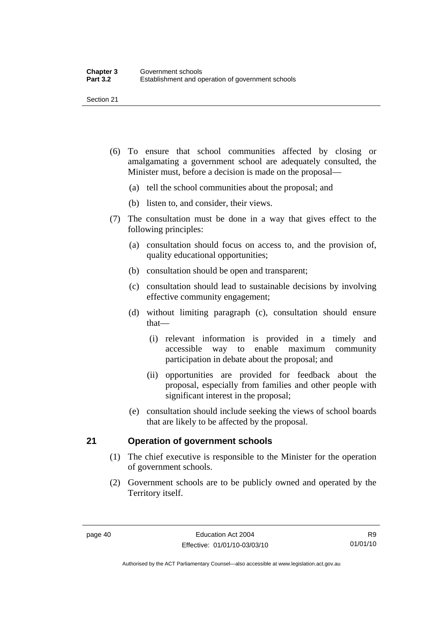- (6) To ensure that school communities affected by closing or amalgamating a government school are adequately consulted, the Minister must, before a decision is made on the proposal—
	- (a) tell the school communities about the proposal; and
	- (b) listen to, and consider, their views.
- (7) The consultation must be done in a way that gives effect to the following principles:
	- (a) consultation should focus on access to, and the provision of, quality educational opportunities;
	- (b) consultation should be open and transparent;
	- (c) consultation should lead to sustainable decisions by involving effective community engagement;
	- (d) without limiting paragraph (c), consultation should ensure that—
		- (i) relevant information is provided in a timely and accessible way to enable maximum community participation in debate about the proposal; and
		- (ii) opportunities are provided for feedback about the proposal, especially from families and other people with significant interest in the proposal;
	- (e) consultation should include seeking the views of school boards that are likely to be affected by the proposal.

### **21 Operation of government schools**

- (1) The chief executive is responsible to the Minister for the operation of government schools.
- (2) Government schools are to be publicly owned and operated by the Territory itself.

Authorised by the ACT Parliamentary Counsel—also accessible at www.legislation.act.gov.au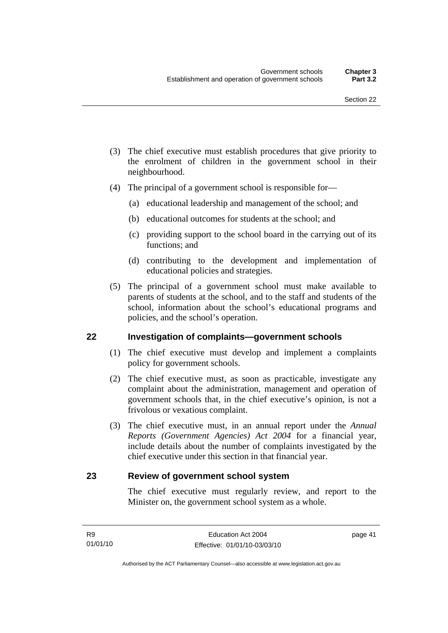- (3) The chief executive must establish procedures that give priority to the enrolment of children in the government school in their neighbourhood.
- (4) The principal of a government school is responsible for—
	- (a) educational leadership and management of the school; and
	- (b) educational outcomes for students at the school; and
	- (c) providing support to the school board in the carrying out of its functions; and
	- (d) contributing to the development and implementation of educational policies and strategies.
- (5) The principal of a government school must make available to parents of students at the school, and to the staff and students of the school, information about the school's educational programs and policies, and the school's operation.

### **22 Investigation of complaints—government schools**

- (1) The chief executive must develop and implement a complaints policy for government schools.
- (2) The chief executive must, as soon as practicable, investigate any complaint about the administration, management and operation of government schools that, in the chief executive's opinion, is not a frivolous or vexatious complaint.
- (3) The chief executive must, in an annual report under the *Annual Reports (Government Agencies) Act 2004* for a financial year, include details about the number of complaints investigated by the chief executive under this section in that financial year.

#### **23 Review of government school system**

The chief executive must regularly review, and report to the Minister on, the government school system as a whole.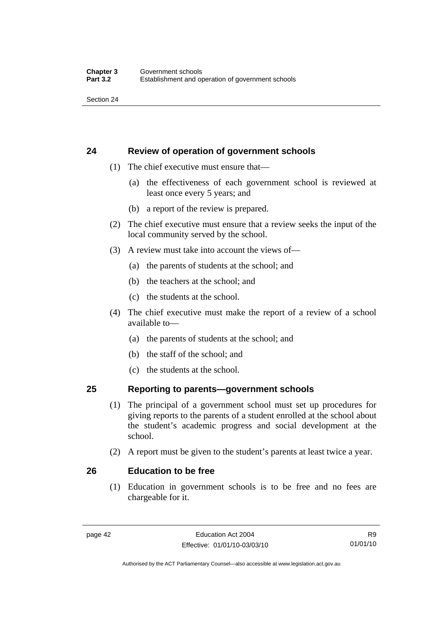Section 24

# **24 Review of operation of government schools**

- (1) The chief executive must ensure that—
	- (a) the effectiveness of each government school is reviewed at least once every 5 years; and
	- (b) a report of the review is prepared.
- (2) The chief executive must ensure that a review seeks the input of the local community served by the school.
- (3) A review must take into account the views of—
	- (a) the parents of students at the school; and
	- (b) the teachers at the school; and
	- (c) the students at the school.
- (4) The chief executive must make the report of a review of a school available to—
	- (a) the parents of students at the school; and
	- (b) the staff of the school; and
	- (c) the students at the school.

### **25 Reporting to parents—government schools**

- (1) The principal of a government school must set up procedures for giving reports to the parents of a student enrolled at the school about the student's academic progress and social development at the school.
- (2) A report must be given to the student's parents at least twice a year.

### **26 Education to be free**

 (1) Education in government schools is to be free and no fees are chargeable for it.

R9 01/01/10

Authorised by the ACT Parliamentary Counsel—also accessible at www.legislation.act.gov.au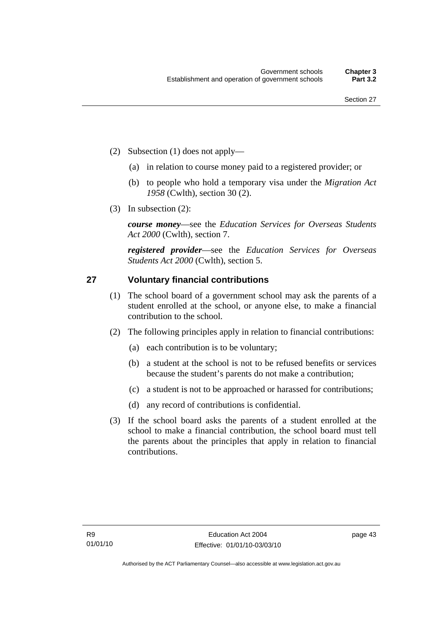- (2) Subsection (1) does not apply—
	- (a) in relation to course money paid to a registered provider; or
	- (b) to people who hold a temporary visa under the *Migration Act 1958* (Cwlth), section 30 (2).
- (3) In subsection (2):

*course money*—see the *Education Services for Overseas Students Act 2000* (Cwlth), section 7.

*registered provider*—see the *Education Services for Overseas Students Act 2000* (Cwlth), section 5.

# **27 Voluntary financial contributions**

- (1) The school board of a government school may ask the parents of a student enrolled at the school, or anyone else, to make a financial contribution to the school.
- (2) The following principles apply in relation to financial contributions:
	- (a) each contribution is to be voluntary;
	- (b) a student at the school is not to be refused benefits or services because the student's parents do not make a contribution;
	- (c) a student is not to be approached or harassed for contributions;
	- (d) any record of contributions is confidential.
- (3) If the school board asks the parents of a student enrolled at the school to make a financial contribution, the school board must tell the parents about the principles that apply in relation to financial contributions.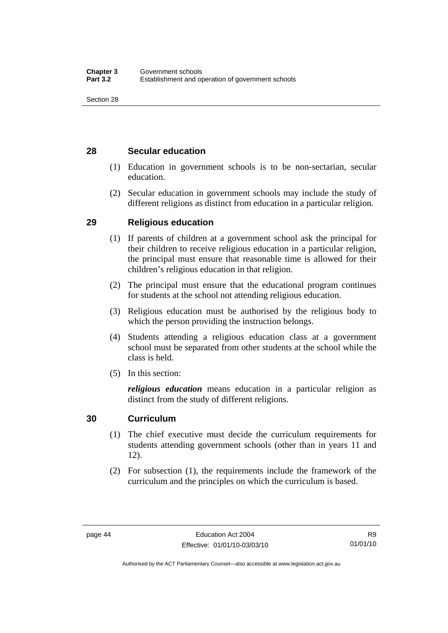# **28 Secular education**

- (1) Education in government schools is to be non-sectarian, secular education.
- (2) Secular education in government schools may include the study of different religions as distinct from education in a particular religion.

# **29 Religious education**

- (1) If parents of children at a government school ask the principal for their children to receive religious education in a particular religion, the principal must ensure that reasonable time is allowed for their children's religious education in that religion.
- (2) The principal must ensure that the educational program continues for students at the school not attending religious education.
- (3) Religious education must be authorised by the religious body to which the person providing the instruction belongs.
- (4) Students attending a religious education class at a government school must be separated from other students at the school while the class is held.
- (5) In this section:

*religious education* means education in a particular religion as distinct from the study of different religions.

# **30 Curriculum**

- (1) The chief executive must decide the curriculum requirements for students attending government schools (other than in years 11 and 12).
- (2) For subsection (1), the requirements include the framework of the curriculum and the principles on which the curriculum is based.

Authorised by the ACT Parliamentary Counsel—also accessible at www.legislation.act.gov.au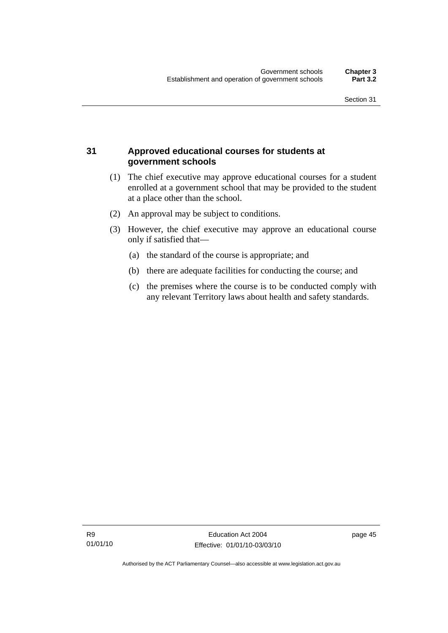# **31 Approved educational courses for students at government schools**

- (1) The chief executive may approve educational courses for a student enrolled at a government school that may be provided to the student at a place other than the school.
- (2) An approval may be subject to conditions.
- (3) However, the chief executive may approve an educational course only if satisfied that—
	- (a) the standard of the course is appropriate; and
	- (b) there are adequate facilities for conducting the course; and
	- (c) the premises where the course is to be conducted comply with any relevant Territory laws about health and safety standards.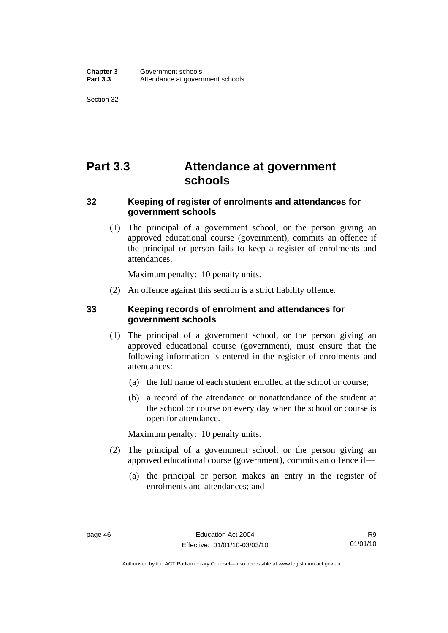Section 32

# **Part 3.3 Attendance at government schools**

# **32 Keeping of register of enrolments and attendances for government schools**

 (1) The principal of a government school, or the person giving an approved educational course (government), commits an offence if the principal or person fails to keep a register of enrolments and attendances.

Maximum penalty: 10 penalty units.

(2) An offence against this section is a strict liability offence.

# **33 Keeping records of enrolment and attendances for government schools**

- (1) The principal of a government school, or the person giving an approved educational course (government), must ensure that the following information is entered in the register of enrolments and attendances:
	- (a) the full name of each student enrolled at the school or course;
	- (b) a record of the attendance or nonattendance of the student at the school or course on every day when the school or course is open for attendance.

Maximum penalty: 10 penalty units.

- (2) The principal of a government school, or the person giving an approved educational course (government), commits an offence if—
	- (a) the principal or person makes an entry in the register of enrolments and attendances; and

Authorised by the ACT Parliamentary Counsel—also accessible at www.legislation.act.gov.au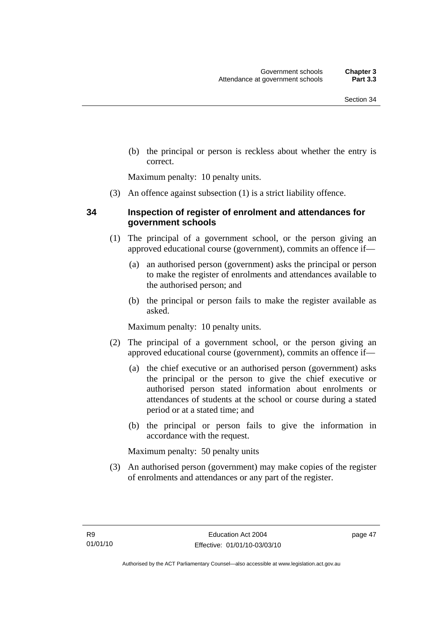(b) the principal or person is reckless about whether the entry is correct.

Maximum penalty: 10 penalty units.

(3) An offence against subsection (1) is a strict liability offence.

# **34 Inspection of register of enrolment and attendances for government schools**

- (1) The principal of a government school, or the person giving an approved educational course (government), commits an offence if—
	- (a) an authorised person (government) asks the principal or person to make the register of enrolments and attendances available to the authorised person; and
	- (b) the principal or person fails to make the register available as asked.

Maximum penalty: 10 penalty units.

- (2) The principal of a government school, or the person giving an approved educational course (government), commits an offence if—
	- (a) the chief executive or an authorised person (government) asks the principal or the person to give the chief executive or authorised person stated information about enrolments or attendances of students at the school or course during a stated period or at a stated time; and
	- (b) the principal or person fails to give the information in accordance with the request.

Maximum penalty: 50 penalty units

 (3) An authorised person (government) may make copies of the register of enrolments and attendances or any part of the register.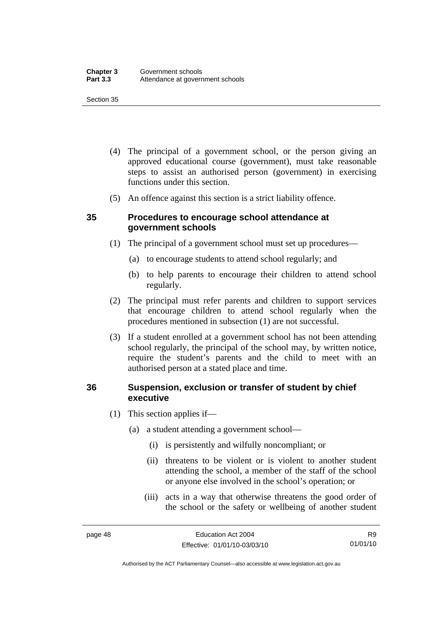#### Section 35

- (4) The principal of a government school, or the person giving an approved educational course (government), must take reasonable steps to assist an authorised person (government) in exercising functions under this section.
- (5) An offence against this section is a strict liability offence.

### **35 Procedures to encourage school attendance at government schools**

- (1) The principal of a government school must set up procedures—
	- (a) to encourage students to attend school regularly; and
	- (b) to help parents to encourage their children to attend school regularly.
- (2) The principal must refer parents and children to support services that encourage children to attend school regularly when the procedures mentioned in subsection (1) are not successful.
- (3) If a student enrolled at a government school has not been attending school regularly, the principal of the school may, by written notice, require the student's parents and the child to meet with an authorised person at a stated place and time.

# **36 Suspension, exclusion or transfer of student by chief executive**

- (1) This section applies if—
	- (a) a student attending a government school—
		- (i) is persistently and wilfully noncompliant; or
		- (ii) threatens to be violent or is violent to another student attending the school, a member of the staff of the school or anyone else involved in the school's operation; or
		- (iii) acts in a way that otherwise threatens the good order of the school or the safety or wellbeing of another student

Authorised by the ACT Parliamentary Counsel—also accessible at www.legislation.act.gov.au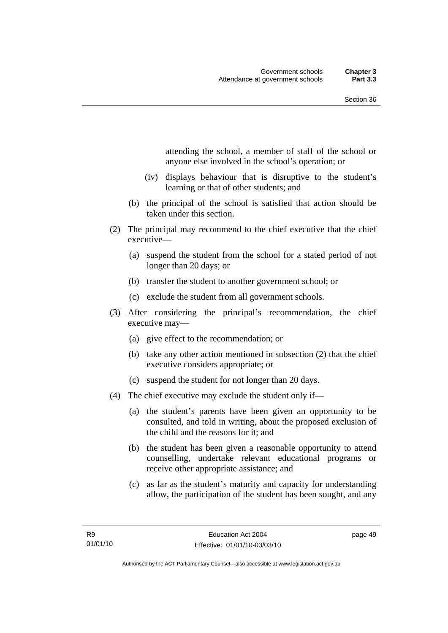attending the school, a member of staff of the school or anyone else involved in the school's operation; or

- (iv) displays behaviour that is disruptive to the student's learning or that of other students; and
- (b) the principal of the school is satisfied that action should be taken under this section.
- (2) The principal may recommend to the chief executive that the chief executive—
	- (a) suspend the student from the school for a stated period of not longer than 20 days; or
	- (b) transfer the student to another government school; or
	- (c) exclude the student from all government schools.
- (3) After considering the principal's recommendation, the chief executive may—
	- (a) give effect to the recommendation; or
	- (b) take any other action mentioned in subsection (2) that the chief executive considers appropriate; or
	- (c) suspend the student for not longer than 20 days.
- (4) The chief executive may exclude the student only if—
	- (a) the student's parents have been given an opportunity to be consulted, and told in writing, about the proposed exclusion of the child and the reasons for it; and
	- (b) the student has been given a reasonable opportunity to attend counselling, undertake relevant educational programs or receive other appropriate assistance; and
	- (c) as far as the student's maturity and capacity for understanding allow, the participation of the student has been sought, and any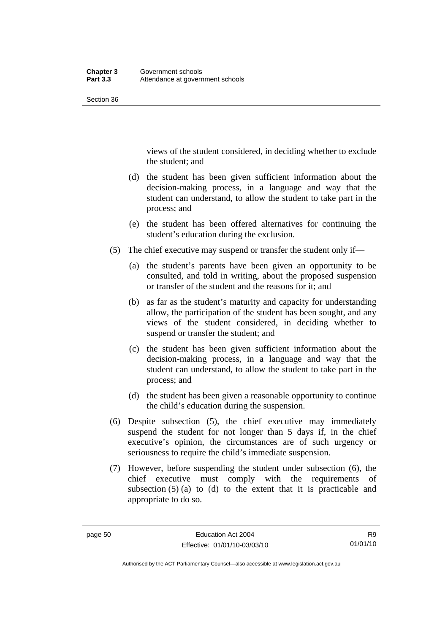Section 36

views of the student considered, in deciding whether to exclude the student; and

- (d) the student has been given sufficient information about the decision-making process, in a language and way that the student can understand, to allow the student to take part in the process; and
- (e) the student has been offered alternatives for continuing the student's education during the exclusion.
- (5) The chief executive may suspend or transfer the student only if—
	- (a) the student's parents have been given an opportunity to be consulted, and told in writing, about the proposed suspension or transfer of the student and the reasons for it; and
	- (b) as far as the student's maturity and capacity for understanding allow, the participation of the student has been sought, and any views of the student considered, in deciding whether to suspend or transfer the student; and
	- (c) the student has been given sufficient information about the decision-making process, in a language and way that the student can understand, to allow the student to take part in the process; and
	- (d) the student has been given a reasonable opportunity to continue the child's education during the suspension.
- (6) Despite subsection (5), the chief executive may immediately suspend the student for not longer than 5 days if, in the chief executive's opinion, the circumstances are of such urgency or seriousness to require the child's immediate suspension.
- (7) However, before suspending the student under subsection (6), the chief executive must comply with the requirements of subsection  $(5)$  (a) to (d) to the extent that it is practicable and appropriate to do so.

R9 01/01/10

Authorised by the ACT Parliamentary Counsel—also accessible at www.legislation.act.gov.au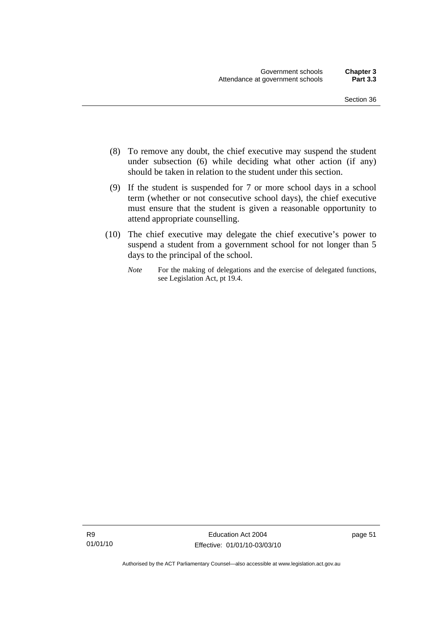- (8) To remove any doubt, the chief executive may suspend the student under subsection (6) while deciding what other action (if any) should be taken in relation to the student under this section.
- (9) If the student is suspended for 7 or more school days in a school term (whether or not consecutive school days), the chief executive must ensure that the student is given a reasonable opportunity to attend appropriate counselling.
- (10) The chief executive may delegate the chief executive's power to suspend a student from a government school for not longer than 5 days to the principal of the school.
	- *Note* For the making of delegations and the exercise of delegated functions, see Legislation Act, pt 19.4.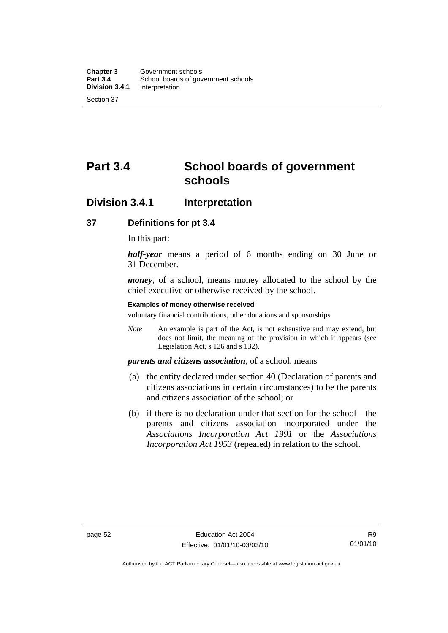# **Part 3.4 School boards of government schools**

# **Division 3.4.1 Interpretation**

#### **37 Definitions for pt 3.4**

In this part:

*half-year* means a period of 6 months ending on 30 June or 31 December.

*money*, of a school, means money allocated to the school by the chief executive or otherwise received by the school.

#### **Examples of money otherwise received**

voluntary financial contributions, other donations and sponsorships

*Note* An example is part of the Act, is not exhaustive and may extend, but does not limit, the meaning of the provision in which it appears (see Legislation Act, s 126 and s 132).

### *parents and citizens association*, of a school, means

- (a) the entity declared under section 40 (Declaration of parents and citizens associations in certain circumstances) to be the parents and citizens association of the school; or
- (b) if there is no declaration under that section for the school—the parents and citizens association incorporated under the *Associations Incorporation Act 1991* or the *Associations Incorporation Act 1953* (repealed) in relation to the school.

Authorised by the ACT Parliamentary Counsel—also accessible at www.legislation.act.gov.au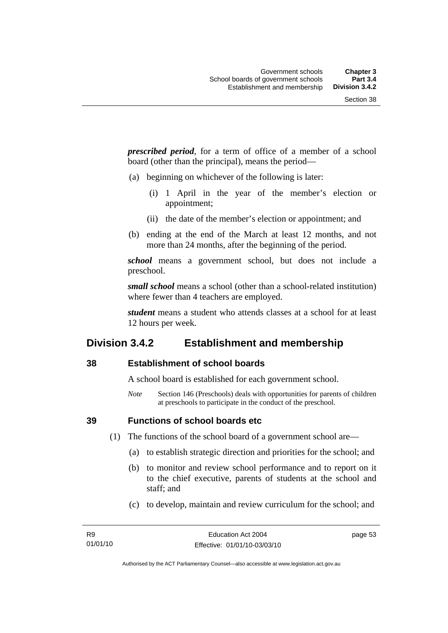*prescribed period*, for a term of office of a member of a school board (other than the principal), means the period—

- (a) beginning on whichever of the following is later:
	- (i) 1 April in the year of the member's election or appointment;
	- (ii) the date of the member's election or appointment; and
- (b) ending at the end of the March at least 12 months, and not more than 24 months, after the beginning of the period.

*school* means a government school, but does not include a preschool.

*small school* means a school (other than a school-related institution) where fewer than 4 teachers are employed.

*student* means a student who attends classes at a school for at least 12 hours per week.

# **Division 3.4.2 Establishment and membership**

### **38 Establishment of school boards**

A school board is established for each government school.

*Note* Section 146 (Preschools) deals with opportunities for parents of children at preschools to participate in the conduct of the preschool.

**39 Functions of school boards etc** 

(1) The functions of the school board of a government school are—

- (a) to establish strategic direction and priorities for the school; and
- (b) to monitor and review school performance and to report on it to the chief executive, parents of students at the school and staff; and
- (c) to develop, maintain and review curriculum for the school; and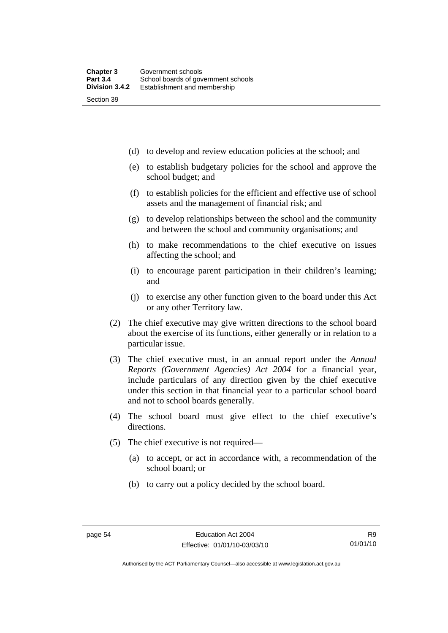(d) to develop and review education policies at the school; and

- (e) to establish budgetary policies for the school and approve the school budget; and
- (f) to establish policies for the efficient and effective use of school assets and the management of financial risk; and
- (g) to develop relationships between the school and the community and between the school and community organisations; and
- (h) to make recommendations to the chief executive on issues affecting the school; and
- (i) to encourage parent participation in their children's learning; and
- (j) to exercise any other function given to the board under this Act or any other Territory law.
- (2) The chief executive may give written directions to the school board about the exercise of its functions, either generally or in relation to a particular issue.
- (3) The chief executive must, in an annual report under the *Annual Reports (Government Agencies) Act 2004* for a financial year, include particulars of any direction given by the chief executive under this section in that financial year to a particular school board and not to school boards generally.
- (4) The school board must give effect to the chief executive's directions.
- (5) The chief executive is not required—
	- (a) to accept, or act in accordance with, a recommendation of the school board; or
	- (b) to carry out a policy decided by the school board.

Authorised by the ACT Parliamentary Counsel—also accessible at www.legislation.act.gov.au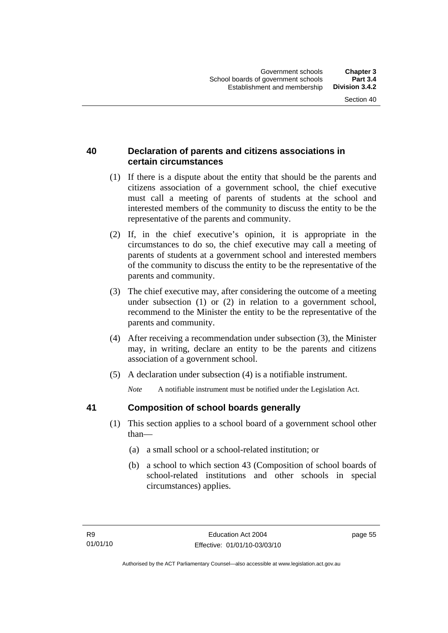# **40 Declaration of parents and citizens associations in certain circumstances**

- (1) If there is a dispute about the entity that should be the parents and citizens association of a government school, the chief executive must call a meeting of parents of students at the school and interested members of the community to discuss the entity to be the representative of the parents and community.
- (2) If, in the chief executive's opinion, it is appropriate in the circumstances to do so, the chief executive may call a meeting of parents of students at a government school and interested members of the community to discuss the entity to be the representative of the parents and community.
- (3) The chief executive may, after considering the outcome of a meeting under subsection (1) or (2) in relation to a government school, recommend to the Minister the entity to be the representative of the parents and community.
- (4) After receiving a recommendation under subsection (3), the Minister may, in writing, declare an entity to be the parents and citizens association of a government school.
- (5) A declaration under subsection (4) is a notifiable instrument.

*Note* A notifiable instrument must be notified under the Legislation Act.

# **41 Composition of school boards generally**

- (1) This section applies to a school board of a government school other than—
	- (a) a small school or a school-related institution; or
	- (b) a school to which section 43 (Composition of school boards of school-related institutions and other schools in special circumstances) applies.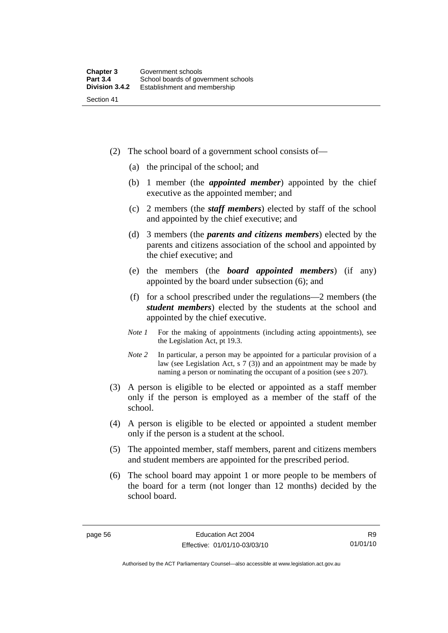- (2) The school board of a government school consists of—
	- (a) the principal of the school; and
	- (b) 1 member (the *appointed member*) appointed by the chief executive as the appointed member; and
	- (c) 2 members (the *staff members*) elected by staff of the school and appointed by the chief executive; and
	- (d) 3 members (the *parents and citizens members*) elected by the parents and citizens association of the school and appointed by the chief executive; and
	- (e) the members (the *board appointed members*) (if any) appointed by the board under subsection (6); and
	- (f) for a school prescribed under the regulations—2 members (the *student members*) elected by the students at the school and appointed by the chief executive.
	- *Note 1* For the making of appointments (including acting appointments), see the Legislation Act, pt 19.3.
	- *Note* 2 In particular, a person may be appointed for a particular provision of a law (see Legislation Act, s 7 (3)) and an appointment may be made by naming a person or nominating the occupant of a position (see s 207).
- (3) A person is eligible to be elected or appointed as a staff member only if the person is employed as a member of the staff of the school.
- (4) A person is eligible to be elected or appointed a student member only if the person is a student at the school.
- (5) The appointed member, staff members, parent and citizens members and student members are appointed for the prescribed period.
- (6) The school board may appoint 1 or more people to be members of the board for a term (not longer than 12 months) decided by the school board.

Authorised by the ACT Parliamentary Counsel—also accessible at www.legislation.act.gov.au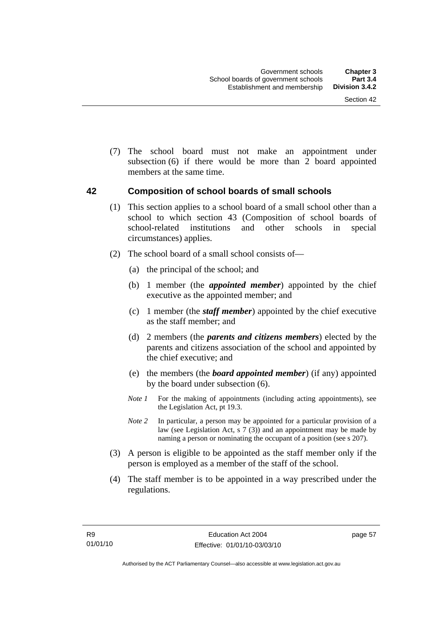(7) The school board must not make an appointment under subsection (6) if there would be more than 2 board appointed members at the same time.

### **42 Composition of school boards of small schools**

- (1) This section applies to a school board of a small school other than a school to which section 43 (Composition of school boards of school-related institutions and other schools in special circumstances) applies.
- (2) The school board of a small school consists of—
	- (a) the principal of the school; and
	- (b) 1 member (the *appointed member*) appointed by the chief executive as the appointed member; and
	- (c) 1 member (the *staff member*) appointed by the chief executive as the staff member; and
	- (d) 2 members (the *parents and citizens members*) elected by the parents and citizens association of the school and appointed by the chief executive; and
	- (e) the members (the *board appointed member*) (if any) appointed by the board under subsection (6).
	- *Note 1* For the making of appointments (including acting appointments), see the Legislation Act, pt 19.3.
	- *Note* 2 In particular, a person may be appointed for a particular provision of a law (see Legislation Act, s 7 (3)) and an appointment may be made by naming a person or nominating the occupant of a position (see s 207).
- (3) A person is eligible to be appointed as the staff member only if the person is employed as a member of the staff of the school.
- (4) The staff member is to be appointed in a way prescribed under the regulations.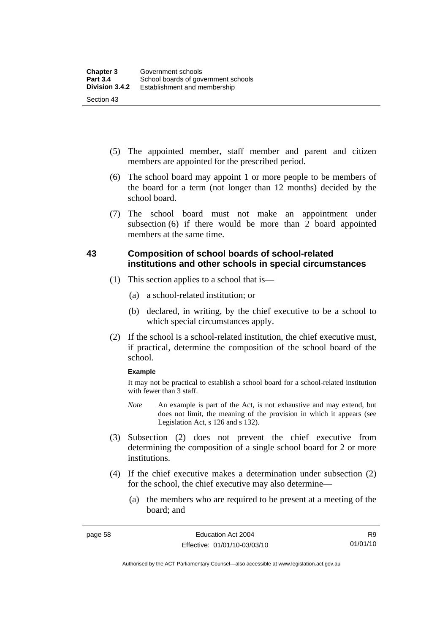- (5) The appointed member, staff member and parent and citizen members are appointed for the prescribed period.
- (6) The school board may appoint 1 or more people to be members of the board for a term (not longer than 12 months) decided by the school board.
- (7) The school board must not make an appointment under subsection (6) if there would be more than 2 board appointed members at the same time.

# **43 Composition of school boards of school-related institutions and other schools in special circumstances**

- (1) This section applies to a school that is—
	- (a) a school-related institution; or
	- (b) declared, in writing, by the chief executive to be a school to which special circumstances apply.
- (2) If the school is a school-related institution, the chief executive must, if practical, determine the composition of the school board of the school.

#### **Example**

It may not be practical to establish a school board for a school-related institution with fewer than 3 staff.

- *Note* An example is part of the Act, is not exhaustive and may extend, but does not limit, the meaning of the provision in which it appears (see Legislation Act, s 126 and s 132).
- (3) Subsection (2) does not prevent the chief executive from determining the composition of a single school board for 2 or more institutions.
- (4) If the chief executive makes a determination under subsection (2) for the school, the chief executive may also determine—
	- (a) the members who are required to be present at a meeting of the board; and

Authorised by the ACT Parliamentary Counsel—also accessible at www.legislation.act.gov.au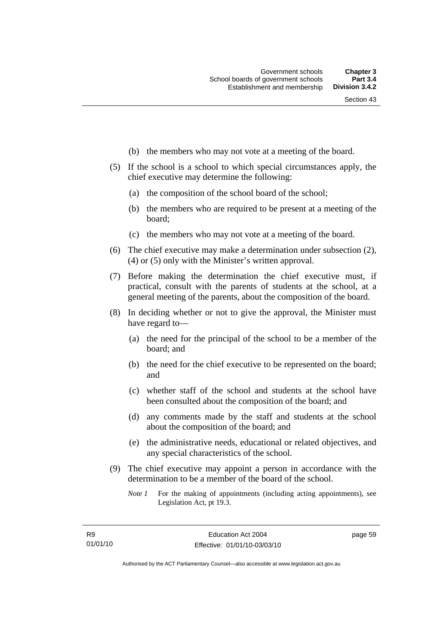- (b) the members who may not vote at a meeting of the board.
- (5) If the school is a school to which special circumstances apply, the chief executive may determine the following:
	- (a) the composition of the school board of the school;
	- (b) the members who are required to be present at a meeting of the board;
	- (c) the members who may not vote at a meeting of the board.
- (6) The chief executive may make a determination under subsection (2), (4) or (5) only with the Minister's written approval.
- (7) Before making the determination the chief executive must, if practical, consult with the parents of students at the school, at a general meeting of the parents, about the composition of the board.
- (8) In deciding whether or not to give the approval, the Minister must have regard to—
	- (a) the need for the principal of the school to be a member of the board; and
	- (b) the need for the chief executive to be represented on the board; and
	- (c) whether staff of the school and students at the school have been consulted about the composition of the board; and
	- (d) any comments made by the staff and students at the school about the composition of the board; and
	- (e) the administrative needs, educational or related objectives, and any special characteristics of the school.
- (9) The chief executive may appoint a person in accordance with the determination to be a member of the board of the school.
	- *Note 1* For the making of appointments (including acting appointments), see Legislation Act, pt 19.3.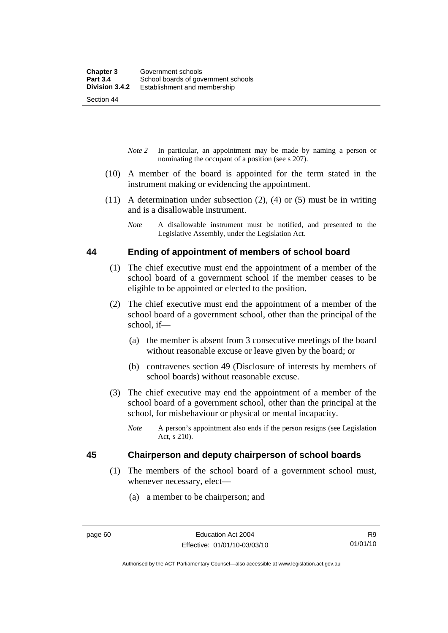Section 44

- *Note 2* In particular, an appointment may be made by naming a person or nominating the occupant of a position (see s 207).
- (10) A member of the board is appointed for the term stated in the instrument making or evidencing the appointment.
- (11) A determination under subsection (2), (4) or (5) must be in writing and is a disallowable instrument.
	- *Note* A disallowable instrument must be notified, and presented to the Legislative Assembly, under the Legislation Act.

#### **44 Ending of appointment of members of school board**

- (1) The chief executive must end the appointment of a member of the school board of a government school if the member ceases to be eligible to be appointed or elected to the position.
- (2) The chief executive must end the appointment of a member of the school board of a government school, other than the principal of the school, if—
	- (a) the member is absent from 3 consecutive meetings of the board without reasonable excuse or leave given by the board; or
	- (b) contravenes section 49 (Disclosure of interests by members of school boards) without reasonable excuse.
- (3) The chief executive may end the appointment of a member of the school board of a government school, other than the principal at the school, for misbehaviour or physical or mental incapacity.
	- *Note* A person's appointment also ends if the person resigns (see Legislation Act, s 210).

# **45 Chairperson and deputy chairperson of school boards**

- (1) The members of the school board of a government school must, whenever necessary, elect—
	- (a) a member to be chairperson; and

Authorised by the ACT Parliamentary Counsel—also accessible at www.legislation.act.gov.au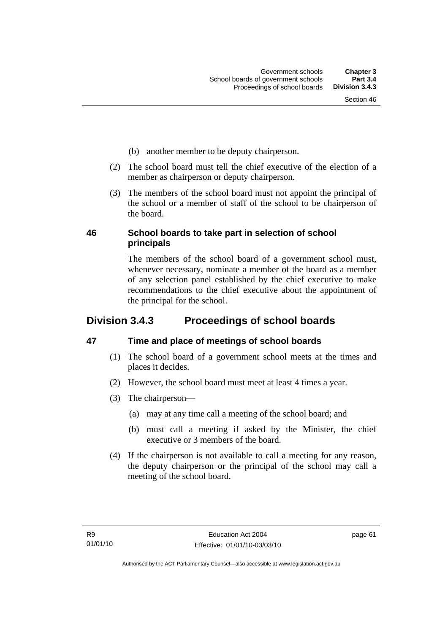- (b) another member to be deputy chairperson.
- (2) The school board must tell the chief executive of the election of a member as chairperson or deputy chairperson.
- (3) The members of the school board must not appoint the principal of the school or a member of staff of the school to be chairperson of the board.

# **46 School boards to take part in selection of school principals**

The members of the school board of a government school must, whenever necessary, nominate a member of the board as a member of any selection panel established by the chief executive to make recommendations to the chief executive about the appointment of the principal for the school.

# **Division 3.4.3 Proceedings of school boards**

# **47 Time and place of meetings of school boards**

- (1) The school board of a government school meets at the times and places it decides.
- (2) However, the school board must meet at least 4 times a year.
- (3) The chairperson—
	- (a) may at any time call a meeting of the school board; and
	- (b) must call a meeting if asked by the Minister, the chief executive or 3 members of the board.
- (4) If the chairperson is not available to call a meeting for any reason, the deputy chairperson or the principal of the school may call a meeting of the school board.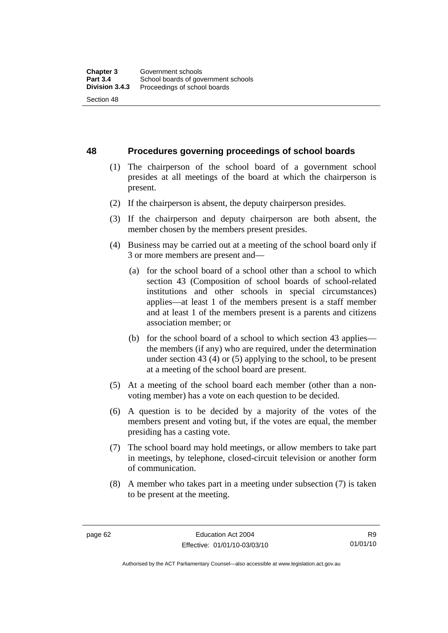**48 Procedures governing proceedings of school boards** 

- (1) The chairperson of the school board of a government school presides at all meetings of the board at which the chairperson is present.
- (2) If the chairperson is absent, the deputy chairperson presides.
- (3) If the chairperson and deputy chairperson are both absent, the member chosen by the members present presides.
- (4) Business may be carried out at a meeting of the school board only if 3 or more members are present and—
	- (a) for the school board of a school other than a school to which section 43 (Composition of school boards of school-related institutions and other schools in special circumstances) applies—at least 1 of the members present is a staff member and at least 1 of the members present is a parents and citizens association member; or
	- (b) for the school board of a school to which section 43 applies the members (if any) who are required, under the determination under section 43 (4) or (5) applying to the school, to be present at a meeting of the school board are present.
- (5) At a meeting of the school board each member (other than a nonvoting member) has a vote on each question to be decided.
- (6) A question is to be decided by a majority of the votes of the members present and voting but, if the votes are equal, the member presiding has a casting vote.
- (7) The school board may hold meetings, or allow members to take part in meetings, by telephone, closed-circuit television or another form of communication.
- (8) A member who takes part in a meeting under subsection (7) is taken to be present at the meeting.

Authorised by the ACT Parliamentary Counsel—also accessible at www.legislation.act.gov.au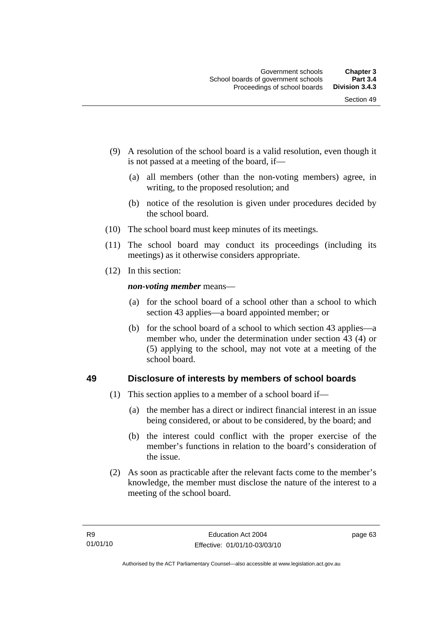- (9) A resolution of the school board is a valid resolution, even though it is not passed at a meeting of the board, if—
	- (a) all members (other than the non-voting members) agree, in writing, to the proposed resolution; and
	- (b) notice of the resolution is given under procedures decided by the school board.
- (10) The school board must keep minutes of its meetings.
- (11) The school board may conduct its proceedings (including its meetings) as it otherwise considers appropriate.
- (12) In this section:

*non-voting member* means—

- (a) for the school board of a school other than a school to which section 43 applies—a board appointed member; or
- (b) for the school board of a school to which section 43 applies—a member who, under the determination under section 43 (4) or (5) applying to the school, may not vote at a meeting of the school board.

# **49 Disclosure of interests by members of school boards**

- (1) This section applies to a member of a school board if—
	- (a) the member has a direct or indirect financial interest in an issue being considered, or about to be considered, by the board; and
	- (b) the interest could conflict with the proper exercise of the member's functions in relation to the board's consideration of the issue.
- (2) As soon as practicable after the relevant facts come to the member's knowledge, the member must disclose the nature of the interest to a meeting of the school board.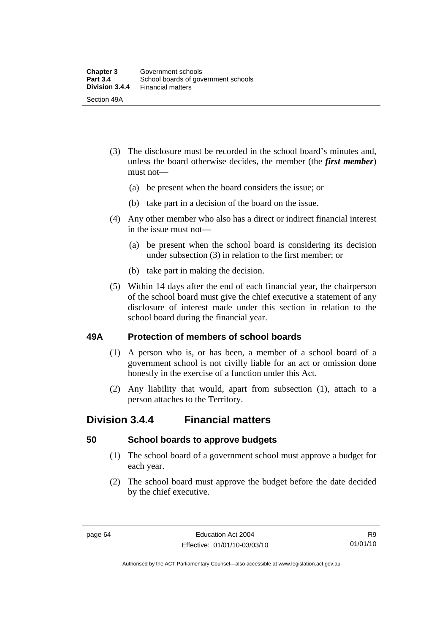- (3) The disclosure must be recorded in the school board's minutes and, unless the board otherwise decides, the member (the *first member*) must not—
	- (a) be present when the board considers the issue; or
	- (b) take part in a decision of the board on the issue.
- (4) Any other member who also has a direct or indirect financial interest in the issue must not—
	- (a) be present when the school board is considering its decision under subsection (3) in relation to the first member; or
	- (b) take part in making the decision.
- (5) Within 14 days after the end of each financial year, the chairperson of the school board must give the chief executive a statement of any disclosure of interest made under this section in relation to the school board during the financial year.

#### **49A Protection of members of school boards**

- (1) A person who is, or has been, a member of a school board of a government school is not civilly liable for an act or omission done honestly in the exercise of a function under this Act.
- (2) Any liability that would, apart from subsection (1), attach to a person attaches to the Territory.

# **Division 3.4.4 Financial matters**

#### **50 School boards to approve budgets**

- (1) The school board of a government school must approve a budget for each year.
- (2) The school board must approve the budget before the date decided by the chief executive.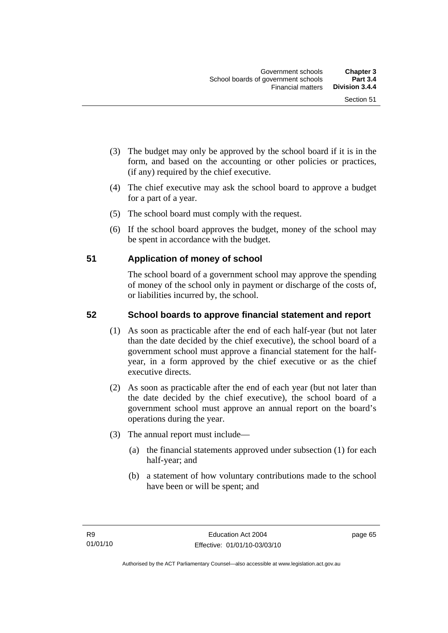- (3) The budget may only be approved by the school board if it is in the form, and based on the accounting or other policies or practices, (if any) required by the chief executive.
- (4) The chief executive may ask the school board to approve a budget for a part of a year.
- (5) The school board must comply with the request.
- (6) If the school board approves the budget, money of the school may be spent in accordance with the budget.

# **51 Application of money of school**

The school board of a government school may approve the spending of money of the school only in payment or discharge of the costs of, or liabilities incurred by, the school.

# **52 School boards to approve financial statement and report**

- (1) As soon as practicable after the end of each half-year (but not later than the date decided by the chief executive), the school board of a government school must approve a financial statement for the halfyear, in a form approved by the chief executive or as the chief executive directs.
- (2) As soon as practicable after the end of each year (but not later than the date decided by the chief executive), the school board of a government school must approve an annual report on the board's operations during the year.
- (3) The annual report must include—
	- (a) the financial statements approved under subsection (1) for each half-year; and
	- (b) a statement of how voluntary contributions made to the school have been or will be spent; and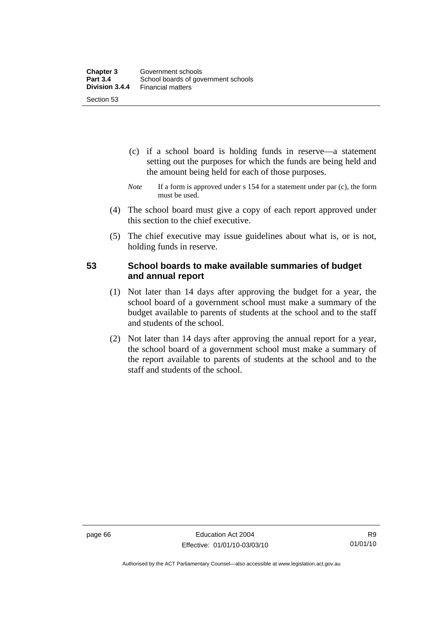- (c) if a school board is holding funds in reserve—a statement setting out the purposes for which the funds are being held and the amount being held for each of those purposes.
- *Note* If a form is approved under s 154 for a statement under par (c), the form must be used.
- (4) The school board must give a copy of each report approved under this section to the chief executive.
- (5) The chief executive may issue guidelines about what is, or is not, holding funds in reserve.

#### **53 School boards to make available summaries of budget and annual report**

- (1) Not later than 14 days after approving the budget for a year, the school board of a government school must make a summary of the budget available to parents of students at the school and to the staff and students of the school.
- (2) Not later than 14 days after approving the annual report for a year, the school board of a government school must make a summary of the report available to parents of students at the school and to the staff and students of the school.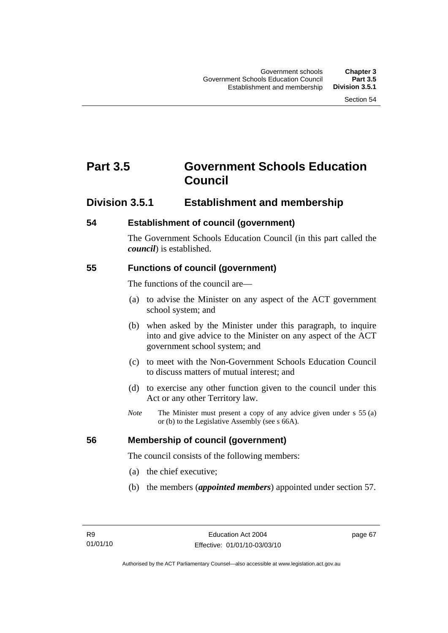# **Part 3.5 Government Schools Education Council**

# **Division 3.5.1 Establishment and membership**

# **54 Establishment of council (government)**

The Government Schools Education Council (in this part called the *council*) is established.

# **55 Functions of council (government)**

The functions of the council are—

- (a) to advise the Minister on any aspect of the ACT government school system; and
- (b) when asked by the Minister under this paragraph, to inquire into and give advice to the Minister on any aspect of the ACT government school system; and
- (c) to meet with the Non-Government Schools Education Council to discuss matters of mutual interest; and
- (d) to exercise any other function given to the council under this Act or any other Territory law.
- *Note* The Minister must present a copy of any advice given under s 55 (a) or (b) to the Legislative Assembly (see s 66A).

# **56 Membership of council (government)**

The council consists of the following members:

- (a) the chief executive;
- (b) the members (*appointed members*) appointed under section 57.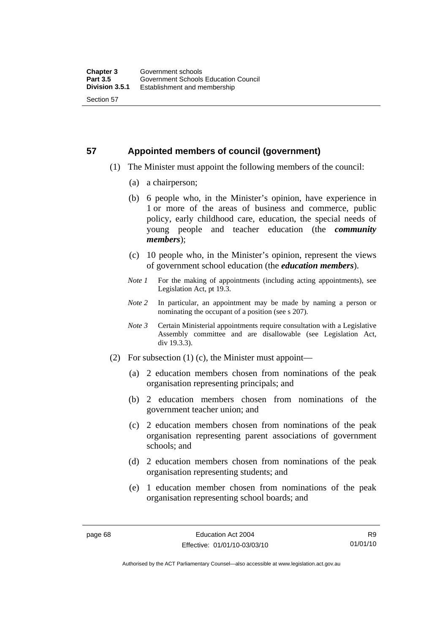# **57 Appointed members of council (government)**

- (1) The Minister must appoint the following members of the council:
	- (a) a chairperson;
	- (b) 6 people who, in the Minister's opinion, have experience in 1 or more of the areas of business and commerce, public policy, early childhood care, education, the special needs of young people and teacher education (the *community members*);
	- (c) 10 people who, in the Minister's opinion, represent the views of government school education (the *education members*).
	- *Note 1* For the making of appointments (including acting appointments), see Legislation Act, pt 19.3.
	- *Note 2* In particular, an appointment may be made by naming a person or nominating the occupant of a position (see s 207).
	- *Note 3* Certain Ministerial appointments require consultation with a Legislative Assembly committee and are disallowable (see Legislation Act, div 19.3.3).
- (2) For subsection (1) (c), the Minister must appoint—
	- (a) 2 education members chosen from nominations of the peak organisation representing principals; and
	- (b) 2 education members chosen from nominations of the government teacher union; and
	- (c) 2 education members chosen from nominations of the peak organisation representing parent associations of government schools; and
	- (d) 2 education members chosen from nominations of the peak organisation representing students; and
	- (e) 1 education member chosen from nominations of the peak organisation representing school boards; and

R9 01/01/10

Authorised by the ACT Parliamentary Counsel—also accessible at www.legislation.act.gov.au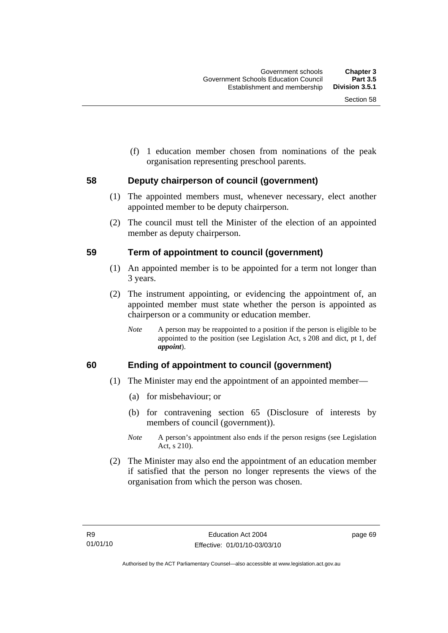(f) 1 education member chosen from nominations of the peak organisation representing preschool parents.

#### **58 Deputy chairperson of council (government)**

- (1) The appointed members must, whenever necessary, elect another appointed member to be deputy chairperson.
- (2) The council must tell the Minister of the election of an appointed member as deputy chairperson.

#### **59 Term of appointment to council (government)**

- (1) An appointed member is to be appointed for a term not longer than 3 years.
- (2) The instrument appointing, or evidencing the appointment of, an appointed member must state whether the person is appointed as chairperson or a community or education member.
	- *Note* A person may be reappointed to a position if the person is eligible to be appointed to the position (see Legislation Act, s 208 and dict, pt 1, def *appoint*).

# **60 Ending of appointment to council (government)**

- (1) The Minister may end the appointment of an appointed member—
	- (a) for misbehaviour; or
	- (b) for contravening section 65 (Disclosure of interests by members of council (government)).
	- *Note* A person's appointment also ends if the person resigns (see Legislation Act, s 210).
- (2) The Minister may also end the appointment of an education member if satisfied that the person no longer represents the views of the organisation from which the person was chosen.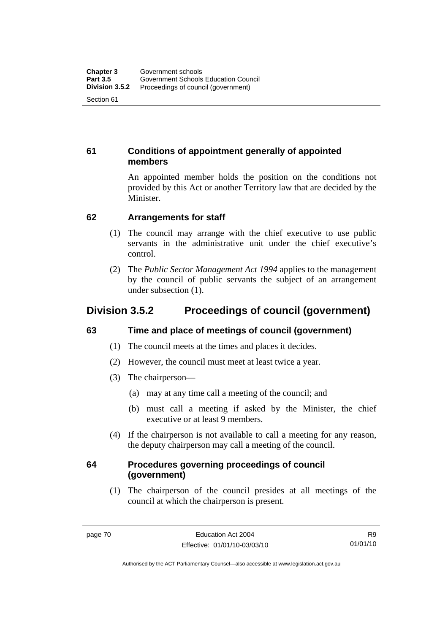# **61 Conditions of appointment generally of appointed members**

An appointed member holds the position on the conditions not provided by this Act or another Territory law that are decided by the Minister.

# **62 Arrangements for staff**

- (1) The council may arrange with the chief executive to use public servants in the administrative unit under the chief executive's control.
- (2) The *Public Sector Management Act 1994* applies to the management by the council of public servants the subject of an arrangement under subsection (1).

# **Division 3.5.2 Proceedings of council (government)**

# **63 Time and place of meetings of council (government)**

- (1) The council meets at the times and places it decides.
- (2) However, the council must meet at least twice a year.
- (3) The chairperson—
	- (a) may at any time call a meeting of the council; and
	- (b) must call a meeting if asked by the Minister, the chief executive or at least 9 members.
- (4) If the chairperson is not available to call a meeting for any reason, the deputy chairperson may call a meeting of the council.

# **64 Procedures governing proceedings of council (government)**

 (1) The chairperson of the council presides at all meetings of the council at which the chairperson is present.

R9 01/01/10

Authorised by the ACT Parliamentary Counsel—also accessible at www.legislation.act.gov.au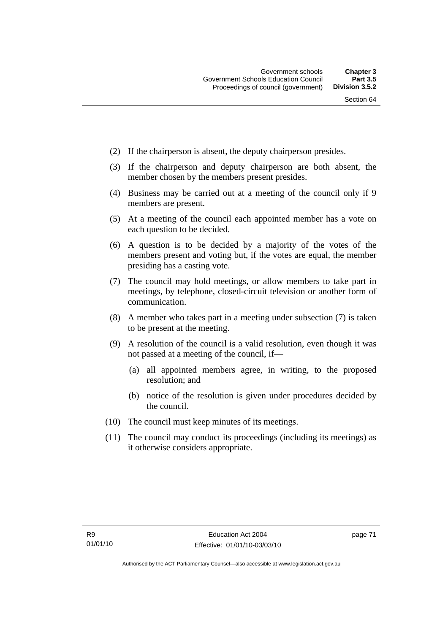- (2) If the chairperson is absent, the deputy chairperson presides.
- (3) If the chairperson and deputy chairperson are both absent, the member chosen by the members present presides.
- (4) Business may be carried out at a meeting of the council only if 9 members are present.
- (5) At a meeting of the council each appointed member has a vote on each question to be decided.
- (6) A question is to be decided by a majority of the votes of the members present and voting but, if the votes are equal, the member presiding has a casting vote.
- (7) The council may hold meetings, or allow members to take part in meetings, by telephone, closed-circuit television or another form of communication.
- (8) A member who takes part in a meeting under subsection (7) is taken to be present at the meeting.
- (9) A resolution of the council is a valid resolution, even though it was not passed at a meeting of the council, if—
	- (a) all appointed members agree, in writing, to the proposed resolution; and
	- (b) notice of the resolution is given under procedures decided by the council.
- (10) The council must keep minutes of its meetings.
- (11) The council may conduct its proceedings (including its meetings) as it otherwise considers appropriate.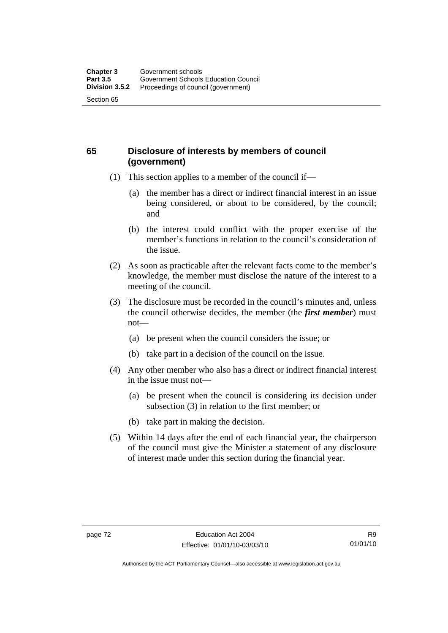# **65 Disclosure of interests by members of council (government)**

- (1) This section applies to a member of the council if—
	- (a) the member has a direct or indirect financial interest in an issue being considered, or about to be considered, by the council; and
	- (b) the interest could conflict with the proper exercise of the member's functions in relation to the council's consideration of the issue.
- (2) As soon as practicable after the relevant facts come to the member's knowledge, the member must disclose the nature of the interest to a meeting of the council.
- (3) The disclosure must be recorded in the council's minutes and, unless the council otherwise decides, the member (the *first member*) must not—
	- (a) be present when the council considers the issue; or
	- (b) take part in a decision of the council on the issue.
- (4) Any other member who also has a direct or indirect financial interest in the issue must not—
	- (a) be present when the council is considering its decision under subsection (3) in relation to the first member; or
	- (b) take part in making the decision.
- (5) Within 14 days after the end of each financial year, the chairperson of the council must give the Minister a statement of any disclosure of interest made under this section during the financial year.

Authorised by the ACT Parliamentary Counsel—also accessible at www.legislation.act.gov.au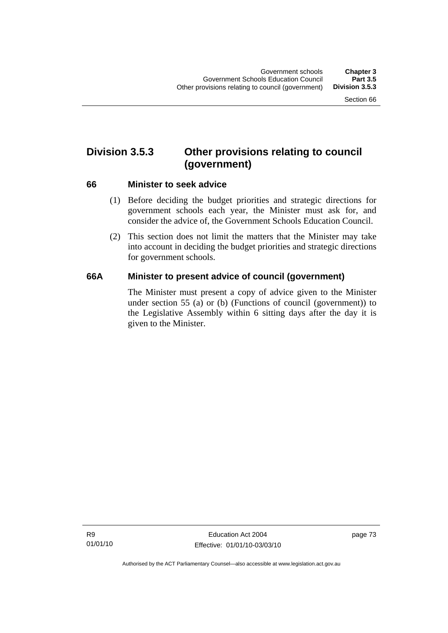# **Division 3.5.3 Other provisions relating to council (government)**

#### **66 Minister to seek advice**

- (1) Before deciding the budget priorities and strategic directions for government schools each year, the Minister must ask for, and consider the advice of, the Government Schools Education Council.
- (2) This section does not limit the matters that the Minister may take into account in deciding the budget priorities and strategic directions for government schools.

# **66A Minister to present advice of council (government)**

The Minister must present a copy of advice given to the Minister under section 55 (a) or (b) (Functions of council (government)) to the Legislative Assembly within 6 sitting days after the day it is given to the Minister.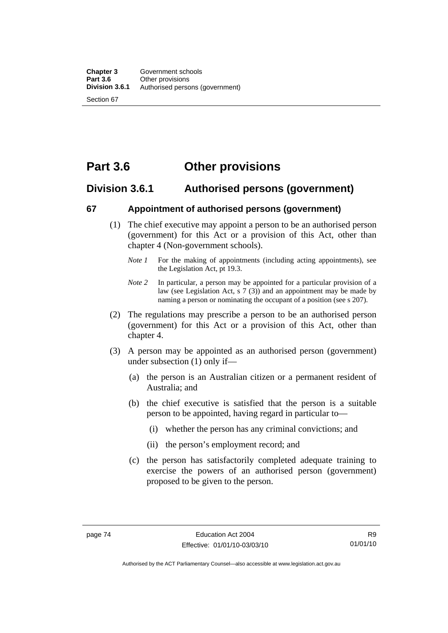# **Part 3.6 Other provisions**

# **Division 3.6.1 Authorised persons (government)**

#### **67 Appointment of authorised persons (government)**

- (1) The chief executive may appoint a person to be an authorised person (government) for this Act or a provision of this Act, other than chapter 4 (Non-government schools).
	- *Note 1* For the making of appointments (including acting appointments), see the Legislation Act, pt 19.3.
	- *Note 2* In particular, a person may be appointed for a particular provision of a law (see Legislation Act, s 7 (3)) and an appointment may be made by naming a person or nominating the occupant of a position (see s 207).
- (2) The regulations may prescribe a person to be an authorised person (government) for this Act or a provision of this Act, other than chapter 4.
- (3) A person may be appointed as an authorised person (government) under subsection (1) only if—
	- (a) the person is an Australian citizen or a permanent resident of Australia; and
	- (b) the chief executive is satisfied that the person is a suitable person to be appointed, having regard in particular to—
		- (i) whether the person has any criminal convictions; and
		- (ii) the person's employment record; and
	- (c) the person has satisfactorily completed adequate training to exercise the powers of an authorised person (government) proposed to be given to the person.

Authorised by the ACT Parliamentary Counsel—also accessible at www.legislation.act.gov.au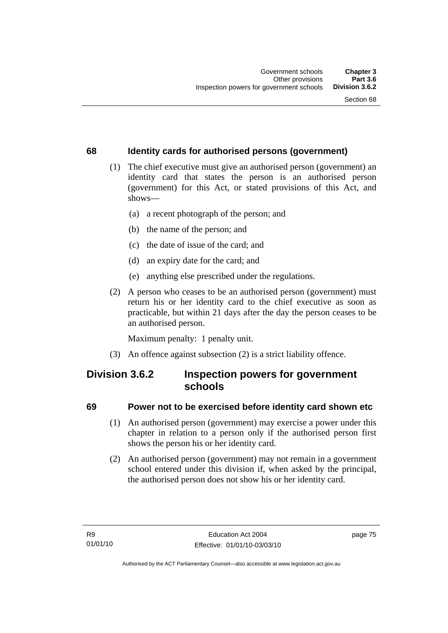# **68 Identity cards for authorised persons (government)**

- (1) The chief executive must give an authorised person (government) an identity card that states the person is an authorised person (government) for this Act, or stated provisions of this Act, and shows—
	- (a) a recent photograph of the person; and
	- (b) the name of the person; and
	- (c) the date of issue of the card; and
	- (d) an expiry date for the card; and
	- (e) anything else prescribed under the regulations.
- (2) A person who ceases to be an authorised person (government) must return his or her identity card to the chief executive as soon as practicable, but within 21 days after the day the person ceases to be an authorised person.

Maximum penalty: 1 penalty unit.

(3) An offence against subsection (2) is a strict liability offence.

# **Division 3.6.2 Inspection powers for government schools**

# **69 Power not to be exercised before identity card shown etc**

- (1) An authorised person (government) may exercise a power under this chapter in relation to a person only if the authorised person first shows the person his or her identity card.
- (2) An authorised person (government) may not remain in a government school entered under this division if, when asked by the principal, the authorised person does not show his or her identity card.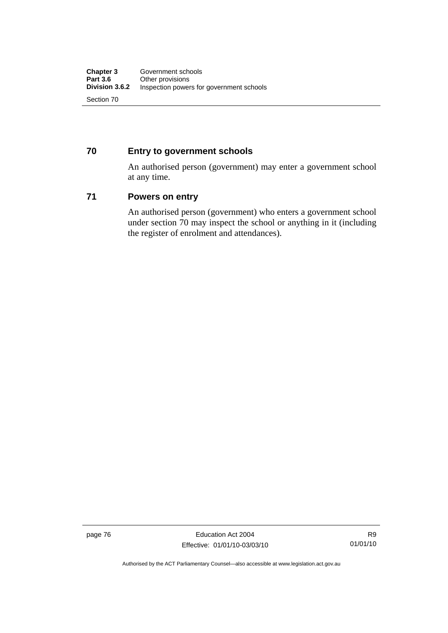# **70 Entry to government schools**

An authorised person (government) may enter a government school at any time.

#### **71 Powers on entry**

An authorised person (government) who enters a government school under section 70 may inspect the school or anything in it (including the register of enrolment and attendances).

page 76 **Education Act 2004** Effective: 01/01/10-03/03/10

Authorised by the ACT Parliamentary Counsel—also accessible at www.legislation.act.gov.au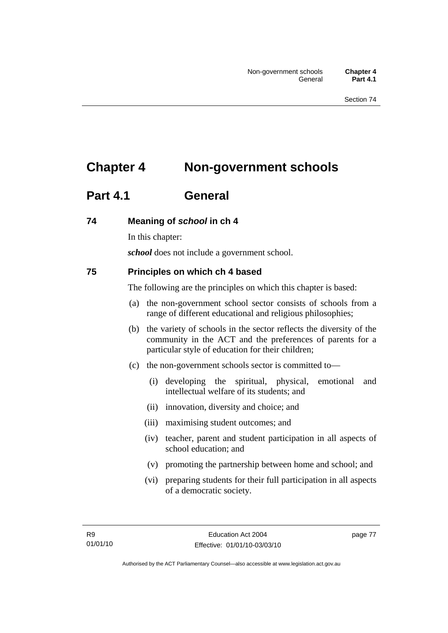# **Chapter 4 Non-government schools**

# **Part 4.1 General**

# **74 Meaning of** *school* **in ch 4**

In this chapter:

*school* does not include a government school.

# **75 Principles on which ch 4 based**

The following are the principles on which this chapter is based:

- (a) the non-government school sector consists of schools from a range of different educational and religious philosophies;
- (b) the variety of schools in the sector reflects the diversity of the community in the ACT and the preferences of parents for a particular style of education for their children;
- (c) the non-government schools sector is committed to—
	- (i) developing the spiritual, physical, emotional and intellectual welfare of its students; and
	- (ii) innovation, diversity and choice; and
	- (iii) maximising student outcomes; and
	- (iv) teacher, parent and student participation in all aspects of school education; and
	- (v) promoting the partnership between home and school; and
	- (vi) preparing students for their full participation in all aspects of a democratic society.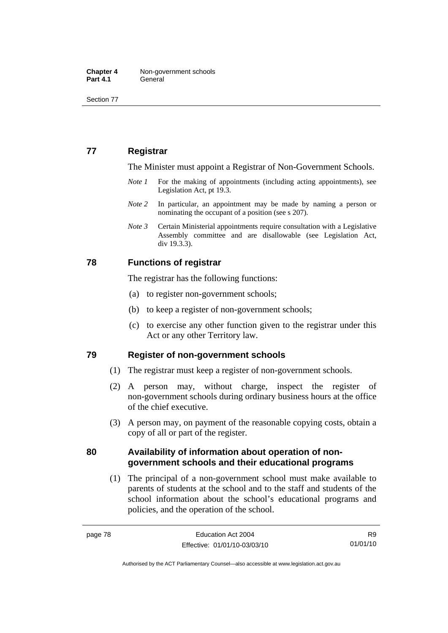# **77 Registrar**

The Minister must appoint a Registrar of Non-Government Schools.

- *Note 1* For the making of appointments (including acting appointments), see Legislation Act, pt 19.3.
- *Note* 2 In particular, an appointment may be made by naming a person or nominating the occupant of a position (see s 207).
- *Note 3* Certain Ministerial appointments require consultation with a Legislative Assembly committee and are disallowable (see Legislation Act, div 19.3.3).

#### **78 Functions of registrar**

The registrar has the following functions:

- (a) to register non-government schools;
- (b) to keep a register of non-government schools;
- (c) to exercise any other function given to the registrar under this Act or any other Territory law.

#### **79 Register of non-government schools**

- (1) The registrar must keep a register of non-government schools.
- (2) A person may, without charge, inspect the register of non-government schools during ordinary business hours at the office of the chief executive.
- (3) A person may, on payment of the reasonable copying costs, obtain a copy of all or part of the register.

#### **80 Availability of information about operation of nongovernment schools and their educational programs**

 (1) The principal of a non-government school must make available to parents of students at the school and to the staff and students of the school information about the school's educational programs and policies, and the operation of the school.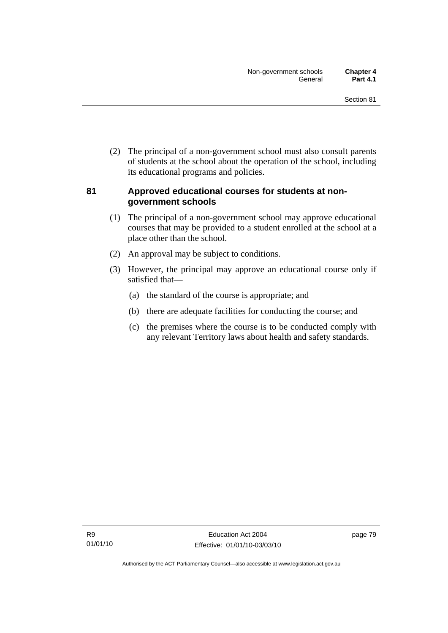(2) The principal of a non-government school must also consult parents of students at the school about the operation of the school, including its educational programs and policies.

#### **81 Approved educational courses for students at nongovernment schools**

- (1) The principal of a non-government school may approve educational courses that may be provided to a student enrolled at the school at a place other than the school.
- (2) An approval may be subject to conditions.
- (3) However, the principal may approve an educational course only if satisfied that—
	- (a) the standard of the course is appropriate; and
	- (b) there are adequate facilities for conducting the course; and
	- (c) the premises where the course is to be conducted comply with any relevant Territory laws about health and safety standards.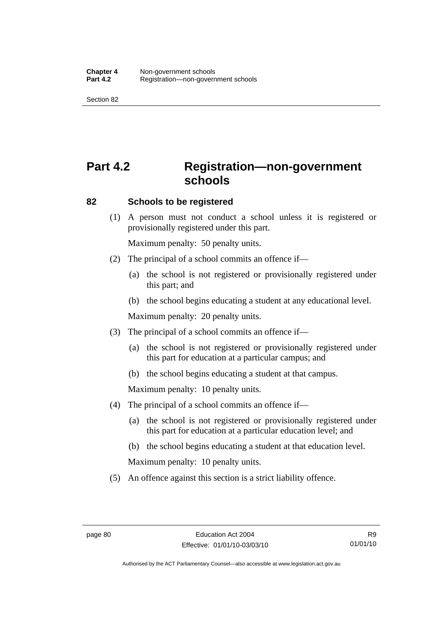# **Part 4.2 Registration—non-government schools**

#### **82 Schools to be registered**

 (1) A person must not conduct a school unless it is registered or provisionally registered under this part.

Maximum penalty: 50 penalty units.

- (2) The principal of a school commits an offence if—
	- (a) the school is not registered or provisionally registered under this part; and
	- (b) the school begins educating a student at any educational level.

Maximum penalty: 20 penalty units.

- (3) The principal of a school commits an offence if—
	- (a) the school is not registered or provisionally registered under this part for education at a particular campus; and
	- (b) the school begins educating a student at that campus.

Maximum penalty: 10 penalty units.

- (4) The principal of a school commits an offence if—
	- (a) the school is not registered or provisionally registered under this part for education at a particular education level; and
	- (b) the school begins educating a student at that education level.

Maximum penalty: 10 penalty units.

(5) An offence against this section is a strict liability offence.

Authorised by the ACT Parliamentary Counsel—also accessible at www.legislation.act.gov.au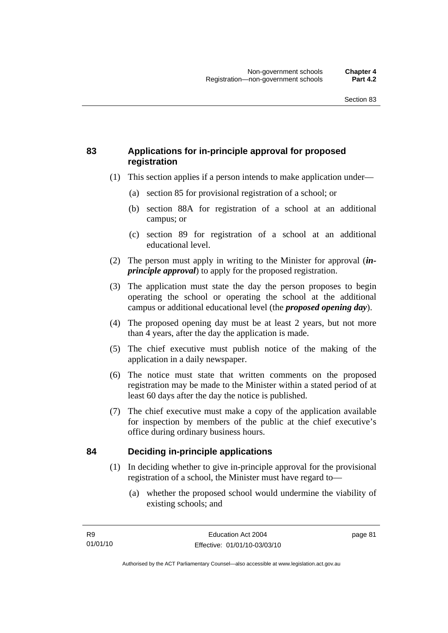# **83 Applications for in-principle approval for proposed registration**

- (1) This section applies if a person intends to make application under—
	- (a) section 85 for provisional registration of a school; or
	- (b) section 88A for registration of a school at an additional campus; or
	- (c) section 89 for registration of a school at an additional educational level.
- (2) The person must apply in writing to the Minister for approval (*inprinciple approval*) to apply for the proposed registration.
- (3) The application must state the day the person proposes to begin operating the school or operating the school at the additional campus or additional educational level (the *proposed opening day*).
- (4) The proposed opening day must be at least 2 years, but not more than 4 years, after the day the application is made.
- (5) The chief executive must publish notice of the making of the application in a daily newspaper.
- (6) The notice must state that written comments on the proposed registration may be made to the Minister within a stated period of at least 60 days after the day the notice is published.
- (7) The chief executive must make a copy of the application available for inspection by members of the public at the chief executive's office during ordinary business hours.

# **84 Deciding in-principle applications**

- (1) In deciding whether to give in-principle approval for the provisional registration of a school, the Minister must have regard to—
	- (a) whether the proposed school would undermine the viability of existing schools; and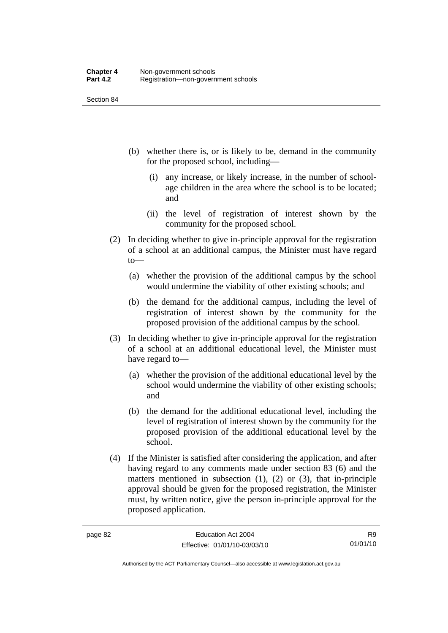- (b) whether there is, or is likely to be, demand in the community for the proposed school, including—
	- (i) any increase, or likely increase, in the number of schoolage children in the area where the school is to be located; and
	- (ii) the level of registration of interest shown by the community for the proposed school.
- (2) In deciding whether to give in-principle approval for the registration of a school at an additional campus, the Minister must have regard to—
	- (a) whether the provision of the additional campus by the school would undermine the viability of other existing schools; and
	- (b) the demand for the additional campus, including the level of registration of interest shown by the community for the proposed provision of the additional campus by the school.
- (3) In deciding whether to give in-principle approval for the registration of a school at an additional educational level, the Minister must have regard to—
	- (a) whether the provision of the additional educational level by the school would undermine the viability of other existing schools; and
	- (b) the demand for the additional educational level, including the level of registration of interest shown by the community for the proposed provision of the additional educational level by the school.
- (4) If the Minister is satisfied after considering the application, and after having regard to any comments made under section 83 (6) and the matters mentioned in subsection  $(1)$ ,  $(2)$  or  $(3)$ , that in-principle approval should be given for the proposed registration, the Minister must, by written notice, give the person in-principle approval for the proposed application.

R9 01/01/10

Authorised by the ACT Parliamentary Counsel—also accessible at www.legislation.act.gov.au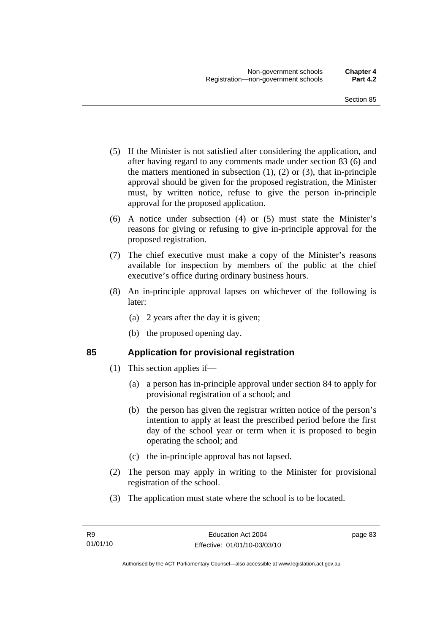- (5) If the Minister is not satisfied after considering the application, and after having regard to any comments made under section 83 (6) and the matters mentioned in subsection  $(1)$ ,  $(2)$  or  $(3)$ , that in-principle approval should be given for the proposed registration, the Minister must, by written notice, refuse to give the person in-principle approval for the proposed application.
- (6) A notice under subsection (4) or (5) must state the Minister's reasons for giving or refusing to give in-principle approval for the proposed registration.
- (7) The chief executive must make a copy of the Minister's reasons available for inspection by members of the public at the chief executive's office during ordinary business hours.
- (8) An in-principle approval lapses on whichever of the following is later:
	- (a) 2 years after the day it is given;
	- (b) the proposed opening day.

# **85 Application for provisional registration**

- (1) This section applies if—
	- (a) a person has in-principle approval under section 84 to apply for provisional registration of a school; and
	- (b) the person has given the registrar written notice of the person's intention to apply at least the prescribed period before the first day of the school year or term when it is proposed to begin operating the school; and
	- (c) the in-principle approval has not lapsed.
- (2) The person may apply in writing to the Minister for provisional registration of the school.
- (3) The application must state where the school is to be located.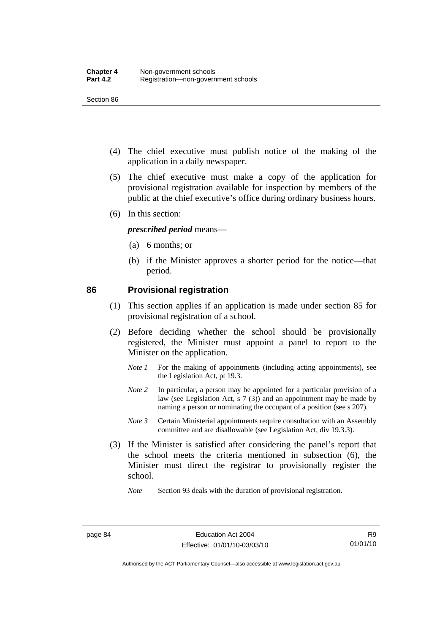- (4) The chief executive must publish notice of the making of the application in a daily newspaper.
- (5) The chief executive must make a copy of the application for provisional registration available for inspection by members of the public at the chief executive's office during ordinary business hours.
- (6) In this section:

#### *prescribed period* means—

- (a) 6 months; or
- (b) if the Minister approves a shorter period for the notice—that period.

#### **86 Provisional registration**

- (1) This section applies if an application is made under section 85 for provisional registration of a school.
- (2) Before deciding whether the school should be provisionally registered, the Minister must appoint a panel to report to the Minister on the application.
	- *Note 1* For the making of appointments (including acting appointments), see the Legislation Act, pt 19.3.
	- *Note 2* In particular, a person may be appointed for a particular provision of a law (see Legislation Act, s 7 (3)) and an appointment may be made by naming a person or nominating the occupant of a position (see s 207).
	- *Note 3* Certain Ministerial appointments require consultation with an Assembly committee and are disallowable (see Legislation Act, div 19.3.3).
- (3) If the Minister is satisfied after considering the panel's report that the school meets the criteria mentioned in subsection (6), the Minister must direct the registrar to provisionally register the school.

*Note* Section 93 deals with the duration of provisional registration.

Authorised by the ACT Parliamentary Counsel—also accessible at www.legislation.act.gov.au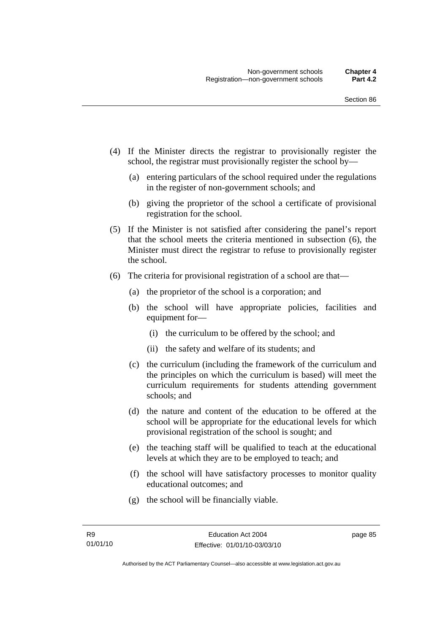- (4) If the Minister directs the registrar to provisionally register the school, the registrar must provisionally register the school by—
	- (a) entering particulars of the school required under the regulations in the register of non-government schools; and
	- (b) giving the proprietor of the school a certificate of provisional registration for the school.
- (5) If the Minister is not satisfied after considering the panel's report that the school meets the criteria mentioned in subsection (6), the Minister must direct the registrar to refuse to provisionally register the school.
- (6) The criteria for provisional registration of a school are that—
	- (a) the proprietor of the school is a corporation; and
	- (b) the school will have appropriate policies, facilities and equipment for—
		- (i) the curriculum to be offered by the school; and
		- (ii) the safety and welfare of its students; and
	- (c) the curriculum (including the framework of the curriculum and the principles on which the curriculum is based) will meet the curriculum requirements for students attending government schools; and
	- (d) the nature and content of the education to be offered at the school will be appropriate for the educational levels for which provisional registration of the school is sought; and
	- (e) the teaching staff will be qualified to teach at the educational levels at which they are to be employed to teach; and
	- (f) the school will have satisfactory processes to monitor quality educational outcomes; and
	- (g) the school will be financially viable.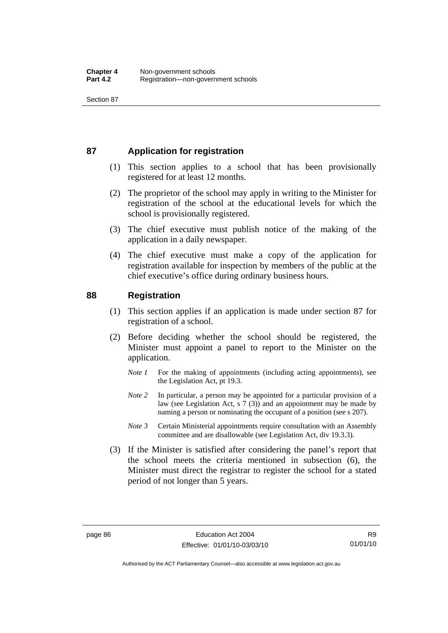# **87 Application for registration**

- (1) This section applies to a school that has been provisionally registered for at least 12 months.
- (2) The proprietor of the school may apply in writing to the Minister for registration of the school at the educational levels for which the school is provisionally registered.
- (3) The chief executive must publish notice of the making of the application in a daily newspaper.
- (4) The chief executive must make a copy of the application for registration available for inspection by members of the public at the chief executive's office during ordinary business hours.

#### **88 Registration**

- (1) This section applies if an application is made under section 87 for registration of a school.
- (2) Before deciding whether the school should be registered, the Minister must appoint a panel to report to the Minister on the application.
	- *Note 1* For the making of appointments (including acting appointments), see the Legislation Act, pt 19.3.
	- *Note* 2 In particular, a person may be appointed for a particular provision of a law (see Legislation Act, s 7 (3)) and an appointment may be made by naming a person or nominating the occupant of a position (see s 207).
	- *Note 3* Certain Ministerial appointments require consultation with an Assembly committee and are disallowable (see Legislation Act, div 19.3.3).
- (3) If the Minister is satisfied after considering the panel's report that the school meets the criteria mentioned in subsection (6), the Minister must direct the registrar to register the school for a stated period of not longer than 5 years.

R9 01/01/10

Authorised by the ACT Parliamentary Counsel—also accessible at www.legislation.act.gov.au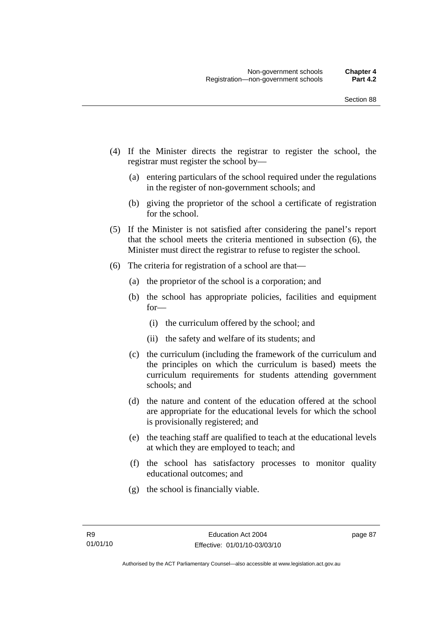- (4) If the Minister directs the registrar to register the school, the registrar must register the school by—
	- (a) entering particulars of the school required under the regulations in the register of non-government schools; and
	- (b) giving the proprietor of the school a certificate of registration for the school.
- (5) If the Minister is not satisfied after considering the panel's report that the school meets the criteria mentioned in subsection (6), the Minister must direct the registrar to refuse to register the school.
- (6) The criteria for registration of a school are that—
	- (a) the proprietor of the school is a corporation; and
	- (b) the school has appropriate policies, facilities and equipment for—
		- (i) the curriculum offered by the school; and
		- (ii) the safety and welfare of its students; and
	- (c) the curriculum (including the framework of the curriculum and the principles on which the curriculum is based) meets the curriculum requirements for students attending government schools; and
	- (d) the nature and content of the education offered at the school are appropriate for the educational levels for which the school is provisionally registered; and
	- (e) the teaching staff are qualified to teach at the educational levels at which they are employed to teach; and
	- (f) the school has satisfactory processes to monitor quality educational outcomes; and
	- (g) the school is financially viable.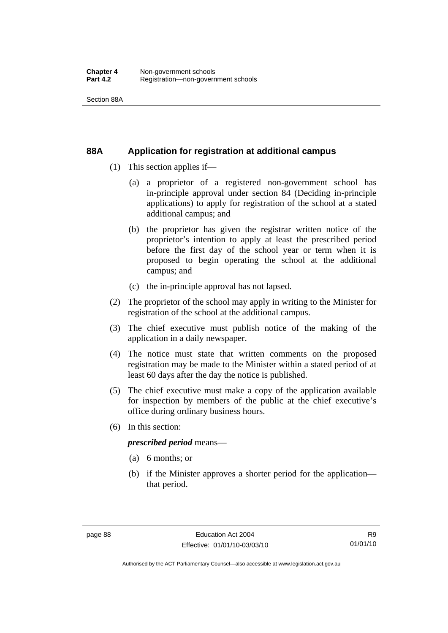Section 88A

#### **88A Application for registration at additional campus**

- (1) This section applies if—
	- (a) a proprietor of a registered non-government school has in-principle approval under section 84 (Deciding in-principle applications) to apply for registration of the school at a stated additional campus; and
	- (b) the proprietor has given the registrar written notice of the proprietor's intention to apply at least the prescribed period before the first day of the school year or term when it is proposed to begin operating the school at the additional campus; and
	- (c) the in-principle approval has not lapsed.
- (2) The proprietor of the school may apply in writing to the Minister for registration of the school at the additional campus.
- (3) The chief executive must publish notice of the making of the application in a daily newspaper.
- (4) The notice must state that written comments on the proposed registration may be made to the Minister within a stated period of at least 60 days after the day the notice is published.
- (5) The chief executive must make a copy of the application available for inspection by members of the public at the chief executive's office during ordinary business hours.
- (6) In this section:

#### *prescribed period* means—

- (a) 6 months; or
- (b) if the Minister approves a shorter period for the application that period.

Authorised by the ACT Parliamentary Counsel—also accessible at www.legislation.act.gov.au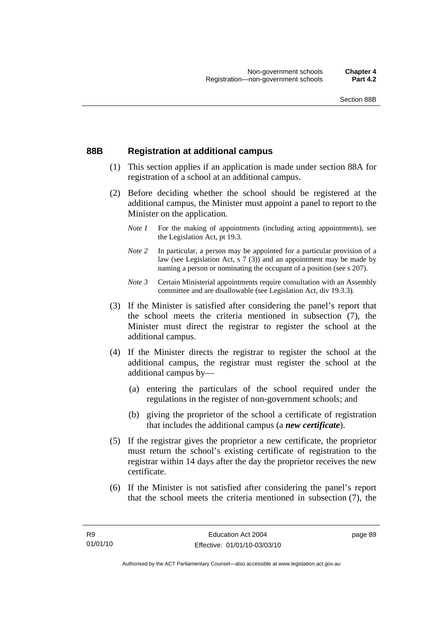#### **88B Registration at additional campus**

- (1) This section applies if an application is made under section 88A for registration of a school at an additional campus.
- (2) Before deciding whether the school should be registered at the additional campus, the Minister must appoint a panel to report to the Minister on the application.
	- *Note 1* For the making of appointments (including acting appointments), see the Legislation Act, pt 19.3.
	- *Note 2* In particular, a person may be appointed for a particular provision of a law (see Legislation Act, s 7 (3)) and an appointment may be made by naming a person or nominating the occupant of a position (see s 207).
	- *Note 3* Certain Ministerial appointments require consultation with an Assembly committee and are disallowable (see Legislation Act, div 19.3.3).
- (3) If the Minister is satisfied after considering the panel's report that the school meets the criteria mentioned in subsection (7), the Minister must direct the registrar to register the school at the additional campus.
- (4) If the Minister directs the registrar to register the school at the additional campus, the registrar must register the school at the additional campus by—
	- (a) entering the particulars of the school required under the regulations in the register of non-government schools; and
	- (b) giving the proprietor of the school a certificate of registration that includes the additional campus (a *new certificate*).
- (5) If the registrar gives the proprietor a new certificate, the proprietor must return the school's existing certificate of registration to the registrar within 14 days after the day the proprietor receives the new certificate.
- (6) If the Minister is not satisfied after considering the panel's report that the school meets the criteria mentioned in subsection (7), the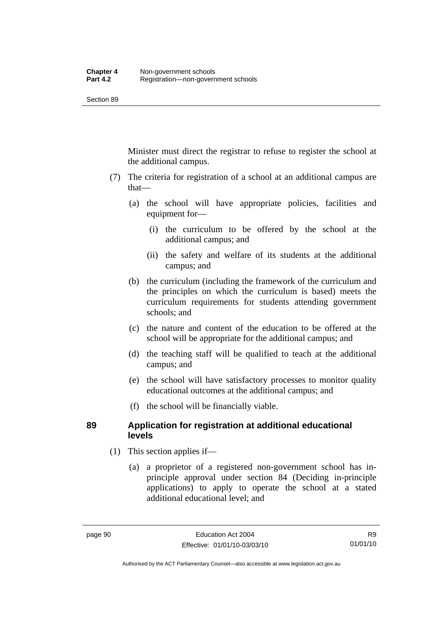Minister must direct the registrar to refuse to register the school at the additional campus.

- (7) The criteria for registration of a school at an additional campus are that—
	- (a) the school will have appropriate policies, facilities and equipment for—
		- (i) the curriculum to be offered by the school at the additional campus; and
		- (ii) the safety and welfare of its students at the additional campus; and
	- (b) the curriculum (including the framework of the curriculum and the principles on which the curriculum is based) meets the curriculum requirements for students attending government schools; and
	- (c) the nature and content of the education to be offered at the school will be appropriate for the additional campus; and
	- (d) the teaching staff will be qualified to teach at the additional campus; and
	- (e) the school will have satisfactory processes to monitor quality educational outcomes at the additional campus; and
	- (f) the school will be financially viable.

#### **89 Application for registration at additional educational levels**

- (1) This section applies if—
	- (a) a proprietor of a registered non-government school has inprinciple approval under section 84 (Deciding in-principle applications) to apply to operate the school at a stated additional educational level; and

R9 01/01/10

Authorised by the ACT Parliamentary Counsel—also accessible at www.legislation.act.gov.au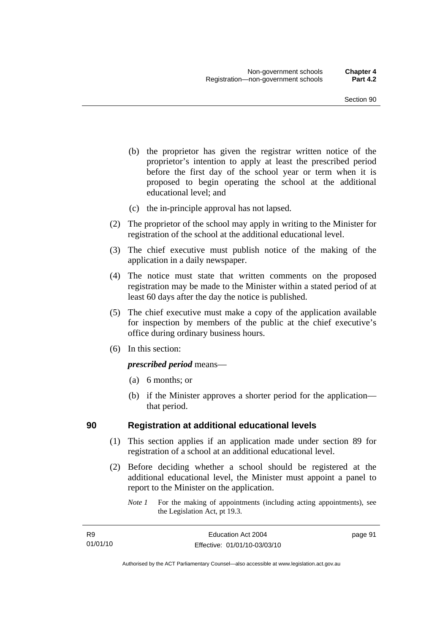- (b) the proprietor has given the registrar written notice of the proprietor's intention to apply at least the prescribed period before the first day of the school year or term when it is proposed to begin operating the school at the additional educational level; and
- (c) the in-principle approval has not lapsed.
- (2) The proprietor of the school may apply in writing to the Minister for registration of the school at the additional educational level.
- (3) The chief executive must publish notice of the making of the application in a daily newspaper.
- (4) The notice must state that written comments on the proposed registration may be made to the Minister within a stated period of at least 60 days after the day the notice is published.
- (5) The chief executive must make a copy of the application available for inspection by members of the public at the chief executive's office during ordinary business hours.
- (6) In this section:

#### *prescribed period* means—

- (a) 6 months; or
- (b) if the Minister approves a shorter period for the application that period.

#### **90 Registration at additional educational levels**

- (1) This section applies if an application made under section 89 for registration of a school at an additional educational level.
- (2) Before deciding whether a school should be registered at the additional educational level, the Minister must appoint a panel to report to the Minister on the application.
	- *Note 1* For the making of appointments (including acting appointments), see the Legislation Act, pt 19.3.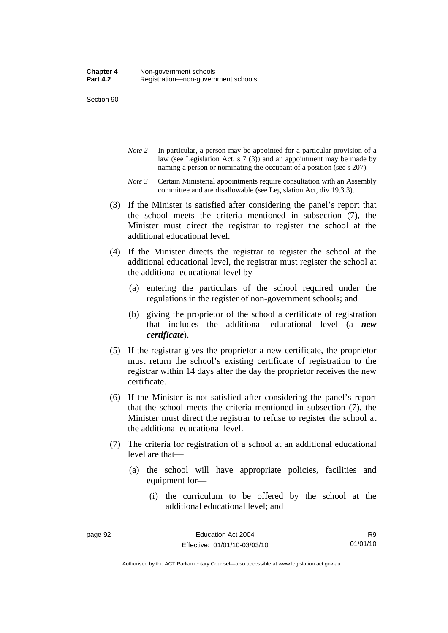- *Note 2* In particular, a person may be appointed for a particular provision of a law (see Legislation Act, s 7 (3)) and an appointment may be made by naming a person or nominating the occupant of a position (see s 207).
- *Note 3* Certain Ministerial appointments require consultation with an Assembly committee and are disallowable (see Legislation Act, div 19.3.3).
- (3) If the Minister is satisfied after considering the panel's report that the school meets the criteria mentioned in subsection (7), the Minister must direct the registrar to register the school at the additional educational level.
- (4) If the Minister directs the registrar to register the school at the additional educational level, the registrar must register the school at the additional educational level by—
	- (a) entering the particulars of the school required under the regulations in the register of non-government schools; and
	- (b) giving the proprietor of the school a certificate of registration that includes the additional educational level (a *new certificate*).
- (5) If the registrar gives the proprietor a new certificate, the proprietor must return the school's existing certificate of registration to the registrar within 14 days after the day the proprietor receives the new certificate.
- (6) If the Minister is not satisfied after considering the panel's report that the school meets the criteria mentioned in subsection (7), the Minister must direct the registrar to refuse to register the school at the additional educational level.
- (7) The criteria for registration of a school at an additional educational level are that—
	- (a) the school will have appropriate policies, facilities and equipment for—
		- (i) the curriculum to be offered by the school at the additional educational level; and

Authorised by the ACT Parliamentary Counsel—also accessible at www.legislation.act.gov.au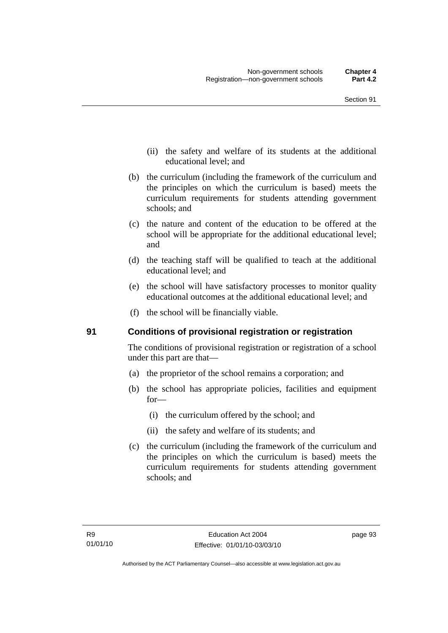- (ii) the safety and welfare of its students at the additional educational level; and
- (b) the curriculum (including the framework of the curriculum and the principles on which the curriculum is based) meets the curriculum requirements for students attending government schools; and
- (c) the nature and content of the education to be offered at the school will be appropriate for the additional educational level; and
- (d) the teaching staff will be qualified to teach at the additional educational level; and
- (e) the school will have satisfactory processes to monitor quality educational outcomes at the additional educational level; and
- (f) the school will be financially viable.

# **91 Conditions of provisional registration or registration**

The conditions of provisional registration or registration of a school under this part are that—

- (a) the proprietor of the school remains a corporation; and
- (b) the school has appropriate policies, facilities and equipment for—
	- (i) the curriculum offered by the school; and
	- (ii) the safety and welfare of its students; and
- (c) the curriculum (including the framework of the curriculum and the principles on which the curriculum is based) meets the curriculum requirements for students attending government schools; and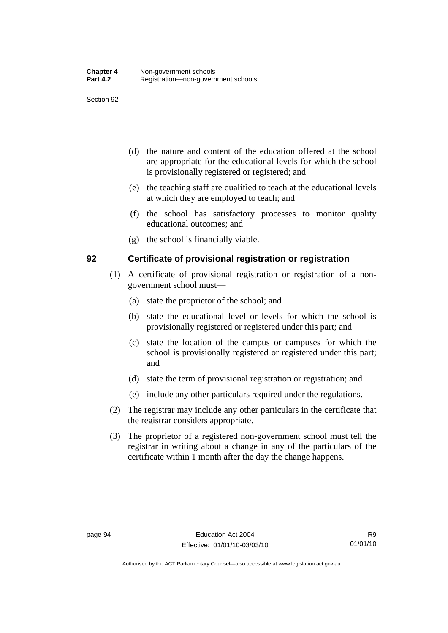- (d) the nature and content of the education offered at the school are appropriate for the educational levels for which the school is provisionally registered or registered; and
- (e) the teaching staff are qualified to teach at the educational levels at which they are employed to teach; and
- (f) the school has satisfactory processes to monitor quality educational outcomes; and
- (g) the school is financially viable.

#### **92 Certificate of provisional registration or registration**

- (1) A certificate of provisional registration or registration of a nongovernment school must—
	- (a) state the proprietor of the school; and
	- (b) state the educational level or levels for which the school is provisionally registered or registered under this part; and
	- (c) state the location of the campus or campuses for which the school is provisionally registered or registered under this part; and
	- (d) state the term of provisional registration or registration; and
	- (e) include any other particulars required under the regulations.
- (2) The registrar may include any other particulars in the certificate that the registrar considers appropriate.
- (3) The proprietor of a registered non-government school must tell the registrar in writing about a change in any of the particulars of the certificate within 1 month after the day the change happens.

Authorised by the ACT Parliamentary Counsel—also accessible at www.legislation.act.gov.au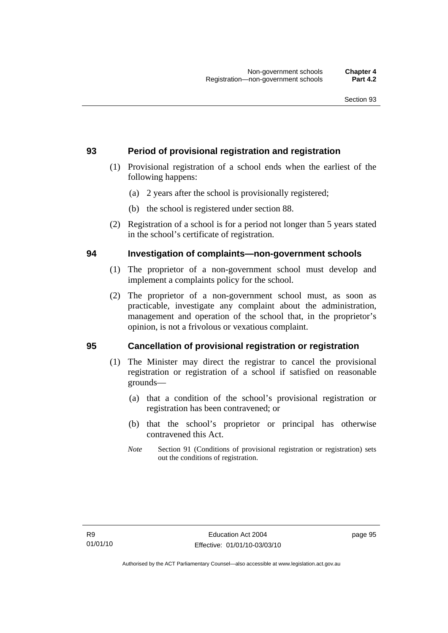# **93 Period of provisional registration and registration**

- (1) Provisional registration of a school ends when the earliest of the following happens:
	- (a) 2 years after the school is provisionally registered;
	- (b) the school is registered under section 88.
- (2) Registration of a school is for a period not longer than 5 years stated in the school's certificate of registration.

#### **94 Investigation of complaints—non-government schools**

- (1) The proprietor of a non-government school must develop and implement a complaints policy for the school.
- (2) The proprietor of a non-government school must, as soon as practicable, investigate any complaint about the administration, management and operation of the school that, in the proprietor's opinion, is not a frivolous or vexatious complaint.

# **95 Cancellation of provisional registration or registration**

- (1) The Minister may direct the registrar to cancel the provisional registration or registration of a school if satisfied on reasonable grounds—
	- (a) that a condition of the school's provisional registration or registration has been contravened; or
	- (b) that the school's proprietor or principal has otherwise contravened this Act.
	- *Note* Section 91 (Conditions of provisional registration or registration) sets out the conditions of registration.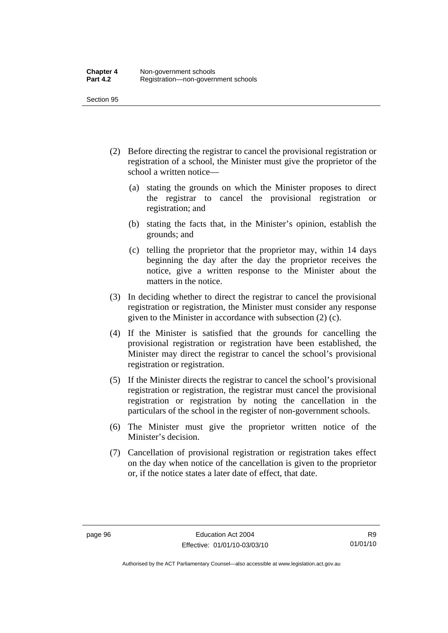- (2) Before directing the registrar to cancel the provisional registration or registration of a school, the Minister must give the proprietor of the school a written notice—
	- (a) stating the grounds on which the Minister proposes to direct the registrar to cancel the provisional registration or registration; and
	- (b) stating the facts that, in the Minister's opinion, establish the grounds; and
	- (c) telling the proprietor that the proprietor may, within 14 days beginning the day after the day the proprietor receives the notice, give a written response to the Minister about the matters in the notice.
- (3) In deciding whether to direct the registrar to cancel the provisional registration or registration, the Minister must consider any response given to the Minister in accordance with subsection (2) (c).
- (4) If the Minister is satisfied that the grounds for cancelling the provisional registration or registration have been established, the Minister may direct the registrar to cancel the school's provisional registration or registration.
- (5) If the Minister directs the registrar to cancel the school's provisional registration or registration, the registrar must cancel the provisional registration or registration by noting the cancellation in the particulars of the school in the register of non-government schools.
- (6) The Minister must give the proprietor written notice of the Minister's decision.
- (7) Cancellation of provisional registration or registration takes effect on the day when notice of the cancellation is given to the proprietor or, if the notice states a later date of effect, that date.

Authorised by the ACT Parliamentary Counsel—also accessible at www.legislation.act.gov.au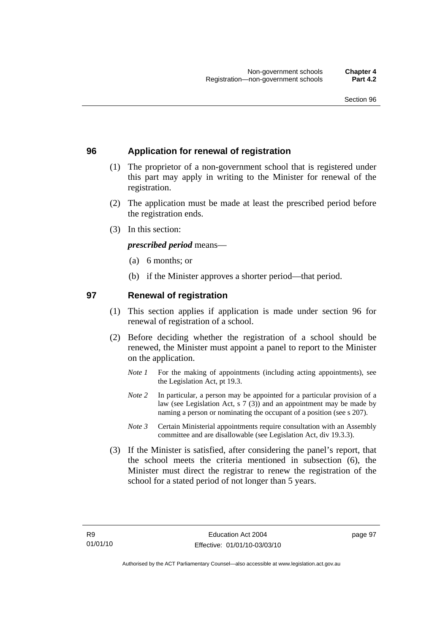### **96 Application for renewal of registration**

- (1) The proprietor of a non-government school that is registered under this part may apply in writing to the Minister for renewal of the registration.
- (2) The application must be made at least the prescribed period before the registration ends.
- (3) In this section:

*prescribed period* means—

- (a) 6 months; or
- (b) if the Minister approves a shorter period—that period.

### **97 Renewal of registration**

- (1) This section applies if application is made under section 96 for renewal of registration of a school.
- (2) Before deciding whether the registration of a school should be renewed, the Minister must appoint a panel to report to the Minister on the application.
	- *Note 1* For the making of appointments (including acting appointments), see the Legislation Act, pt 19.3.
	- *Note 2* In particular, a person may be appointed for a particular provision of a law (see Legislation Act, s 7 (3)) and an appointment may be made by naming a person or nominating the occupant of a position (see s 207).
	- *Note 3* Certain Ministerial appointments require consultation with an Assembly committee and are disallowable (see Legislation Act, div 19.3.3).
- (3) If the Minister is satisfied, after considering the panel's report, that the school meets the criteria mentioned in subsection (6), the Minister must direct the registrar to renew the registration of the school for a stated period of not longer than 5 years.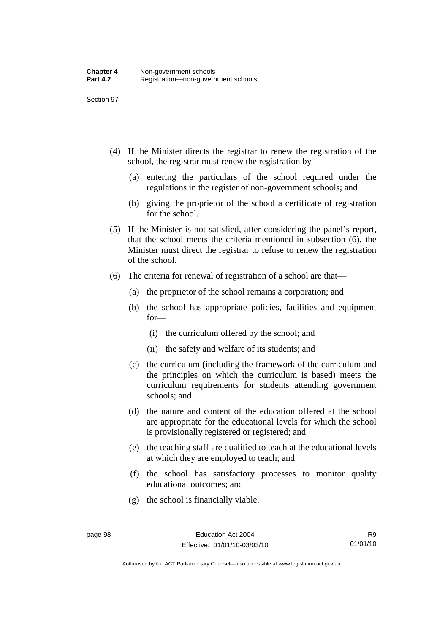- (4) If the Minister directs the registrar to renew the registration of the school, the registrar must renew the registration by—
	- (a) entering the particulars of the school required under the regulations in the register of non-government schools; and
	- (b) giving the proprietor of the school a certificate of registration for the school.
- (5) If the Minister is not satisfied, after considering the panel's report, that the school meets the criteria mentioned in subsection (6), the Minister must direct the registrar to refuse to renew the registration of the school.
- (6) The criteria for renewal of registration of a school are that—
	- (a) the proprietor of the school remains a corporation; and
	- (b) the school has appropriate policies, facilities and equipment for—
		- (i) the curriculum offered by the school; and
		- (ii) the safety and welfare of its students; and
	- (c) the curriculum (including the framework of the curriculum and the principles on which the curriculum is based) meets the curriculum requirements for students attending government schools; and
	- (d) the nature and content of the education offered at the school are appropriate for the educational levels for which the school is provisionally registered or registered; and
	- (e) the teaching staff are qualified to teach at the educational levels at which they are employed to teach; and
	- (f) the school has satisfactory processes to monitor quality educational outcomes; and
	- (g) the school is financially viable.

Authorised by the ACT Parliamentary Counsel—also accessible at www.legislation.act.gov.au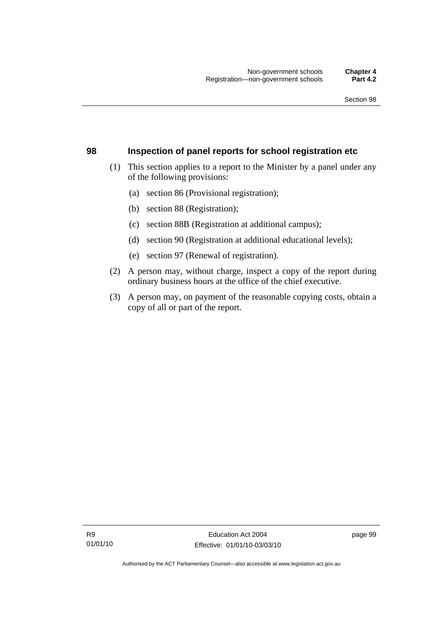#### **98 Inspection of panel reports for school registration etc**

- (1) This section applies to a report to the Minister by a panel under any of the following provisions:
	- (a) section 86 (Provisional registration);
	- (b) section 88 (Registration);
	- (c) section 88B (Registration at additional campus);
	- (d) section 90 (Registration at additional educational levels);
	- (e) section 97 (Renewal of registration).
- (2) A person may, without charge, inspect a copy of the report during ordinary business hours at the office of the chief executive.
- (3) A person may, on payment of the reasonable copying costs, obtain a copy of all or part of the report.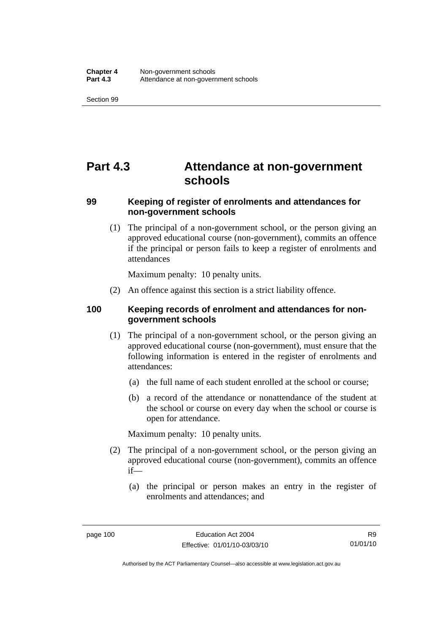# **Part 4.3 Attendance at non-government schools**

### **99 Keeping of register of enrolments and attendances for non-government schools**

 (1) The principal of a non-government school, or the person giving an approved educational course (non-government), commits an offence if the principal or person fails to keep a register of enrolments and attendances

Maximum penalty: 10 penalty units.

(2) An offence against this section is a strict liability offence.

### **100 Keeping records of enrolment and attendances for nongovernment schools**

- (1) The principal of a non-government school, or the person giving an approved educational course (non-government), must ensure that the following information is entered in the register of enrolments and attendances:
	- (a) the full name of each student enrolled at the school or course;
	- (b) a record of the attendance or nonattendance of the student at the school or course on every day when the school or course is open for attendance.

Maximum penalty: 10 penalty units.

- (2) The principal of a non-government school, or the person giving an approved educational course (non-government), commits an offence if—
	- (a) the principal or person makes an entry in the register of enrolments and attendances; and

Authorised by the ACT Parliamentary Counsel—also accessible at www.legislation.act.gov.au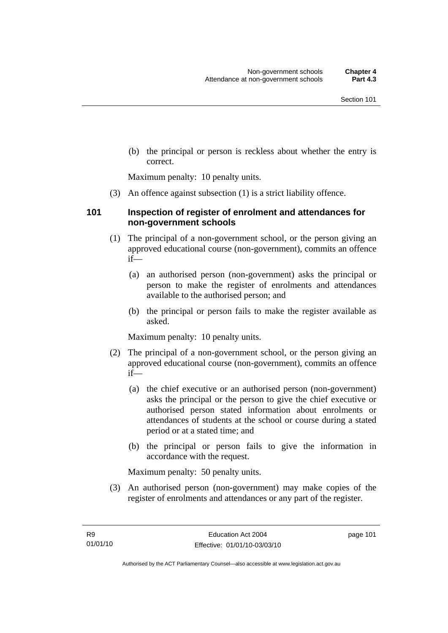(b) the principal or person is reckless about whether the entry is correct.

Maximum penalty: 10 penalty units.

(3) An offence against subsection (1) is a strict liability offence.

### **101 Inspection of register of enrolment and attendances for non-government schools**

- (1) The principal of a non-government school, or the person giving an approved educational course (non-government), commits an offence if—
	- (a) an authorised person (non-government) asks the principal or person to make the register of enrolments and attendances available to the authorised person; and
	- (b) the principal or person fails to make the register available as asked.

Maximum penalty: 10 penalty units.

- (2) The principal of a non-government school, or the person giving an approved educational course (non-government), commits an offence if—
	- (a) the chief executive or an authorised person (non-government) asks the principal or the person to give the chief executive or authorised person stated information about enrolments or attendances of students at the school or course during a stated period or at a stated time; and
	- (b) the principal or person fails to give the information in accordance with the request.

Maximum penalty: 50 penalty units.

 (3) An authorised person (non-government) may make copies of the register of enrolments and attendances or any part of the register.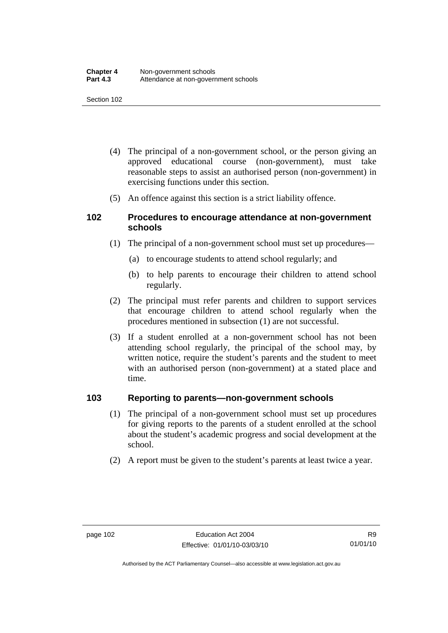- (4) The principal of a non-government school, or the person giving an approved educational course (non-government), must take reasonable steps to assist an authorised person (non-government) in exercising functions under this section.
- (5) An offence against this section is a strict liability offence.

### **102 Procedures to encourage attendance at non-government schools**

- (1) The principal of a non-government school must set up procedures—
	- (a) to encourage students to attend school regularly; and
	- (b) to help parents to encourage their children to attend school regularly.
- (2) The principal must refer parents and children to support services that encourage children to attend school regularly when the procedures mentioned in subsection (1) are not successful.
- (3) If a student enrolled at a non-government school has not been attending school regularly, the principal of the school may, by written notice, require the student's parents and the student to meet with an authorised person (non-government) at a stated place and time.

### **103 Reporting to parents—non-government schools**

- (1) The principal of a non-government school must set up procedures for giving reports to the parents of a student enrolled at the school about the student's academic progress and social development at the school.
- (2) A report must be given to the student's parents at least twice a year.

Authorised by the ACT Parliamentary Counsel—also accessible at www.legislation.act.gov.au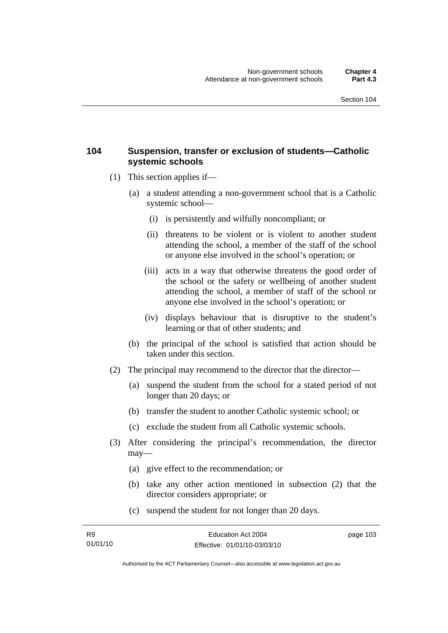### **104 Suspension, transfer or exclusion of students—Catholic systemic schools**

- (1) This section applies if—
	- (a) a student attending a non-government school that is a Catholic systemic school—
		- (i) is persistently and wilfully noncompliant; or
		- (ii) threatens to be violent or is violent to another student attending the school, a member of the staff of the school or anyone else involved in the school's operation; or
		- (iii) acts in a way that otherwise threatens the good order of the school or the safety or wellbeing of another student attending the school, a member of staff of the school or anyone else involved in the school's operation; or
		- (iv) displays behaviour that is disruptive to the student's learning or that of other students; and
	- (b) the principal of the school is satisfied that action should be taken under this section.
- (2) The principal may recommend to the director that the director—
	- (a) suspend the student from the school for a stated period of not longer than 20 days; or
	- (b) transfer the student to another Catholic systemic school; or
	- (c) exclude the student from all Catholic systemic schools.
- (3) After considering the principal's recommendation, the director may—
	- (a) give effect to the recommendation; or
	- (b) take any other action mentioned in subsection (2) that the director considers appropriate; or
	- (c) suspend the student for not longer than 20 days.

Authorised by the ACT Parliamentary Counsel—also accessible at www.legislation.act.gov.au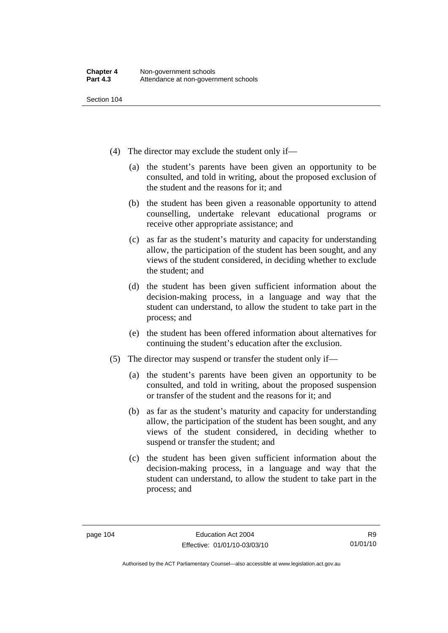- (4) The director may exclude the student only if—
	- (a) the student's parents have been given an opportunity to be consulted, and told in writing, about the proposed exclusion of the student and the reasons for it; and
	- (b) the student has been given a reasonable opportunity to attend counselling, undertake relevant educational programs or receive other appropriate assistance; and
	- (c) as far as the student's maturity and capacity for understanding allow, the participation of the student has been sought, and any views of the student considered, in deciding whether to exclude the student; and
	- (d) the student has been given sufficient information about the decision-making process, in a language and way that the student can understand, to allow the student to take part in the process; and
	- (e) the student has been offered information about alternatives for continuing the student's education after the exclusion.
- (5) The director may suspend or transfer the student only if—
	- (a) the student's parents have been given an opportunity to be consulted, and told in writing, about the proposed suspension or transfer of the student and the reasons for it; and
	- (b) as far as the student's maturity and capacity for understanding allow, the participation of the student has been sought, and any views of the student considered, in deciding whether to suspend or transfer the student; and
	- (c) the student has been given sufficient information about the decision-making process, in a language and way that the student can understand, to allow the student to take part in the process; and

Authorised by the ACT Parliamentary Counsel—also accessible at www.legislation.act.gov.au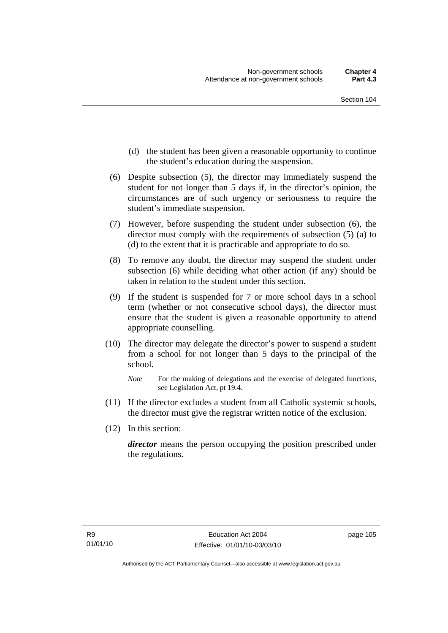- (d) the student has been given a reasonable opportunity to continue the student's education during the suspension.
- (6) Despite subsection (5), the director may immediately suspend the student for not longer than 5 days if, in the director's opinion, the circumstances are of such urgency or seriousness to require the student's immediate suspension.
- (7) However, before suspending the student under subsection (6), the director must comply with the requirements of subsection (5) (a) to (d) to the extent that it is practicable and appropriate to do so.
- (8) To remove any doubt, the director may suspend the student under subsection (6) while deciding what other action (if any) should be taken in relation to the student under this section.
- (9) If the student is suspended for 7 or more school days in a school term (whether or not consecutive school days), the director must ensure that the student is given a reasonable opportunity to attend appropriate counselling.
- (10) The director may delegate the director's power to suspend a student from a school for not longer than 5 days to the principal of the school.

- (11) If the director excludes a student from all Catholic systemic schools, the director must give the registrar written notice of the exclusion.
- (12) In this section:

*director* means the person occupying the position prescribed under the regulations.

*Note* For the making of delegations and the exercise of delegated functions, see Legislation Act, pt 19.4.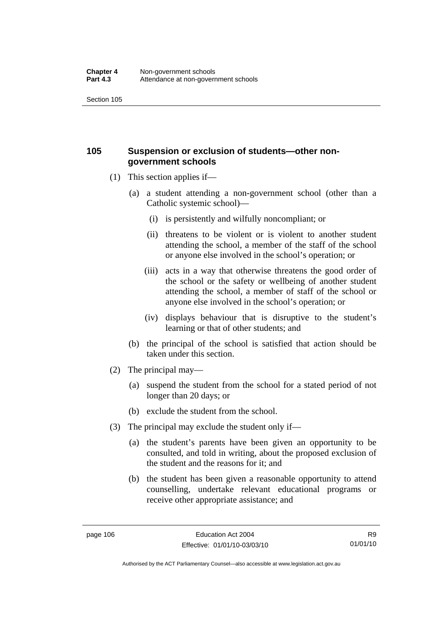### **105 Suspension or exclusion of students—other nongovernment schools**

- (1) This section applies if—
	- (a) a student attending a non-government school (other than a Catholic systemic school)—
		- (i) is persistently and wilfully noncompliant; or
		- (ii) threatens to be violent or is violent to another student attending the school, a member of the staff of the school or anyone else involved in the school's operation; or
		- (iii) acts in a way that otherwise threatens the good order of the school or the safety or wellbeing of another student attending the school, a member of staff of the school or anyone else involved in the school's operation; or
		- (iv) displays behaviour that is disruptive to the student's learning or that of other students; and
	- (b) the principal of the school is satisfied that action should be taken under this section.
- (2) The principal may—
	- (a) suspend the student from the school for a stated period of not longer than 20 days; or
	- (b) exclude the student from the school.
- (3) The principal may exclude the student only if—
	- (a) the student's parents have been given an opportunity to be consulted, and told in writing, about the proposed exclusion of the student and the reasons for it; and
	- (b) the student has been given a reasonable opportunity to attend counselling, undertake relevant educational programs or receive other appropriate assistance; and

R9 01/01/10

Authorised by the ACT Parliamentary Counsel—also accessible at www.legislation.act.gov.au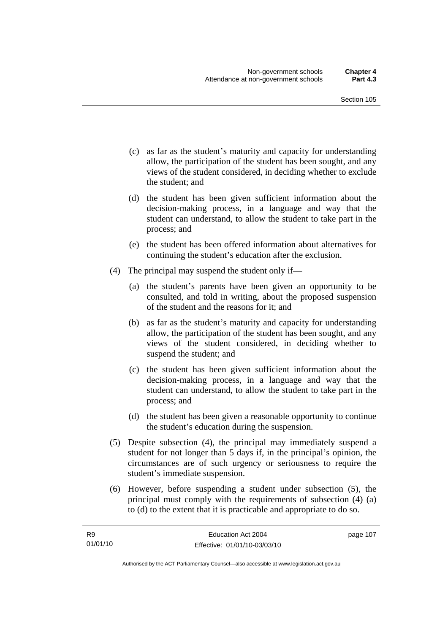- (c) as far as the student's maturity and capacity for understanding allow, the participation of the student has been sought, and any views of the student considered, in deciding whether to exclude the student; and
- (d) the student has been given sufficient information about the decision-making process, in a language and way that the student can understand, to allow the student to take part in the process; and
- (e) the student has been offered information about alternatives for continuing the student's education after the exclusion.
- (4) The principal may suspend the student only if—
	- (a) the student's parents have been given an opportunity to be consulted, and told in writing, about the proposed suspension of the student and the reasons for it; and
	- (b) as far as the student's maturity and capacity for understanding allow, the participation of the student has been sought, and any views of the student considered, in deciding whether to suspend the student; and
	- (c) the student has been given sufficient information about the decision-making process, in a language and way that the student can understand, to allow the student to take part in the process; and
	- (d) the student has been given a reasonable opportunity to continue the student's education during the suspension.
- (5) Despite subsection (4), the principal may immediately suspend a student for not longer than 5 days if, in the principal's opinion, the circumstances are of such urgency or seriousness to require the student's immediate suspension.
- (6) However, before suspending a student under subsection (5), the principal must comply with the requirements of subsection (4) (a) to (d) to the extent that it is practicable and appropriate to do so.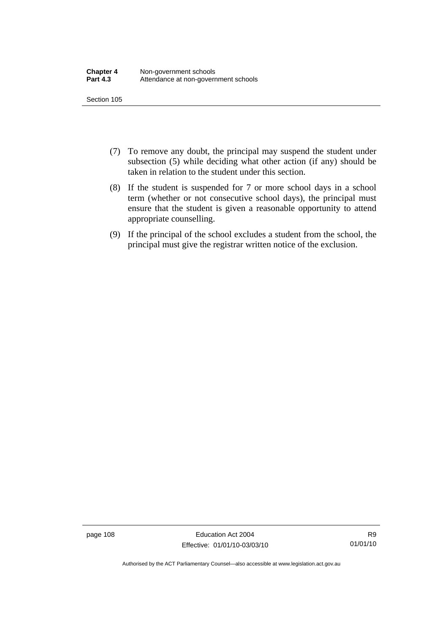- (7) To remove any doubt, the principal may suspend the student under subsection (5) while deciding what other action (if any) should be taken in relation to the student under this section.
- (8) If the student is suspended for 7 or more school days in a school term (whether or not consecutive school days), the principal must ensure that the student is given a reasonable opportunity to attend appropriate counselling.
- (9) If the principal of the school excludes a student from the school, the principal must give the registrar written notice of the exclusion.

page 108 Education Act 2004 Effective: 01/01/10-03/03/10

Authorised by the ACT Parliamentary Counsel—also accessible at www.legislation.act.gov.au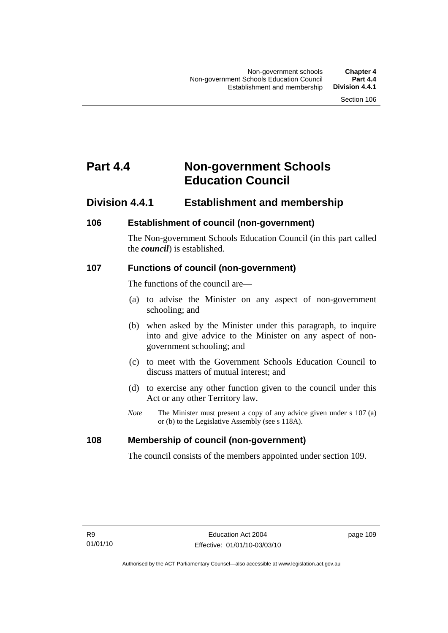# **Part 4.4 Non-government Schools Education Council**

### **Division 4.4.1 Establishment and membership**

### **106 Establishment of council (non-government)**

The Non-government Schools Education Council (in this part called the *council*) is established.

### **107 Functions of council (non-government)**

The functions of the council are—

- (a) to advise the Minister on any aspect of non-government schooling; and
- (b) when asked by the Minister under this paragraph, to inquire into and give advice to the Minister on any aspect of nongovernment schooling; and
- (c) to meet with the Government Schools Education Council to discuss matters of mutual interest; and
- (d) to exercise any other function given to the council under this Act or any other Territory law.
- *Note* The Minister must present a copy of any advice given under s 107 (a) or (b) to the Legislative Assembly (see s 118A).

### **108 Membership of council (non-government)**

The council consists of the members appointed under section 109.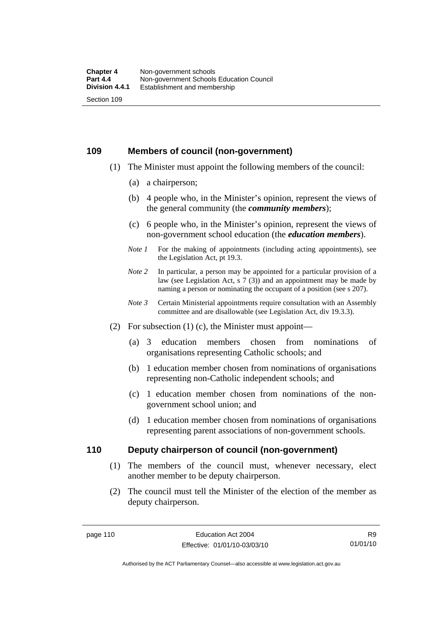### **109 Members of council (non-government)**

- (1) The Minister must appoint the following members of the council:
	- (a) a chairperson;
	- (b) 4 people who, in the Minister's opinion, represent the views of the general community (the *community members*);
	- (c) 6 people who, in the Minister's opinion, represent the views of non-government school education (the *education members*).
	- *Note 1* For the making of appointments (including acting appointments), see the Legislation Act, pt 19.3.
	- *Note* 2 In particular, a person may be appointed for a particular provision of a law (see Legislation Act, s 7 (3)) and an appointment may be made by naming a person or nominating the occupant of a position (see s 207).
	- *Note 3* Certain Ministerial appointments require consultation with an Assembly committee and are disallowable (see Legislation Act, div 19.3.3).
- (2) For subsection  $(1)$  (c), the Minister must appoint—
	- (a) 3 education members chosen from nominations of organisations representing Catholic schools; and
	- (b) 1 education member chosen from nominations of organisations representing non-Catholic independent schools; and
	- (c) 1 education member chosen from nominations of the nongovernment school union; and
	- (d) 1 education member chosen from nominations of organisations representing parent associations of non-government schools.

### **110 Deputy chairperson of council (non-government)**

- (1) The members of the council must, whenever necessary, elect another member to be deputy chairperson.
- (2) The council must tell the Minister of the election of the member as deputy chairperson.

R9 01/01/10

Authorised by the ACT Parliamentary Counsel—also accessible at www.legislation.act.gov.au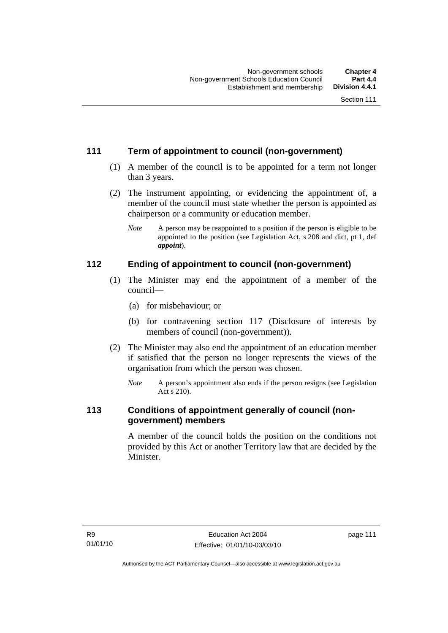### **111 Term of appointment to council (non-government)**

- (1) A member of the council is to be appointed for a term not longer than 3 years.
- (2) The instrument appointing, or evidencing the appointment of, a member of the council must state whether the person is appointed as chairperson or a community or education member.
	- *Note* A person may be reappointed to a position if the person is eligible to be appointed to the position (see Legislation Act, s 208 and dict, pt 1, def *appoint*).

### **112 Ending of appointment to council (non-government)**

- (1) The Minister may end the appointment of a member of the council—
	- (a) for misbehaviour; or
	- (b) for contravening section 117 (Disclosure of interests by members of council (non-government)).
- (2) The Minister may also end the appointment of an education member if satisfied that the person no longer represents the views of the organisation from which the person was chosen.
	- *Note* A person's appointment also ends if the person resigns (see Legislation Act s 210).

### **113 Conditions of appointment generally of council (nongovernment) members**

A member of the council holds the position on the conditions not provided by this Act or another Territory law that are decided by the Minister.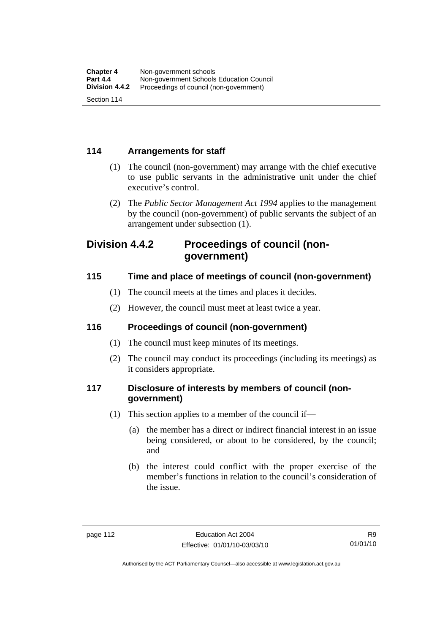### **114 Arrangements for staff**

- (1) The council (non-government) may arrange with the chief executive to use public servants in the administrative unit under the chief executive's control.
- (2) The *Public Sector Management Act 1994* applies to the management by the council (non-government) of public servants the subject of an arrangement under subsection (1).

### **Division 4.4.2 Proceedings of council (nongovernment)**

### **115 Time and place of meetings of council (non-government)**

- (1) The council meets at the times and places it decides.
- (2) However, the council must meet at least twice a year.

### **116 Proceedings of council (non-government)**

- (1) The council must keep minutes of its meetings.
- (2) The council may conduct its proceedings (including its meetings) as it considers appropriate.

### **117 Disclosure of interests by members of council (nongovernment)**

- (1) This section applies to a member of the council if—
	- (a) the member has a direct or indirect financial interest in an issue being considered, or about to be considered, by the council; and
	- (b) the interest could conflict with the proper exercise of the member's functions in relation to the council's consideration of the issue.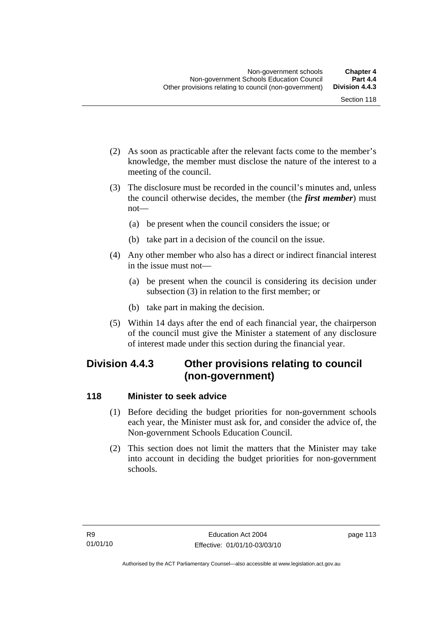- (2) As soon as practicable after the relevant facts come to the member's knowledge, the member must disclose the nature of the interest to a meeting of the council.
- (3) The disclosure must be recorded in the council's minutes and, unless the council otherwise decides, the member (the *first member*) must not—
	- (a) be present when the council considers the issue; or
	- (b) take part in a decision of the council on the issue.
- (4) Any other member who also has a direct or indirect financial interest in the issue must not—
	- (a) be present when the council is considering its decision under subsection (3) in relation to the first member; or
	- (b) take part in making the decision.
- (5) Within 14 days after the end of each financial year, the chairperson of the council must give the Minister a statement of any disclosure of interest made under this section during the financial year.

## **Division 4.4.3 Other provisions relating to council (non-government)**

### **118 Minister to seek advice**

- (1) Before deciding the budget priorities for non-government schools each year, the Minister must ask for, and consider the advice of, the Non-government Schools Education Council.
- (2) This section does not limit the matters that the Minister may take into account in deciding the budget priorities for non-government schools.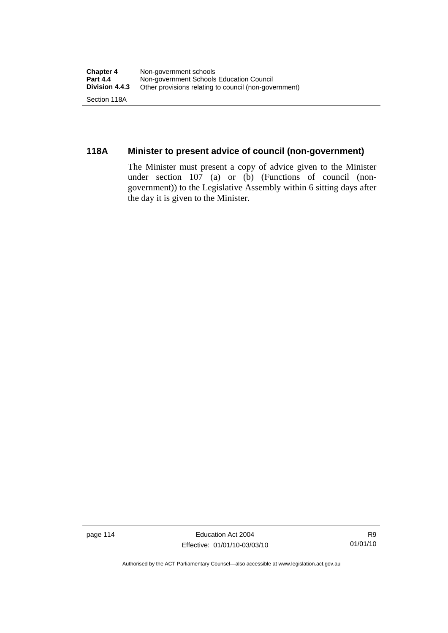### **118A Minister to present advice of council (non-government)**

The Minister must present a copy of advice given to the Minister under section 107 (a) or (b) (Functions of council (nongovernment)) to the Legislative Assembly within 6 sitting days after the day it is given to the Minister.

page 114 Education Act 2004 Effective: 01/01/10-03/03/10

Authorised by the ACT Parliamentary Counsel—also accessible at www.legislation.act.gov.au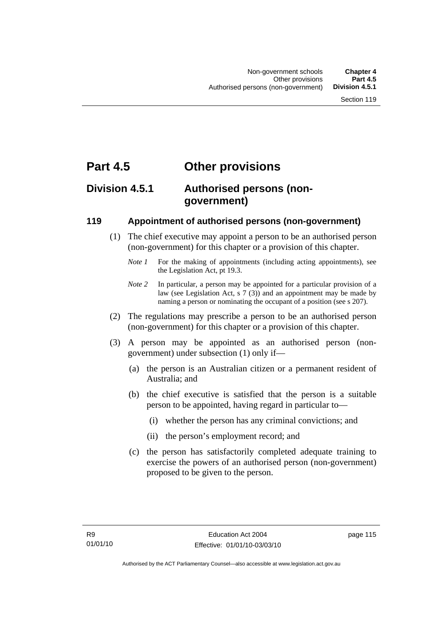## **Part 4.5 Other provisions**

## **Division 4.5.1 Authorised persons (nongovernment)**

### **119 Appointment of authorised persons (non-government)**

- (1) The chief executive may appoint a person to be an authorised person (non-government) for this chapter or a provision of this chapter.
	- *Note 1* For the making of appointments (including acting appointments), see the Legislation Act, pt 19.3.
	- *Note 2* In particular, a person may be appointed for a particular provision of a law (see Legislation Act, s 7 (3)) and an appointment may be made by naming a person or nominating the occupant of a position (see s 207).
- (2) The regulations may prescribe a person to be an authorised person (non-government) for this chapter or a provision of this chapter.
- (3) A person may be appointed as an authorised person (nongovernment) under subsection (1) only if—
	- (a) the person is an Australian citizen or a permanent resident of Australia; and
	- (b) the chief executive is satisfied that the person is a suitable person to be appointed, having regard in particular to—
		- (i) whether the person has any criminal convictions; and
		- (ii) the person's employment record; and
	- (c) the person has satisfactorily completed adequate training to exercise the powers of an authorised person (non-government) proposed to be given to the person.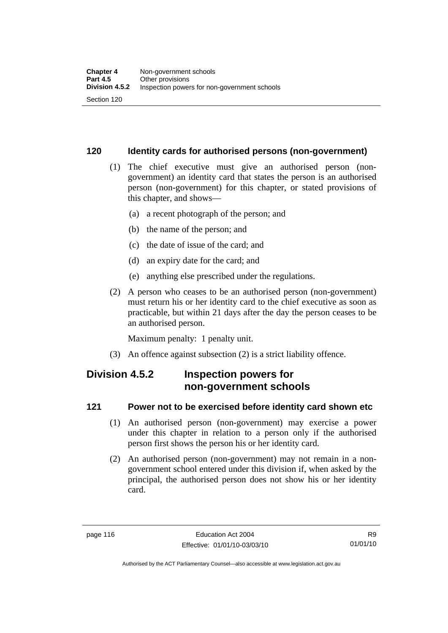### **120 Identity cards for authorised persons (non-government)**

- (1) The chief executive must give an authorised person (nongovernment) an identity card that states the person is an authorised person (non-government) for this chapter, or stated provisions of this chapter, and shows—
	- (a) a recent photograph of the person; and
	- (b) the name of the person; and
	- (c) the date of issue of the card; and
	- (d) an expiry date for the card; and
	- (e) anything else prescribed under the regulations.
- (2) A person who ceases to be an authorised person (non-government) must return his or her identity card to the chief executive as soon as practicable, but within 21 days after the day the person ceases to be an authorised person.

Maximum penalty: 1 penalty unit.

(3) An offence against subsection (2) is a strict liability offence.

## **Division 4.5.2 Inspection powers for non-government schools**

### **121 Power not to be exercised before identity card shown etc**

- (1) An authorised person (non-government) may exercise a power under this chapter in relation to a person only if the authorised person first shows the person his or her identity card.
- (2) An authorised person (non-government) may not remain in a nongovernment school entered under this division if, when asked by the principal, the authorised person does not show his or her identity card.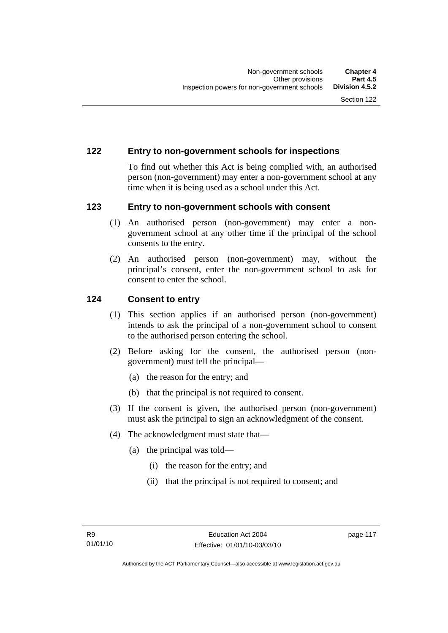### **122 Entry to non-government schools for inspections**

To find out whether this Act is being complied with, an authorised person (non-government) may enter a non-government school at any time when it is being used as a school under this Act.

### **123 Entry to non-government schools with consent**

- (1) An authorised person (non-government) may enter a nongovernment school at any other time if the principal of the school consents to the entry.
- (2) An authorised person (non-government) may, without the principal's consent, enter the non-government school to ask for consent to enter the school.

### **124 Consent to entry**

- (1) This section applies if an authorised person (non-government) intends to ask the principal of a non-government school to consent to the authorised person entering the school.
- (2) Before asking for the consent, the authorised person (nongovernment) must tell the principal—
	- (a) the reason for the entry; and
	- (b) that the principal is not required to consent.
- (3) If the consent is given, the authorised person (non-government) must ask the principal to sign an acknowledgment of the consent.
- (4) The acknowledgment must state that—
	- (a) the principal was told—
		- (i) the reason for the entry; and
		- (ii) that the principal is not required to consent; and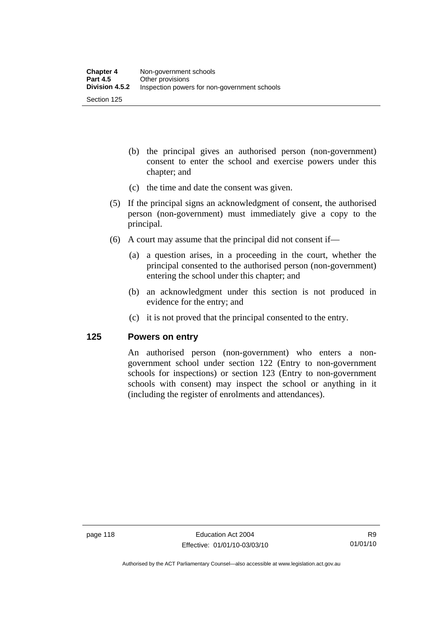- (b) the principal gives an authorised person (non-government) consent to enter the school and exercise powers under this chapter; and
- (c) the time and date the consent was given.
- (5) If the principal signs an acknowledgment of consent, the authorised person (non-government) must immediately give a copy to the principal.
- (6) A court may assume that the principal did not consent if—
	- (a) a question arises, in a proceeding in the court, whether the principal consented to the authorised person (non-government) entering the school under this chapter; and
	- (b) an acknowledgment under this section is not produced in evidence for the entry; and
	- (c) it is not proved that the principal consented to the entry.

### **125 Powers on entry**

An authorised person (non-government) who enters a nongovernment school under section 122 (Entry to non-government schools for inspections) or section 123 (Entry to non-government schools with consent) may inspect the school or anything in it (including the register of enrolments and attendances).

Authorised by the ACT Parliamentary Counsel—also accessible at www.legislation.act.gov.au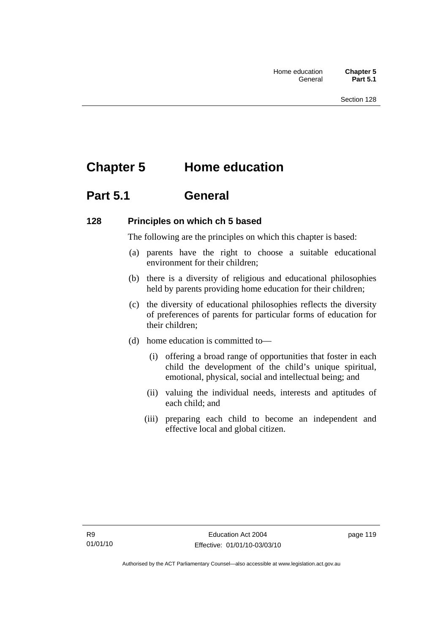# **Chapter 5 Home education**

## **Part 5.1 General**

### **128 Principles on which ch 5 based**

The following are the principles on which this chapter is based:

- (a) parents have the right to choose a suitable educational environment for their children;
- (b) there is a diversity of religious and educational philosophies held by parents providing home education for their children;
- (c) the diversity of educational philosophies reflects the diversity of preferences of parents for particular forms of education for their children;
- (d) home education is committed to—
	- (i) offering a broad range of opportunities that foster in each child the development of the child's unique spiritual, emotional, physical, social and intellectual being; and
	- (ii) valuing the individual needs, interests and aptitudes of each child; and
	- (iii) preparing each child to become an independent and effective local and global citizen.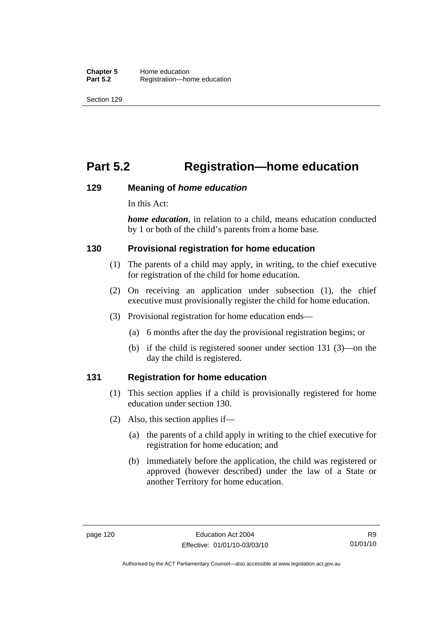# **Part 5.2 Registration—home education**

### **129 Meaning of** *home education*

In this Act:

*home education*, in relation to a child, means education conducted by 1 or both of the child's parents from a home base.

### **130 Provisional registration for home education**

- (1) The parents of a child may apply, in writing, to the chief executive for registration of the child for home education.
- (2) On receiving an application under subsection (1), the chief executive must provisionally register the child for home education.
- (3) Provisional registration for home education ends—
	- (a) 6 months after the day the provisional registration begins; or
	- (b) if the child is registered sooner under section 131 (3)—on the day the child is registered.

### **131 Registration for home education**

- (1) This section applies if a child is provisionally registered for home education under section 130.
- (2) Also, this section applies if—
	- (a) the parents of a child apply in writing to the chief executive for registration for home education; and
	- (b) immediately before the application, the child was registered or approved (however described) under the law of a State or another Territory for home education.

Authorised by the ACT Parliamentary Counsel—also accessible at www.legislation.act.gov.au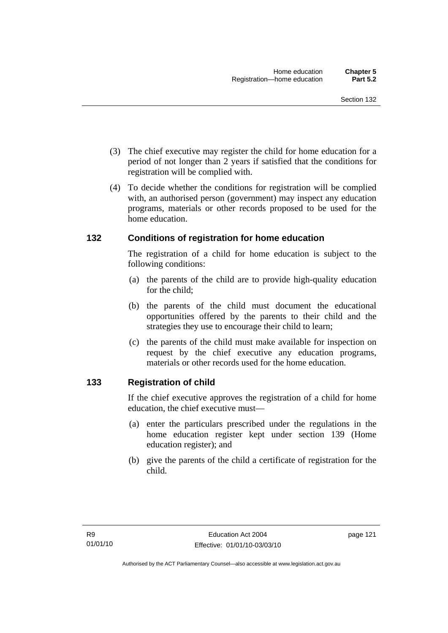- (3) The chief executive may register the child for home education for a period of not longer than 2 years if satisfied that the conditions for registration will be complied with.
- (4) To decide whether the conditions for registration will be complied with, an authorised person (government) may inspect any education programs, materials or other records proposed to be used for the home education.

### **132 Conditions of registration for home education**

The registration of a child for home education is subject to the following conditions:

- (a) the parents of the child are to provide high-quality education for the child;
- (b) the parents of the child must document the educational opportunities offered by the parents to their child and the strategies they use to encourage their child to learn;
- (c) the parents of the child must make available for inspection on request by the chief executive any education programs, materials or other records used for the home education.

### **133 Registration of child**

If the chief executive approves the registration of a child for home education, the chief executive must—

- (a) enter the particulars prescribed under the regulations in the home education register kept under section 139 (Home education register); and
- (b) give the parents of the child a certificate of registration for the child.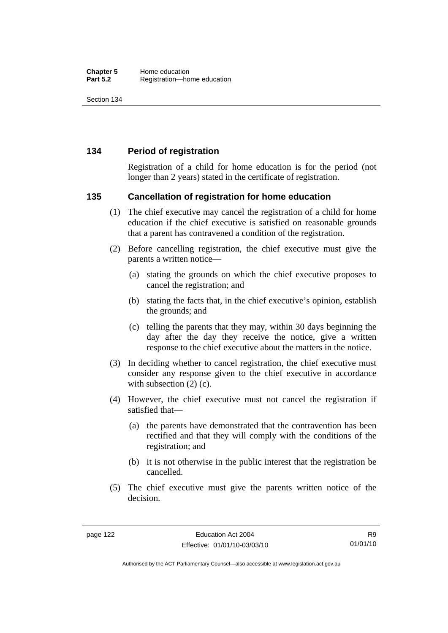### **134 Period of registration**

Registration of a child for home education is for the period (not longer than 2 years) stated in the certificate of registration.

### **135 Cancellation of registration for home education**

- (1) The chief executive may cancel the registration of a child for home education if the chief executive is satisfied on reasonable grounds that a parent has contravened a condition of the registration.
- (2) Before cancelling registration, the chief executive must give the parents a written notice—
	- (a) stating the grounds on which the chief executive proposes to cancel the registration; and
	- (b) stating the facts that, in the chief executive's opinion, establish the grounds; and
	- (c) telling the parents that they may, within 30 days beginning the day after the day they receive the notice, give a written response to the chief executive about the matters in the notice.
- (3) In deciding whether to cancel registration, the chief executive must consider any response given to the chief executive in accordance with subsection  $(2)$  (c).
- (4) However, the chief executive must not cancel the registration if satisfied that—
	- (a) the parents have demonstrated that the contravention has been rectified and that they will comply with the conditions of the registration; and
	- (b) it is not otherwise in the public interest that the registration be cancelled.
- (5) The chief executive must give the parents written notice of the decision.

R9 01/01/10

Authorised by the ACT Parliamentary Counsel—also accessible at www.legislation.act.gov.au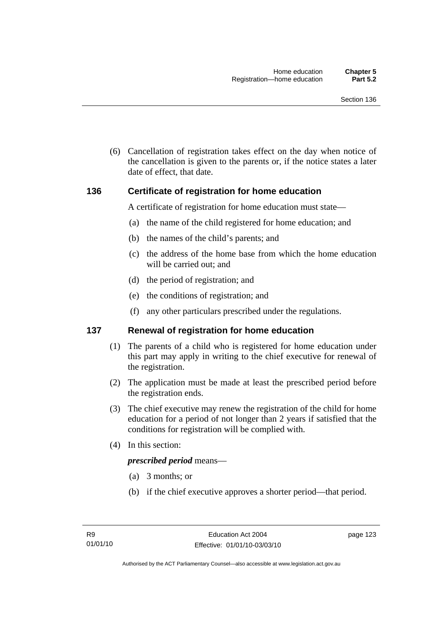(6) Cancellation of registration takes effect on the day when notice of the cancellation is given to the parents or, if the notice states a later date of effect, that date.

### **136 Certificate of registration for home education**

A certificate of registration for home education must state—

- (a) the name of the child registered for home education; and
- (b) the names of the child's parents; and
- (c) the address of the home base from which the home education will be carried out; and
- (d) the period of registration; and
- (e) the conditions of registration; and
- (f) any other particulars prescribed under the regulations.

### **137 Renewal of registration for home education**

- (1) The parents of a child who is registered for home education under this part may apply in writing to the chief executive for renewal of the registration.
- (2) The application must be made at least the prescribed period before the registration ends.
- (3) The chief executive may renew the registration of the child for home education for a period of not longer than 2 years if satisfied that the conditions for registration will be complied with.
- (4) In this section:

#### *prescribed period* means—

- (a) 3 months; or
- (b) if the chief executive approves a shorter period—that period.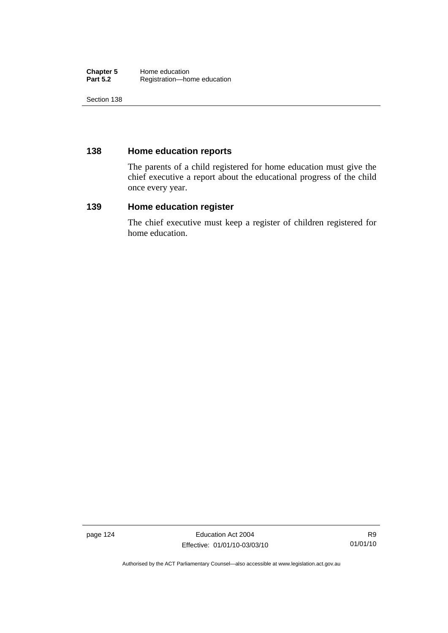#### **Chapter 5** Home education<br> **Part 5.2** Registration—ho Registration—home education

Section 138

### **138 Home education reports**

The parents of a child registered for home education must give the chief executive a report about the educational progress of the child once every year.

### **139 Home education register**

The chief executive must keep a register of children registered for home education.

page 124 **Education Act 2004** Effective: 01/01/10-03/03/10

Authorised by the ACT Parliamentary Counsel—also accessible at www.legislation.act.gov.au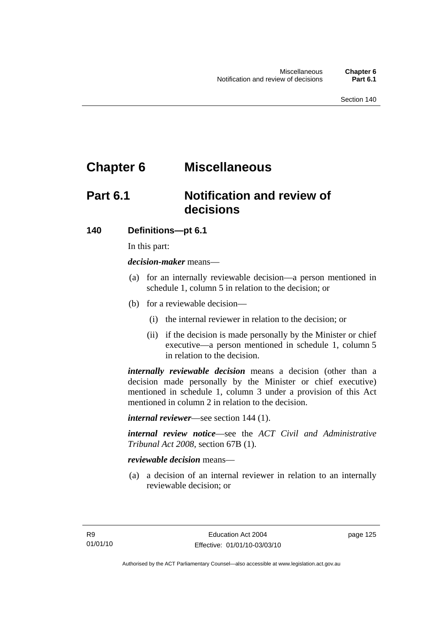# **Chapter 6 Miscellaneous**

## **Part 6.1 Notification and review of decisions**

### **140 Definitions***—***pt 6.1**

In this part:

*decision-maker* means—

- (a) for an internally reviewable decision—a person mentioned in schedule 1, column 5 in relation to the decision; or
- (b) for a reviewable decision—
	- (i) the internal reviewer in relation to the decision; or
	- (ii) if the decision is made personally by the Minister or chief executive—a person mentioned in schedule 1, column 5 in relation to the decision.

*internally reviewable decision* means a decision (other than a decision made personally by the Minister or chief executive) mentioned in schedule 1, column 3 under a provision of this Act mentioned in column 2 in relation to the decision.

*internal reviewer*—see section 144 (1).

*internal review notice*—see the *ACT Civil and Administrative Tribunal Act 2008*, section 67B (1).

### *reviewable decision* means—

 (a) a decision of an internal reviewer in relation to an internally reviewable decision; or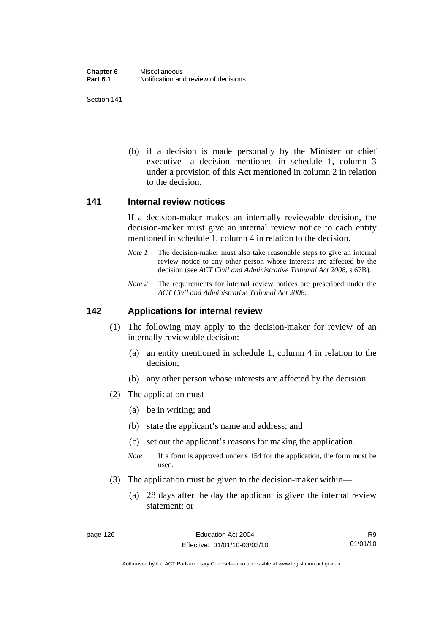(b) if a decision is made personally by the Minister or chief executive—a decision mentioned in schedule 1, column 3 under a provision of this Act mentioned in column 2 in relation to the decision.

#### **141 Internal review notices**

If a decision-maker makes an internally reviewable decision, the decision-maker must give an internal review notice to each entity mentioned in schedule 1, column 4 in relation to the decision.

- *Note 1* The decision-maker must also take reasonable steps to give an internal review notice to any other person whose interests are affected by the decision (see *ACT Civil and Administrative Tribunal Act 2008*, s 67B).
- *Note* 2 The requirements for internal review notices are prescribed under the *ACT Civil and Administrative Tribunal Act 2008*.

### **142 Applications for internal review**

- (1) The following may apply to the decision-maker for review of an internally reviewable decision:
	- (a) an entity mentioned in schedule 1, column 4 in relation to the decision;
	- (b) any other person whose interests are affected by the decision.
- (2) The application must—
	- (a) be in writing; and
	- (b) state the applicant's name and address; and
	- (c) set out the applicant's reasons for making the application.
	- *Note* If a form is approved under s 154 for the application, the form must be used.
- (3) The application must be given to the decision-maker within—
	- (a) 28 days after the day the applicant is given the internal review statement; or

R9 01/01/10

Authorised by the ACT Parliamentary Counsel—also accessible at www.legislation.act.gov.au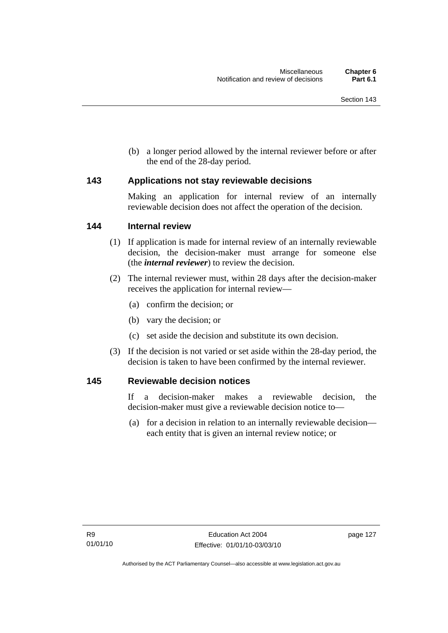(b) a longer period allowed by the internal reviewer before or after the end of the 28-day period.

### **143 Applications not stay reviewable decisions**

Making an application for internal review of an internally reviewable decision does not affect the operation of the decision.

### **144 Internal review**

- (1) If application is made for internal review of an internally reviewable decision, the decision-maker must arrange for someone else (the *internal reviewer*) to review the decision.
- (2) The internal reviewer must, within 28 days after the decision-maker receives the application for internal review—
	- (a) confirm the decision; or
	- (b) vary the decision; or
	- (c) set aside the decision and substitute its own decision.
- (3) If the decision is not varied or set aside within the 28-day period, the decision is taken to have been confirmed by the internal reviewer.

### **145 Reviewable decision notices**

If a decision-maker makes a reviewable decision, the decision-maker must give a reviewable decision notice to—

 (a) for a decision in relation to an internally reviewable decision each entity that is given an internal review notice; or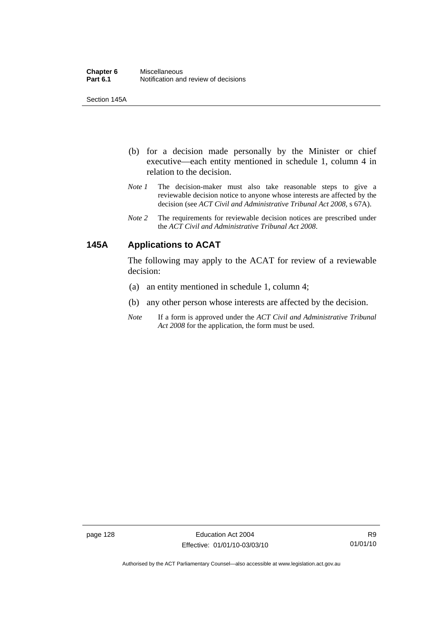Section 145A

- (b) for a decision made personally by the Minister or chief executive—each entity mentioned in schedule 1, column 4 in relation to the decision.
- *Note 1* The decision-maker must also take reasonable steps to give a reviewable decision notice to anyone whose interests are affected by the decision (see *ACT Civil and Administrative Tribunal Act 2008*, s 67A).
- *Note 2* The requirements for reviewable decision notices are prescribed under the *ACT Civil and Administrative Tribunal Act 2008*.

### **145A Applications to ACAT**

The following may apply to the ACAT for review of a reviewable decision:

- (a) an entity mentioned in schedule 1, column 4;
- (b) any other person whose interests are affected by the decision.
- *Note* If a form is approved under the *ACT Civil and Administrative Tribunal Act 2008* for the application, the form must be used.

Authorised by the ACT Parliamentary Counsel—also accessible at www.legislation.act.gov.au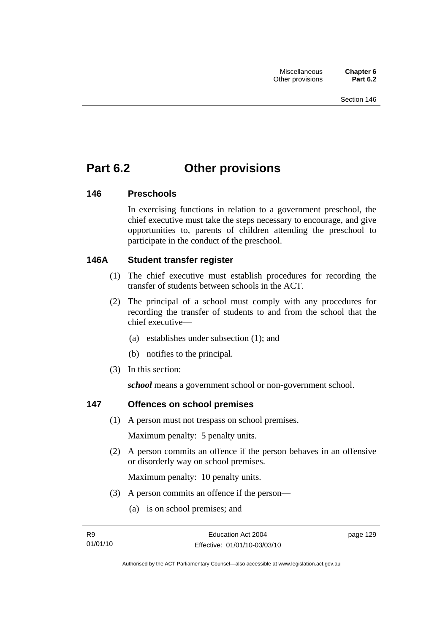# **Part 6.2 Other provisions**

### **146 Preschools**

In exercising functions in relation to a government preschool, the chief executive must take the steps necessary to encourage, and give opportunities to, parents of children attending the preschool to participate in the conduct of the preschool.

### **146A Student transfer register**

- (1) The chief executive must establish procedures for recording the transfer of students between schools in the ACT.
- (2) The principal of a school must comply with any procedures for recording the transfer of students to and from the school that the chief executive—
	- (a) establishes under subsection (1); and
	- (b) notifies to the principal.
- (3) In this section:

*school* means a government school or non-government school.

### **147 Offences on school premises**

(1) A person must not trespass on school premises.

Maximum penalty: 5 penalty units.

 (2) A person commits an offence if the person behaves in an offensive or disorderly way on school premises.

Maximum penalty: 10 penalty units.

- (3) A person commits an offence if the person—
	- (a) is on school premises; and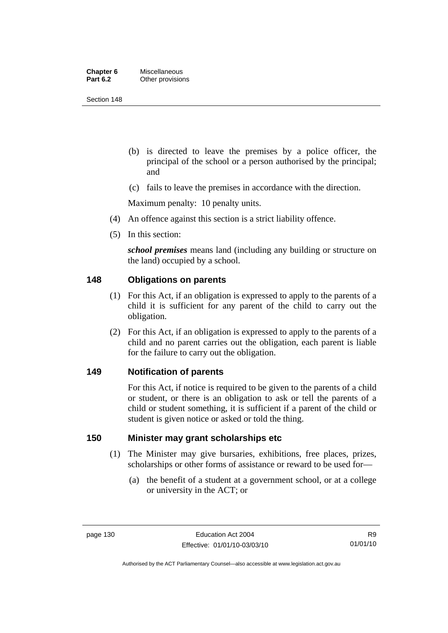| Chapter 6       | <b>Miscellaneous</b> |
|-----------------|----------------------|
| <b>Part 6.2</b> | Other provisions     |

- (b) is directed to leave the premises by a police officer, the principal of the school or a person authorised by the principal; and
- (c) fails to leave the premises in accordance with the direction.

Maximum penalty: 10 penalty units.

- (4) An offence against this section is a strict liability offence.
- (5) In this section:

*school premises* means land (including any building or structure on the land) occupied by a school.

### **148 Obligations on parents**

- (1) For this Act, if an obligation is expressed to apply to the parents of a child it is sufficient for any parent of the child to carry out the obligation.
- (2) For this Act, if an obligation is expressed to apply to the parents of a child and no parent carries out the obligation, each parent is liable for the failure to carry out the obligation.

#### **149 Notification of parents**

For this Act, if notice is required to be given to the parents of a child or student, or there is an obligation to ask or tell the parents of a child or student something, it is sufficient if a parent of the child or student is given notice or asked or told the thing.

### **150 Minister may grant scholarships etc**

- (1) The Minister may give bursaries, exhibitions, free places, prizes, scholarships or other forms of assistance or reward to be used for—
	- (a) the benefit of a student at a government school, or at a college or university in the ACT; or

Authorised by the ACT Parliamentary Counsel—also accessible at www.legislation.act.gov.au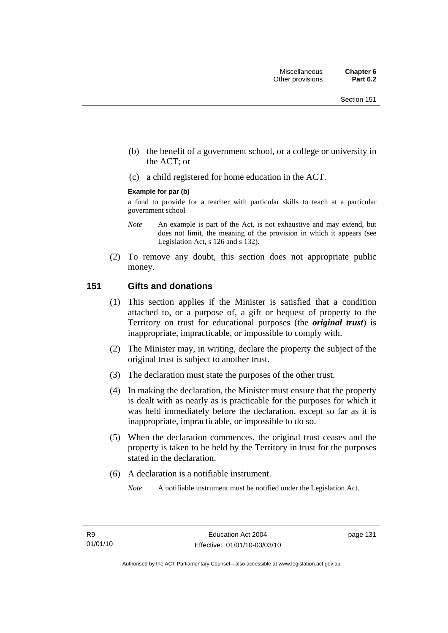- (b) the benefit of a government school, or a college or university in the ACT; or
- (c) a child registered for home education in the ACT.

#### **Example for par (b)**

a fund to provide for a teacher with particular skills to teach at a particular government school

- *Note* An example is part of the Act, is not exhaustive and may extend, but does not limit, the meaning of the provision in which it appears (see Legislation Act, s 126 and s 132).
- (2) To remove any doubt, this section does not appropriate public money.

### **151 Gifts and donations**

- (1) This section applies if the Minister is satisfied that a condition attached to, or a purpose of, a gift or bequest of property to the Territory on trust for educational purposes (the *original trust*) is inappropriate, impracticable, or impossible to comply with.
- (2) The Minister may, in writing, declare the property the subject of the original trust is subject to another trust.
- (3) The declaration must state the purposes of the other trust.
- (4) In making the declaration, the Minister must ensure that the property is dealt with as nearly as is practicable for the purposes for which it was held immediately before the declaration, except so far as it is inappropriate, impracticable, or impossible to do so.
- (5) When the declaration commences, the original trust ceases and the property is taken to be held by the Territory in trust for the purposes stated in the declaration.
- (6) A declaration is a notifiable instrument.

*Note* A notifiable instrument must be notified under the Legislation Act.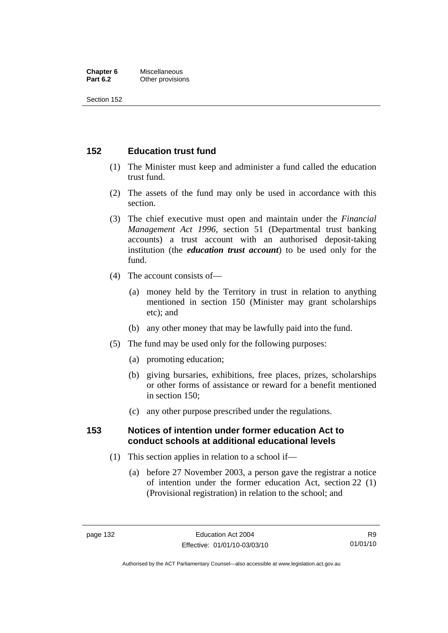#### **Chapter 6** Miscellaneous<br>**Part 6.2** Other provision **Other provisions**

Section 152

### **152 Education trust fund**

- (1) The Minister must keep and administer a fund called the education trust fund.
- (2) The assets of the fund may only be used in accordance with this section.
- (3) The chief executive must open and maintain under the *Financial Management Act 1996*, section 51 (Departmental trust banking accounts) a trust account with an authorised deposit-taking institution (the *education trust account*) to be used only for the fund.
- (4) The account consists of—
	- (a) money held by the Territory in trust in relation to anything mentioned in section 150 (Minister may grant scholarships etc); and
	- (b) any other money that may be lawfully paid into the fund.
- (5) The fund may be used only for the following purposes:
	- (a) promoting education;
	- (b) giving bursaries, exhibitions, free places, prizes, scholarships or other forms of assistance or reward for a benefit mentioned in section 150;
	- (c) any other purpose prescribed under the regulations.

### **153 Notices of intention under former education Act to conduct schools at additional educational levels**

- (1) This section applies in relation to a school if—
	- (a) before 27 November 2003, a person gave the registrar a notice of intention under the former education Act, section 22 (1) (Provisional registration) in relation to the school; and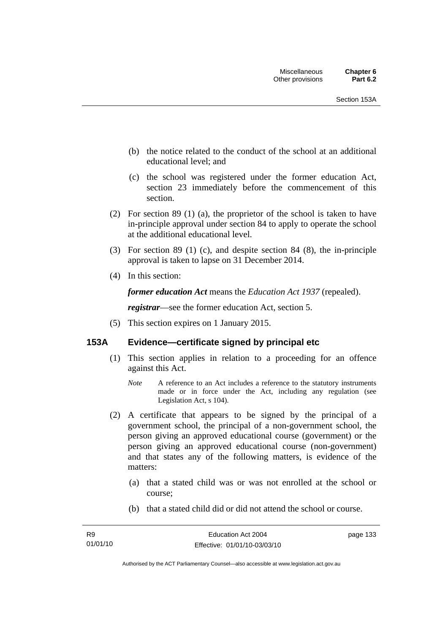- (b) the notice related to the conduct of the school at an additional educational level; and
- (c) the school was registered under the former education Act, section 23 immediately before the commencement of this section.
- (2) For section 89 (1) (a), the proprietor of the school is taken to have in-principle approval under section 84 to apply to operate the school at the additional educational level.
- (3) For section 89 (1) (c), and despite section 84 (8), the in-principle approval is taken to lapse on 31 December 2014.
- (4) In this section:

*former education Act* means the *Education Act 1937* (repealed).

*registrar*—see the former education Act, section 5.

(5) This section expires on 1 January 2015.

# **153A Evidence—certificate signed by principal etc**

- (1) This section applies in relation to a proceeding for an offence against this Act.
	- *Note* A reference to an Act includes a reference to the statutory instruments made or in force under the Act, including any regulation (see Legislation Act, s 104).
- (2) A certificate that appears to be signed by the principal of a government school, the principal of a non-government school, the person giving an approved educational course (government) or the person giving an approved educational course (non-government) and that states any of the following matters, is evidence of the matters:
	- (a) that a stated child was or was not enrolled at the school or course;
	- (b) that a stated child did or did not attend the school or course.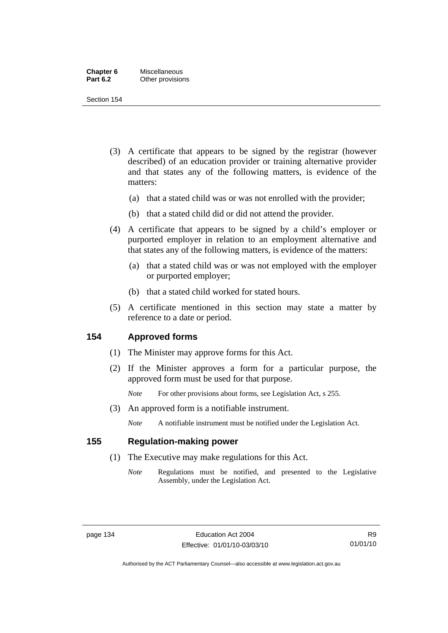| Chapter 6       | Miscellaneous    |
|-----------------|------------------|
| <b>Part 6.2</b> | Other provisions |

Section 154

- (3) A certificate that appears to be signed by the registrar (however described) of an education provider or training alternative provider and that states any of the following matters, is evidence of the matters:
	- (a) that a stated child was or was not enrolled with the provider;
	- (b) that a stated child did or did not attend the provider.
- (4) A certificate that appears to be signed by a child's employer or purported employer in relation to an employment alternative and that states any of the following matters, is evidence of the matters:
	- (a) that a stated child was or was not employed with the employer or purported employer;
	- (b) that a stated child worked for stated hours.
- (5) A certificate mentioned in this section may state a matter by reference to a date or period.

### **154 Approved forms**

- (1) The Minister may approve forms for this Act.
- (2) If the Minister approves a form for a particular purpose, the approved form must be used for that purpose.

*Note* For other provisions about forms, see Legislation Act, s 255.

(3) An approved form is a notifiable instrument.

*Note* A notifiable instrument must be notified under the Legislation Act.

## **155 Regulation-making power**

- (1) The Executive may make regulations for this Act.
	- *Note* Regulations must be notified, and presented to the Legislative Assembly, under the Legislation Act.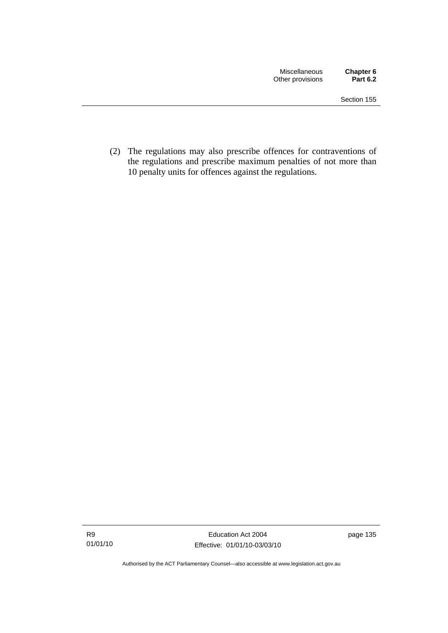(2) The regulations may also prescribe offences for contraventions of the regulations and prescribe maximum penalties of not more than 10 penalty units for offences against the regulations.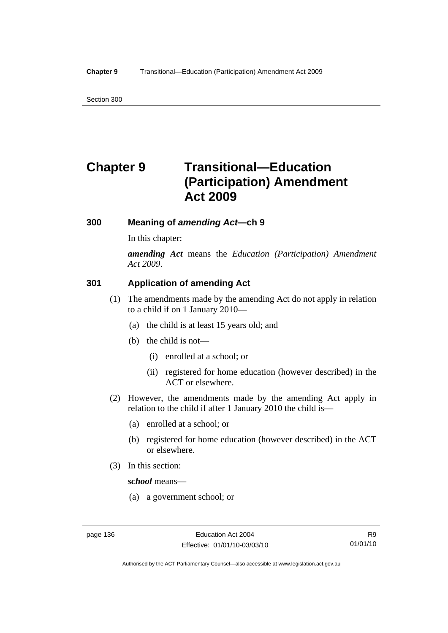Section 300

# **Chapter 9 Transitional—Education (Participation) Amendment Act 2009**

# **300 Meaning of** *amending Act***—ch 9**

In this chapter:

*amending Act* means the *Education (Participation) Amendment Act 2009*.

# **301 Application of amending Act**

- (1) The amendments made by the amending Act do not apply in relation to a child if on 1 January 2010—
	- (a) the child is at least 15 years old; and
	- (b) the child is not—
		- (i) enrolled at a school; or
		- (ii) registered for home education (however described) in the ACT or elsewhere.
- (2) However, the amendments made by the amending Act apply in relation to the child if after 1 January 2010 the child is—
	- (a) enrolled at a school; or
	- (b) registered for home education (however described) in the ACT or elsewhere.
- (3) In this section:

*school* means—

(a) a government school; or

Authorised by the ACT Parliamentary Counsel—also accessible at www.legislation.act.gov.au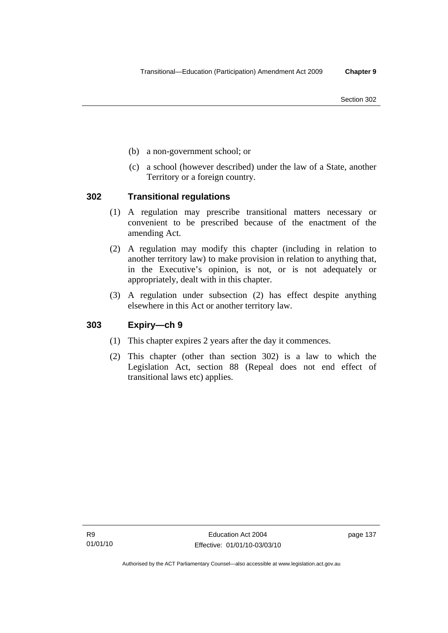- (b) a non-government school; or
- (c) a school (however described) under the law of a State, another Territory or a foreign country.

# **302 Transitional regulations**

- (1) A regulation may prescribe transitional matters necessary or convenient to be prescribed because of the enactment of the amending Act.
- (2) A regulation may modify this chapter (including in relation to another territory law) to make provision in relation to anything that, in the Executive's opinion, is not, or is not adequately or appropriately, dealt with in this chapter.
- (3) A regulation under subsection (2) has effect despite anything elsewhere in this Act or another territory law.

# **303 Expiry—ch 9**

- (1) This chapter expires 2 years after the day it commences.
- (2) This chapter (other than section 302) is a law to which the Legislation Act, section 88 (Repeal does not end effect of transitional laws etc) applies.

page 137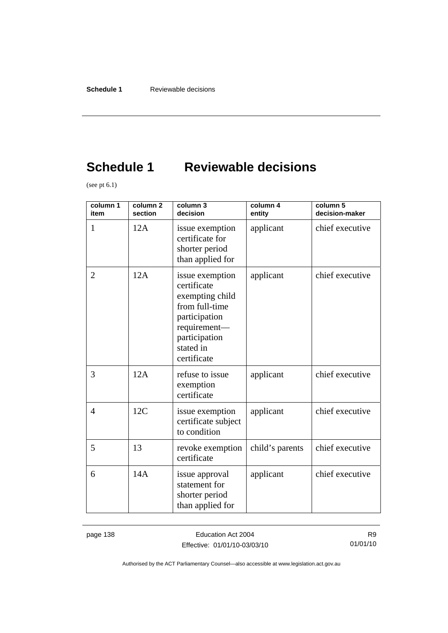# **Schedule 1 Reviewable decisions**

(see pt  $6.1$ )

| column 1<br>item | column <sub>2</sub><br>section | column 3<br>decision                                                                                                                              | column 4<br>entity | column 5<br>decision-maker |
|------------------|--------------------------------|---------------------------------------------------------------------------------------------------------------------------------------------------|--------------------|----------------------------|
| $\mathbf{1}$     | 12A                            | issue exemption<br>certificate for<br>shorter period<br>than applied for                                                                          | applicant          | chief executive            |
| $\overline{2}$   | 12A                            | issue exemption<br>certificate<br>exempting child<br>from full-time<br>participation<br>requirement-<br>participation<br>stated in<br>certificate | applicant          | chief executive            |
| 3                | 12A                            | refuse to issue<br>exemption<br>certificate                                                                                                       | applicant          | chief executive            |
| $\overline{4}$   | 12C                            | issue exemption<br>certificate subject<br>to condition                                                                                            | applicant          | chief executive            |
| 5                | 13                             | revoke exemption<br>certificate                                                                                                                   | child's parents    | chief executive            |
| 6                | 14A                            | issue approval<br>statement for<br>shorter period<br>than applied for                                                                             | applicant          | chief executive            |

page 138 **Education Act 2004** Effective: 01/01/10-03/03/10

R9 01/01/10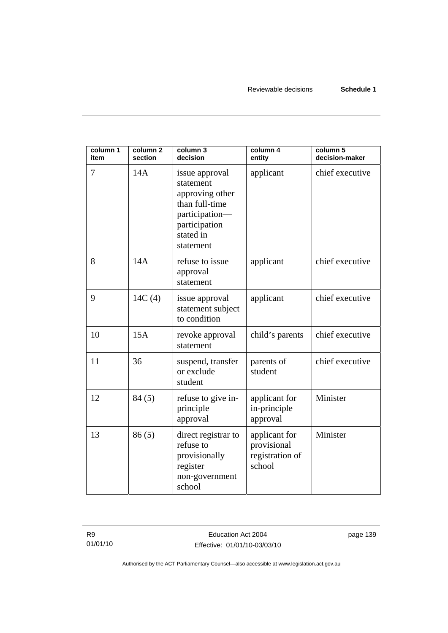| column 1<br>item | column <sub>2</sub><br>section | column 3<br>decision                                                                                                          | column 4<br>entity                                        | column 5<br>decision-maker |
|------------------|--------------------------------|-------------------------------------------------------------------------------------------------------------------------------|-----------------------------------------------------------|----------------------------|
| 7                | 14A                            | issue approval<br>statement<br>approving other<br>than full-time<br>participation-<br>participation<br>stated in<br>statement | applicant                                                 | chief executive            |
| 8                | 14A                            | refuse to issue<br>approval<br>statement                                                                                      | applicant                                                 | chief executive            |
| 9                | 14C(4)                         | issue approval<br>statement subject<br>to condition                                                                           | applicant                                                 | chief executive            |
| 10               | 15A                            | revoke approval<br>statement                                                                                                  | child's parents                                           | chief executive            |
| 11               | 36                             | suspend, transfer<br>or exclude<br>student                                                                                    | parents of<br>student                                     | chief executive            |
| 12               | 84(5)                          | refuse to give in-<br>principle<br>approval                                                                                   | applicant for<br>in-principle<br>approval                 | Minister                   |
| 13               | 86(5)                          | direct registrar to<br>refuse to<br>provisionally<br>register<br>non-government<br>school                                     | applicant for<br>provisional<br>registration of<br>school | Minister                   |

page 139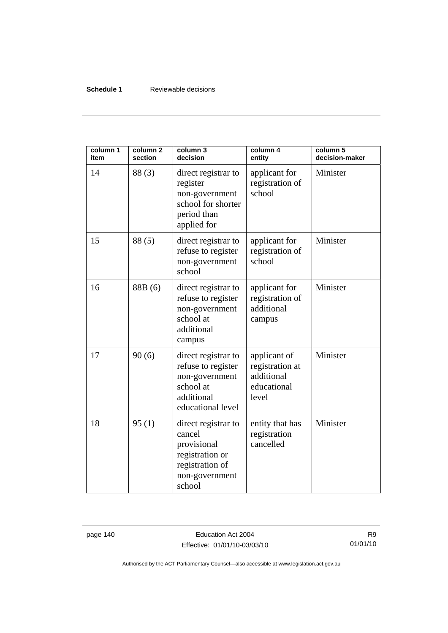### **Schedule 1** Reviewable decisions

| column 1<br>item | column <sub>2</sub><br>section | column 3<br>decision                                                                                           | column 4<br>entity                                                    | column 5<br>decision-maker |
|------------------|--------------------------------|----------------------------------------------------------------------------------------------------------------|-----------------------------------------------------------------------|----------------------------|
| 14               | 88(3)                          | direct registrar to<br>register<br>non-government<br>school for shorter<br>period than<br>applied for          | applicant for<br>registration of<br>school                            | Minister                   |
| 15               | 88(5)                          | direct registrar to<br>refuse to register<br>non-government<br>school                                          | applicant for<br>registration of<br>school                            | Minister                   |
| 16               | 88B (6)                        | direct registrar to<br>refuse to register<br>non-government<br>school at<br>additional<br>campus               | applicant for<br>registration of<br>additional<br>campus              | Minister                   |
| 17               | 90(6)                          | direct registrar to<br>refuse to register<br>non-government<br>school at<br>additional<br>educational level    | applicant of<br>registration at<br>additional<br>educational<br>level | Minister                   |
| 18               | 95(1)                          | direct registrar to<br>cancel<br>provisional<br>registration or<br>registration of<br>non-government<br>school | entity that has<br>registration<br>cancelled                          | Minister                   |

page 140 **Education Act 2004** Effective: 01/01/10-03/03/10

R9 01/01/10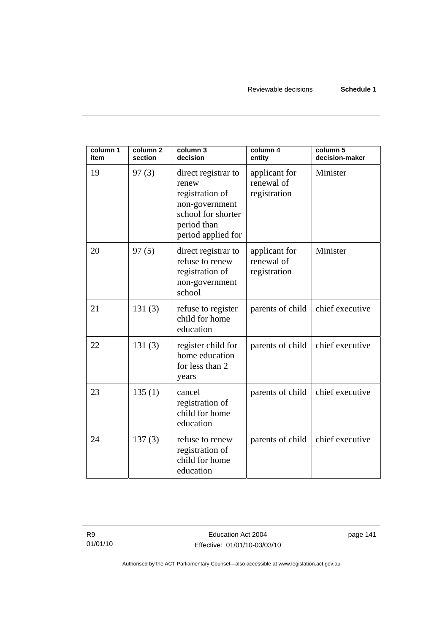| column 1<br>item | column <sub>2</sub><br>section | column 3<br>decision                                                                                                         | column 4<br>entity                          | column 5<br>decision-maker |
|------------------|--------------------------------|------------------------------------------------------------------------------------------------------------------------------|---------------------------------------------|----------------------------|
| 19               | 97(3)                          | direct registrar to<br>renew<br>registration of<br>non-government<br>school for shorter<br>period than<br>period applied for | applicant for<br>renewal of<br>registration | Minister                   |
| 20               | 97(5)                          | direct registrar to<br>refuse to renew<br>registration of<br>non-government<br>school                                        | applicant for<br>renewal of<br>registration | Minister                   |
| 21               | 131(3)                         | refuse to register<br>child for home<br>education                                                                            | parents of child                            | chief executive            |
| 22               | 131(3)                         | register child for<br>home education<br>for less than 2<br>years                                                             | parents of child                            | chief executive            |
| 23               | 135(1)                         | cancel<br>registration of<br>child for home<br>education                                                                     | parents of child                            | chief executive            |
| 24               | 137(3)                         | refuse to renew<br>registration of<br>child for home<br>education                                                            | parents of child                            | chief executive            |

page 141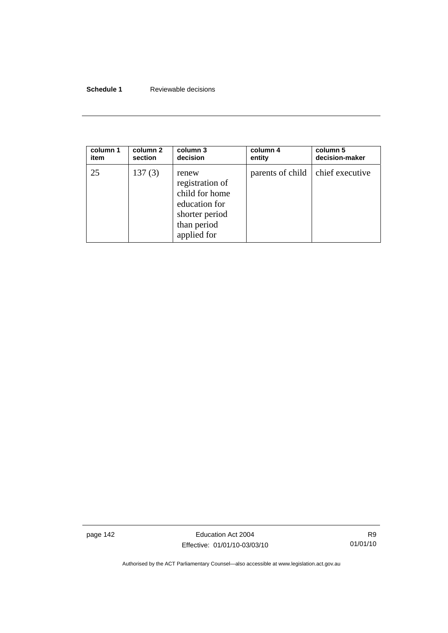### **Schedule 1** Reviewable decisions

| column 1 | column 2 | column 3                                                                                                    | column 4                           | column 5       |
|----------|----------|-------------------------------------------------------------------------------------------------------------|------------------------------------|----------------|
| item     | section  | decision                                                                                                    | entity                             | decision-maker |
| 25       | 137(3)   | renew<br>registration of<br>child for home<br>education for<br>shorter period<br>than period<br>applied for | parents of child   chief executive |                |

page 142 **Education Act 2004** Effective: 01/01/10-03/03/10

R9 01/01/10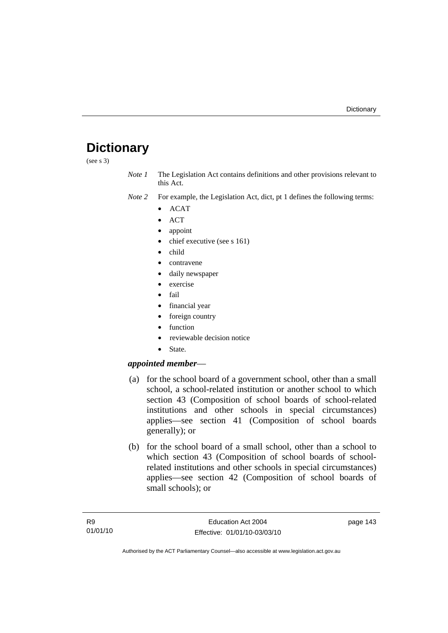# **Dictionary**

(see s 3)

*Note 1* The Legislation Act contains definitions and other provisions relevant to this Act.

- *Note 2* For example, the Legislation Act, dict, pt 1 defines the following terms:
	- ACAT
	- ACT
	- appoint
	- chief executive (see s 161)
	- child
	- contravene
	- daily newspaper
	- exercise
	- fail
	- financial year
	- foreign country
	- function
	- reviewable decision notice
	- State.

# *appointed member*—

- (a) for the school board of a government school, other than a small school, a school-related institution or another school to which section 43 (Composition of school boards of school-related institutions and other schools in special circumstances) applies—see section 41 (Composition of school boards generally); or
- (b) for the school board of a small school, other than a school to which section 43 (Composition of school boards of schoolrelated institutions and other schools in special circumstances) applies—see section 42 (Composition of school boards of small schools); or

page 143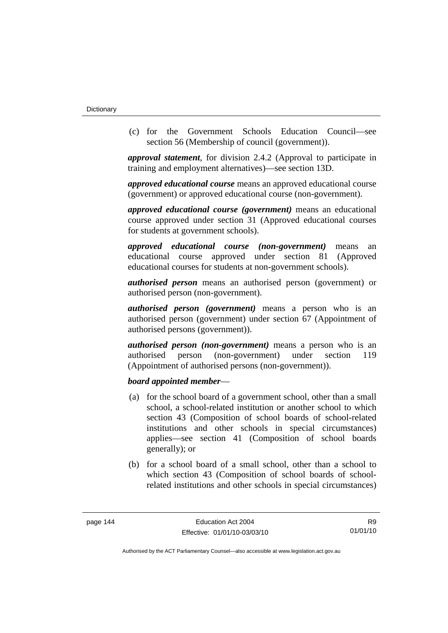(c) for the Government Schools Education Council—see section 56 (Membership of council (government)).

*approval statement*, for division 2.4.2 (Approval to participate in training and employment alternatives)—see section 13D.

*approved educational course* means an approved educational course (government) or approved educational course (non-government).

*approved educational course (government)* means an educational course approved under section 31 (Approved educational courses for students at government schools).

*approved educational course (non-government)* means an educational course approved under section 81 (Approved educational courses for students at non-government schools).

*authorised person* means an authorised person (government) or authorised person (non-government).

*authorised person (government)* means a person who is an authorised person (government) under section 67 (Appointment of authorised persons (government)).

*authorised person (non-government)* means a person who is an authorised person (non-government) under section 119 (Appointment of authorised persons (non-government)).

### *board appointed member*—

- (a) for the school board of a government school, other than a small school, a school-related institution or another school to which section 43 (Composition of school boards of school-related institutions and other schools in special circumstances) applies—see section 41 (Composition of school boards generally); or
- (b) for a school board of a small school, other than a school to which section 43 (Composition of school boards of schoolrelated institutions and other schools in special circumstances)

R9 01/01/10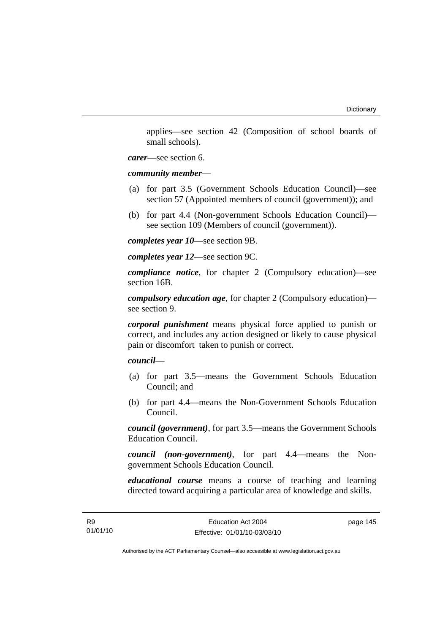applies—see section 42 (Composition of school boards of small schools).

*carer*—see section 6.

*community member*—

- (a) for part 3.5 (Government Schools Education Council)—see section 57 (Appointed members of council (government)); and
- (b) for part 4.4 (Non-government Schools Education Council) see section 109 (Members of council (government)).

*completes year 10*—see section 9B.

*completes year 12*—see section 9C.

*compliance notice*, for chapter 2 (Compulsory education)—see section 16B.

*compulsory education age*, for chapter 2 (Compulsory education) see section 9.

*corporal punishment* means physical force applied to punish or correct, and includes any action designed or likely to cause physical pain or discomfort taken to punish or correct.

*council*—

- (a) for part 3.5—means the Government Schools Education Council; and
- (b) for part 4.4—means the Non-Government Schools Education Council.

*council (government)*, for part 3.5—means the Government Schools Education Council.

*council (non-government)*, for part 4.4—means the Nongovernment Schools Education Council.

*educational course* means a course of teaching and learning directed toward acquiring a particular area of knowledge and skills.

page 145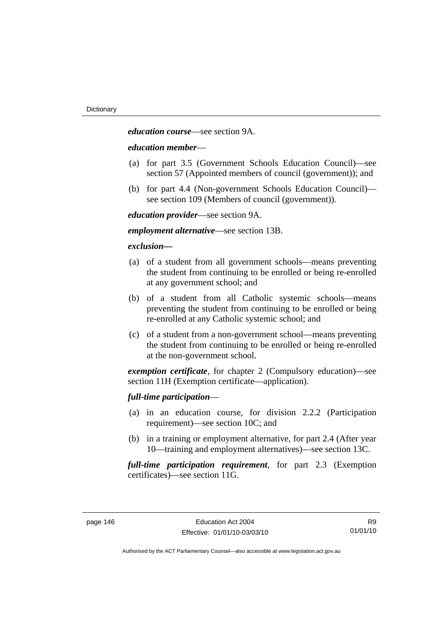*education course*—see section 9A.

### *education member*—

- (a) for part 3.5 (Government Schools Education Council)—see section 57 (Appointed members of council (government)); and
- (b) for part 4.4 (Non-government Schools Education Council) see section 109 (Members of council (government)).

*education provider*—see section 9A.

*employment alternative*—see section 13B.

### *exclusion***—**

- (a) of a student from all government schools—means preventing the student from continuing to be enrolled or being re-enrolled at any government school; and
- (b) of a student from all Catholic systemic schools—means preventing the student from continuing to be enrolled or being re-enrolled at any Catholic systemic school; and
- (c) of a student from a non-government school—means preventing the student from continuing to be enrolled or being re-enrolled at the non-government school.

*exemption certificate*, for chapter 2 (Compulsory education)—see section 11H (Exemption certificate—application).

### *full-time participation*—

- (a) in an education course, for division 2.2.2 (Participation requirement)—see section 10C; and
- (b) in a training or employment alternative, for part 2.4 (After year 10—training and employment alternatives)—see section 13C.

*full-time participation requirement*, for part 2.3 (Exemption certificates)—see section 11G.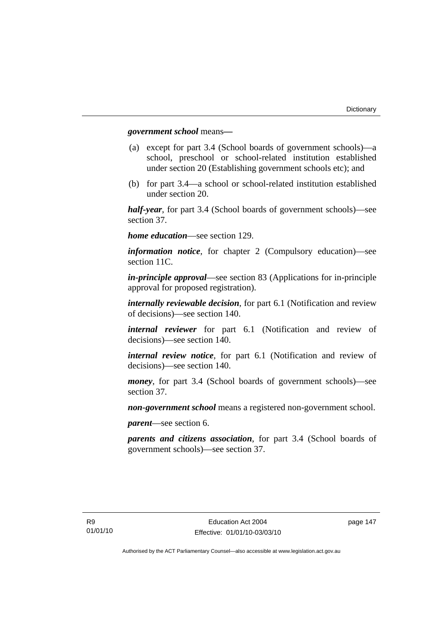### *government school* means*—*

- (a) except for part 3.4 (School boards of government schools)—a school, preschool or school-related institution established under section 20 (Establishing government schools etc); and
- (b) for part 3.4—a school or school-related institution established under section 20.

*half-year*, for part 3.4 (School boards of government schools)—see section 37.

*home education*—see section 129.

*information notice*, for chapter 2 (Compulsory education)—see section 11C.

*in-principle approval*—see section 83 (Applications for in-principle approval for proposed registration).

*internally reviewable decision*, for part 6.1 (Notification and review of decisions)—see section 140.

*internal reviewer* for part 6.1 (Notification and review of decisions)—see section 140.

*internal review notice*, for part 6.1 (Notification and review of decisions)—see section 140.

*money*, for part 3.4 (School boards of government schools)—see section 37.

*non-government school* means a registered non-government school.

*parent*—see section 6.

*parents and citizens association*, for part 3.4 (School boards of government schools)—see section 37.

page 147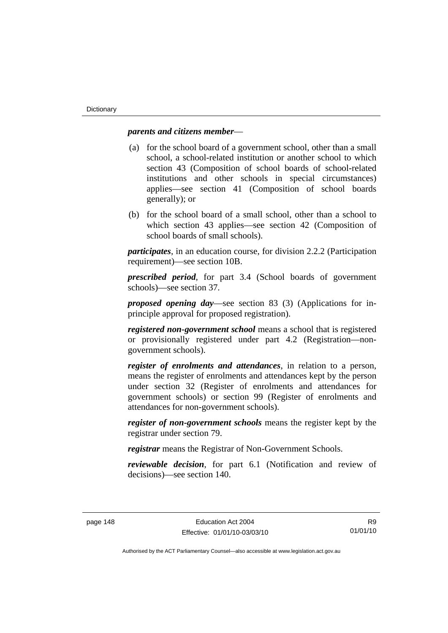### *parents and citizens member*—

- (a) for the school board of a government school, other than a small school, a school-related institution or another school to which section 43 (Composition of school boards of school-related institutions and other schools in special circumstances) applies—see section 41 (Composition of school boards generally); or
- (b) for the school board of a small school, other than a school to which section 43 applies—see section 42 (Composition of school boards of small schools).

*participates*, in an education course, for division 2.2.2 (Participation requirement)—see section 10B.

*prescribed period*, for part 3.4 (School boards of government schools)—see section 37.

*proposed opening day*—see section 83 (3) (Applications for inprinciple approval for proposed registration).

*registered non-government school* means a school that is registered or provisionally registered under part 4.2 (Registration—nongovernment schools).

*register of enrolments and attendances*, in relation to a person, means the register of enrolments and attendances kept by the person under section 32 (Register of enrolments and attendances for government schools) or section 99 (Register of enrolments and attendances for non-government schools).

*register of non-government schools* means the register kept by the registrar under section 79.

*registrar* means the Registrar of Non-Government Schools.

*reviewable decision*, for part 6.1 (Notification and review of decisions)—see section 140.

R9 01/01/10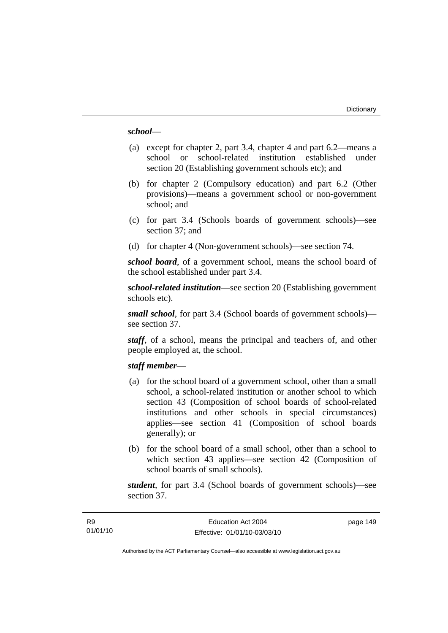### *school*—

- (a) except for chapter 2, part 3.4, chapter 4 and part 6.2—means a school or school-related institution established under section 20 (Establishing government schools etc); and
- (b) for chapter 2 (Compulsory education) and part 6.2 (Other provisions)—means a government school or non-government school; and
- (c) for part 3.4 (Schools boards of government schools)—see section 37; and
- (d) for chapter 4 (Non-government schools)—see section 74.

*school board*, of a government school, means the school board of the school established under part 3.4.

*school-related institution*—see section 20 (Establishing government schools etc).

*small school*, for part 3.4 (School boards of government schools) see section 37.

*staff*, of a school, means the principal and teachers of, and other people employed at, the school.

### *staff member*—

- (a) for the school board of a government school, other than a small school, a school-related institution or another school to which section 43 (Composition of school boards of school-related institutions and other schools in special circumstances) applies—see section 41 (Composition of school boards generally); or
- (b) for the school board of a small school, other than a school to which section 43 applies—see section 42 (Composition of school boards of small schools).

*student*, for part 3.4 (School boards of government schools)—see section 37.

page 149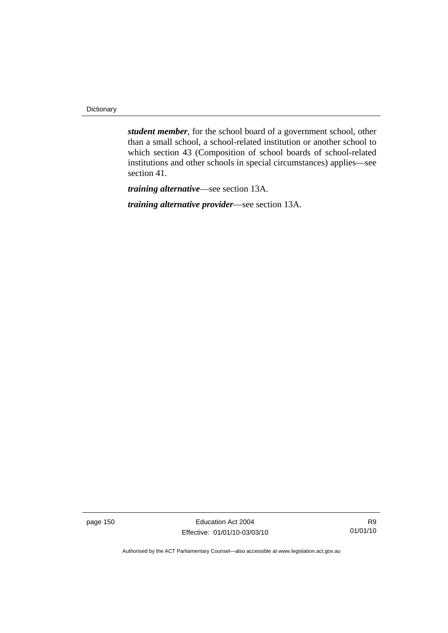Dictionary

*student member*, for the school board of a government school, other than a small school, a school-related institution or another school to which section 43 (Composition of school boards of school-related institutions and other schools in special circumstances) applies—see section 41.

*training alternative*—see section 13A.

*training alternative provider*—see section 13A.

page 150 **Education Act 2004** Effective: 01/01/10-03/03/10

R9 01/01/10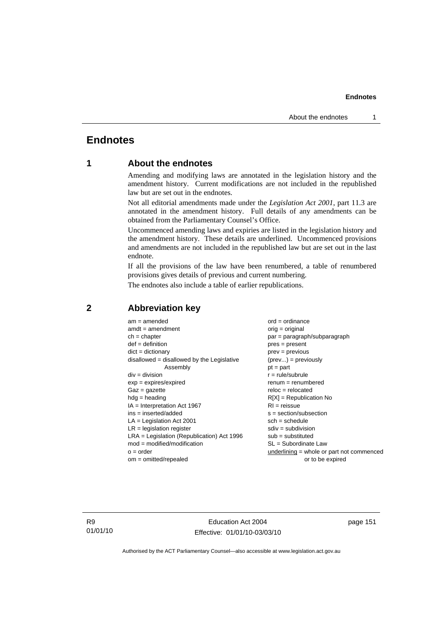# **Endnotes**

# **1 About the endnotes**

Amending and modifying laws are annotated in the legislation history and the amendment history. Current modifications are not included in the republished law but are set out in the endnotes.

Not all editorial amendments made under the *Legislation Act 2001*, part 11.3 are annotated in the amendment history. Full details of any amendments can be obtained from the Parliamentary Counsel's Office.

Uncommenced amending laws and expiries are listed in the legislation history and the amendment history. These details are underlined. Uncommenced provisions and amendments are not included in the republished law but are set out in the last endnote.

If all the provisions of the law have been renumbered, a table of renumbered provisions gives details of previous and current numbering.

The endnotes also include a table of earlier republications.

| $am = amended$                               | $ord = ordinance$                         |
|----------------------------------------------|-------------------------------------------|
| $amdt = amendment$                           | $orig = original$                         |
| $ch = chapter$                               | $par = paragraph/subparagraph$            |
| $def = definition$                           | $pres = present$                          |
| $dict = dictionary$                          | $prev = previous$                         |
| $disallowed = disallowed by the Legislative$ | $(\text{prev}) = \text{previously}$       |
| Assembly                                     | $pt = part$                               |
| $div = division$                             | $r = rule/subrule$                        |
| $exp = expires/expired$                      | $remum = renumbered$                      |
| $Gaz = gazette$                              | $reloc = relocated$                       |
| $hdg =$ heading                              | $R[X]$ = Republication No                 |
| $IA = Interpretation Act 1967$               | $RI = reissue$                            |
| $ins = inserted/added$                       | $s = section/subsection$                  |
| $LA =$ Legislation Act 2001                  | $sch = schedule$                          |
| $LR =$ legislation register                  | $sdiv = subdivision$                      |
| $LRA =$ Legislation (Republication) Act 1996 | $sub =$ substituted                       |
| $mod = modified/modification$                | SL = Subordinate Law                      |
| $o = order$                                  | underlining = whole or part not commenced |
| $om = omitted/report$                        | or to be expired                          |
|                                              |                                           |

### **2 Abbreviation key**

R9 01/01/10

Education Act 2004 Effective: 01/01/10-03/03/10 page 151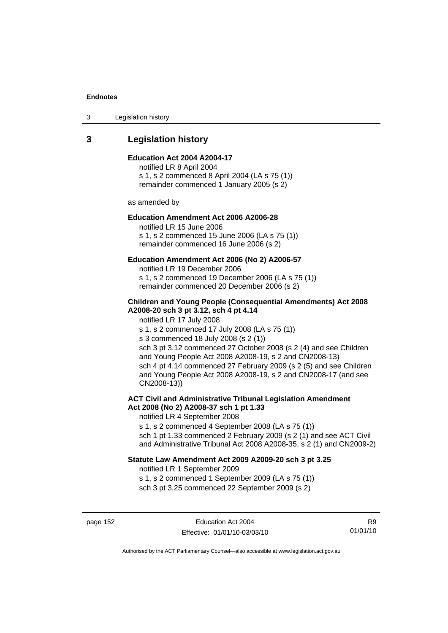3 Legislation history

# **3 Legislation history**

### **Education Act 2004 A2004-17**

notified LR 8 April 2004 s 1, s 2 commenced 8 April 2004 (LA s 75 (1)) remainder commenced 1 January 2005 (s 2)

as amended by

### **Education Amendment Act 2006 A2006-28**

notified LR 15 June 2006 s 1, s 2 commenced 15 June 2006 (LA s 75 (1)) remainder commenced 16 June 2006 (s 2)

### **Education Amendment Act 2006 (No 2) A2006-57**

notified LR 19 December 2006 s 1, s 2 commenced 19 December 2006 (LA s 75 (1)) remainder commenced 20 December 2006 (s 2)

### **Children and Young People (Consequential Amendments) Act 2008 A2008-20 sch 3 pt 3.12, sch 4 pt 4.14**

notified LR 17 July 2008

s 1, s 2 commenced 17 July 2008 (LA s 75 (1))

s 3 commenced 18 July 2008 (s 2 (1))

sch 3 pt 3.12 commenced 27 October 2008 (s 2 (4) and see Children and Young People Act 2008 A2008-19, s 2 and CN2008-13) sch 4 pt 4.14 commenced 27 February 2009 (s 2 (5) and see Children and Young People Act 2008 A2008-19, s 2 and CN2008-17 (and see CN2008-13))

### **ACT Civil and Administrative Tribunal Legislation Amendment Act 2008 (No 2) A2008-37 sch 1 pt 1.33**

notified LR 4 September 2008

s 1, s 2 commenced 4 September 2008 (LA s 75 (1)) sch 1 pt 1.33 commenced 2 February 2009 (s 2 (1) and see ACT Civil and Administrative Tribunal Act 2008 A2008-35, s 2 (1) and CN2009-2)

### **Statute Law Amendment Act 2009 A2009-20 sch 3 pt 3.25**

notified LR 1 September 2009 s 1, s 2 commenced 1 September 2009 (LA s 75 (1)) sch 3 pt 3.25 commenced 22 September 2009 (s 2)

page 152 **Education Act 2004** Effective: 01/01/10-03/03/10

R9 01/01/10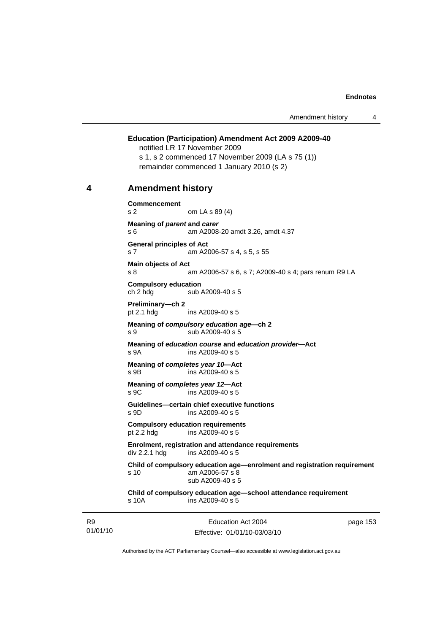### **Education (Participation) Amendment Act 2009 A2009-40**  notified LR 17 November 2009

s 1, s 2 commenced 17 November 2009 (LA s 75 (1)) remainder commenced 1 January 2010 (s 2)

### **4 Amendment history**

**Commencement**  s 2 om LA s 89 (4) **Meaning of** *parent* **and** *carer*  s 6 am A2008-20 amdt 3.26, amdt 4.37 **General principles of Act**  s 7 am A2006-57 s 4, s 5, s 55 **Main objects of Act**  s 8 am A2006-57 s 6, s 7; A2009-40 s 4; pars renum R9 LA **Compulsory education**  sub A2009-40 s 5 **Preliminary—ch 2**  pt 2.1 hdg ins A2009-40 s 5 **Meaning of** *compulsory education age***—ch 2**  s 9 sub A2009-40 s 5 **Meaning of** *education course* **and** *education provider***—Act**  s 9A ins A2009-40 s 5 **Meaning of** *completes year 10***—Act**  s 9B ins A2009-40 s 5 **Meaning of** *completes year 12***—Act**  s 9C ins A2009-40 s 5 **Guidelines—certain chief executive functions**  s 9D ins A2009-40 s 5 **Compulsory education requirements**  pt 2.2 hdg ins A2009-40 s 5 **Enrolment, registration and attendance requirements**  div 2.2.1 hdg ins A2009-40 s 5 **Child of compulsory education age—enrolment and registration requirement**  s 10 am A2006-57 s 8 sub A2009-40 s 5 **Child of compulsory education age—school attendance requirement**  s 10A ins A2009-40 s 5

R9 01/01/10

Education Act 2004 Effective: 01/01/10-03/03/10 page 153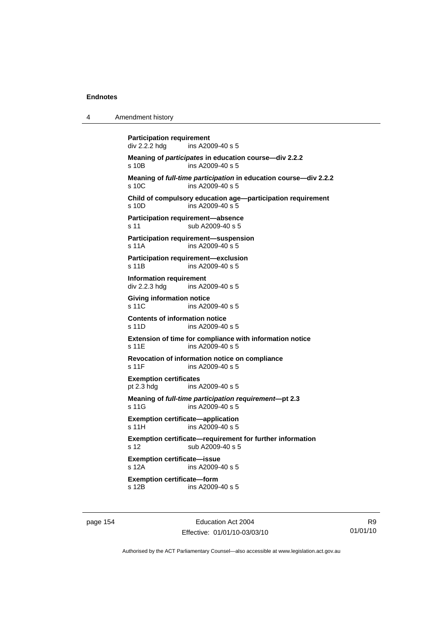| 4 | Amendment history                                                                  |                                                                  |  |
|---|------------------------------------------------------------------------------------|------------------------------------------------------------------|--|
|   | <b>Participation requirement</b><br>ins A2009-40 s 5<br>div 2.2.2 hdg              |                                                                  |  |
|   | Meaning of participates in education course-div 2.2.2<br>ins A2009-40 s 5<br>s 10B |                                                                  |  |
|   | ins A2009-40 s 5<br>s 10C                                                          | Meaning of full-time participation in education course-div 2.2.2 |  |
|   | ins A2009-40 s 5<br>$s$ 10D                                                        | Child of compulsory education age-participation requirement      |  |
|   | Participation requirement-absence<br>sub A2009-40 s 5<br>s 11                      |                                                                  |  |
|   | Participation requirement-suspension<br>ins A2009-40 s 5<br>s 11A                  |                                                                  |  |
|   | Participation requirement-exclusion<br>ins A2009-40 s 5<br>s 11B                   |                                                                  |  |
|   | Information requirement<br>ins A2009-40 s 5<br>div 2.2.3 hdg                       |                                                                  |  |
|   | <b>Giving information notice</b><br>s 11C<br>ins A2009-40 s 5                      |                                                                  |  |
|   | <b>Contents of information notice</b><br>s 11D<br>ins A2009-40 s 5                 |                                                                  |  |
|   | ins A2009-40 s 5<br>s 11E                                                          | Extension of time for compliance with information notice         |  |
|   | Revocation of information notice on compliance<br>s 11F<br>ins A2009-40 s 5        |                                                                  |  |
|   | <b>Exemption certificates</b><br>pt $2.3$ hdg<br>ins A2009-40 s 5                  |                                                                  |  |
|   | Meaning of full-time participation requirement-pt 2.3<br>ins A2009-40 s 5<br>s 11G |                                                                  |  |
|   | <b>Exemption certificate-application</b><br>s 11H<br>ins A2009-40 s 5              |                                                                  |  |
|   | sub A2009-40 s 5<br>s 12                                                           | Exemption certificate-requirement for further information        |  |
|   | <b>Exemption certificate-issue</b><br>ins A2009-40 s 5<br>s 12A                    |                                                                  |  |
|   | <b>Exemption certificate-form</b><br>s 12B<br>ins A2009-40 s 5                     |                                                                  |  |
|   |                                                                                    |                                                                  |  |

page 154 Education Act 2004 Effective: 01/01/10-03/03/10

R9 01/01/10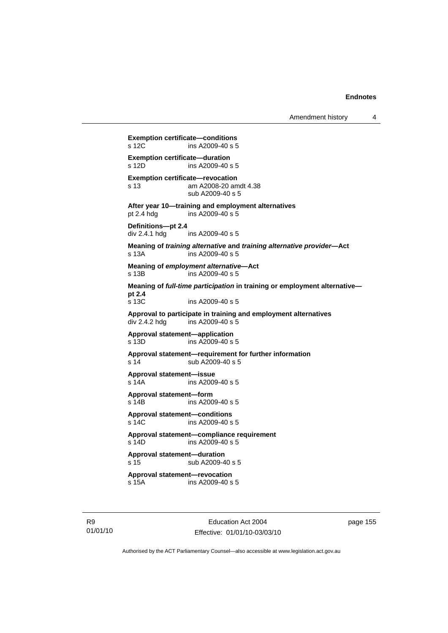Amendment history 4

```
Exemption certificate—conditions 
s 12C ins A2009-40 s 5
Exemption certificate—duration<br>s 12D ins A2009-40 s
                ins A2009-40 s 5
Exemption certificate—revocation 
s 13 am A2008-20 amdt 4.38 
                 sub A2009-40 s 5 
After year 10—training and employment alternatives 
pt 2.4 hdg ins A2009-40 s 5 
Definitions—pt 2.4 
div 2.4.1 hdg ins A2009-40 s 5 
Meaning of training alternative and training alternative provider—Act 
s 13A ins A2009-40 s 5 
Meaning of employment alternative—Act 
s 13B ins A2009-40 s 5 
Meaning of full-time participation in training or employment alternative—
pt 2.4 
                ins A2009-40 s 5
Approval to participate in training and employment alternatives 
div 2.4.2 hdg ins A2009-40 s 5Approval statement—application 
s 13D ins A2009-40 s 5 
Approval statement—requirement for further information 
s 14 sub A2009-40 s 5 
Approval statement—issue 
s 14A ins A2009-40 s 5 
Approval statement—form 
s 14B ins A2009-40 s 5 
Approval statement—conditions 
s 14C ins A2009-40 s 5 
Approval statement—compliance requirement 
s 14D ins A2009-40 s 5 
Approval statement—duration 
s 15 sub A2009-40 s 5
Approval statement—revocation 
s 15A ins A2009-40 s 5
```
R9 01/01/10

Education Act 2004 Effective: 01/01/10-03/03/10 page 155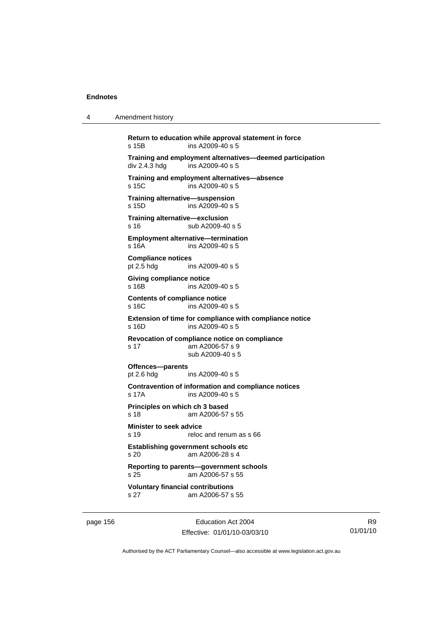4 Amendment history

**Return to education while approval statement in force**  s 15B ins A2009-40 s 5 **Training and employment alternatives—deemed participation**   $div 2.4.3$  hdg ins A2009-40 s 5 **Training and employment alternatives—absence**  s 15C ins A2009-40 s 5 **Training alternative—suspension**  s 15D ins A2009-40 s 5 **Training alternative—exclusion**  s 16 Sub A2009-40 s 5 **Employment alternative—termination**  s 16A ins A2009-40 s 5 **Compliance notices**  pt 2.5 hdg ins A2009-40 s 5 **Giving compliance notice**  s 16B ins A2009-40 s 5 **Contents of compliance notice**  s 16C ins A2009-40 s 5 **Extension of time for compliance with compliance notice**  s 16D ins A2009-40 s 5 **Revocation of compliance notice on compliance**  s 17 am A2006-57 s 9 sub A2009-40 s 5 **Offences—parents**  pt 2.6 hdg ins A2009-40 s 5 **Contravention of information and compliance notices**  s 17A ins A2009-40 s 5 **Principles on which ch 3 based**  s 18 am A2006-57 s 55 **Minister to seek advice**  s 19 reloc and renum as s 66 **Establishing government schools etc**  s 20 am A2006-28 s 4 **Reporting to parents—government schools**  s 25 am A2006-57 s 55 **Voluntary financial contributions**  s 27 am A2006-57 s 55

page 156 **Education Act 2004** Effective: 01/01/10-03/03/10

R9 01/01/10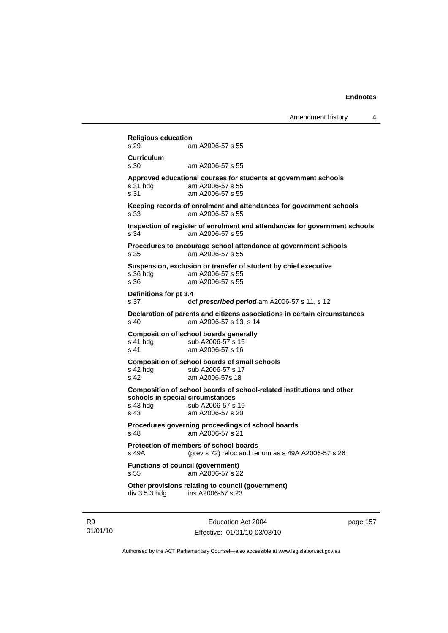**Religious education**  am A2006-57 s 55 **Curriculum**  s 30 am A2006-57 s 55 **Approved educational courses for students at government schools**  s 31 hdg am A2006-57 s 55 s 31 am A2006-57 s 55 **Keeping records of enrolment and attendances for government schools**  s 33 am A2006-57 s 55 **Inspection of register of enrolment and attendances for government schools**  s 34 am A2006-57 s 55 **Procedures to encourage school attendance at government schools**  s 35 am A2006-57 s 55 **Suspension, exclusion or transfer of student by chief executive**  s 36 hdg am A2006-57 s 55<br>s 36 am A2006-57 s 55 am A2006-57 s 55 **Definitions for pt 3.4**  s 37 def *prescribed period* am A2006-57 s 11, s 12 **Declaration of parents and citizens associations in certain circumstances**  s 40 am A2006-57 s 13, s 14 **Composition of school boards generally**<br>s 41 hdg sub A2006-57 s 15 sub A2006-57 s 15 s 41 am A2006-57 s 16 **Composition of school boards of small schools**  s 42 hdg sub A2006-57 s 17 s 42 am A2006-57s 18 **Composition of school boards of school-related institutions and other schools in special circumstances**  s 43 hdg sub A2006-57 s 19 s 43 am A2006-57 s 20 **Procedures governing proceedings of school boards**   $am$  A2006-57 s 21 **Protection of members of school boards**  s 49A (prev s 72) reloc and renum as s 49A A2006-57 s 26 **Functions of council (government)**  s 55 am A2006-57 s 22 **Other provisions relating to council (government)**  div 3.5.3 hdg ins A2006-57 s 23

R9 01/01/10

Education Act 2004 Effective: 01/01/10-03/03/10 page 157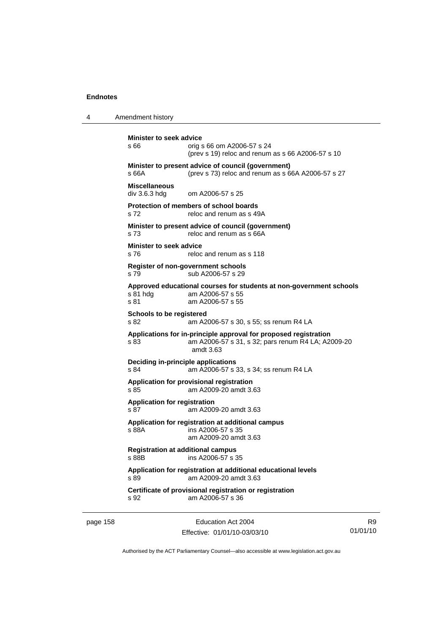4 Amendment history

```
Minister to seek advice 
s 66 orig s 66 om A2006-57 s 24 
                 (prev s 19) reloc and renum as s 66 A2006-57 s 10 
Minister to present advice of council (government) 
s 66A (prev s 73) reloc and renum as s 66A A2006-57 s 27 
Miscellaneous 
div 3.6.3 hdg om A2006-57 s 25 
Protection of members of school boards 
s 72 reloc and renum as s 49A
Minister to present advice of council (government) 
s 73 reloc and renum as s 66A
Minister to seek advice 
s 76 reloc and renum as s 118
Register of non-government schools 
s 79 sub A2006-57 s 29 
Approved educational courses for students at non-government schools 
s 81 hdg am A2006-57 s 55<br>s 81 am A2006-57 s 55
                am A2006-57 s 55
Schools to be registered 
s 82 am A2006-57 s 30, s 55; ss renum R4 LA 
Applications for in-principle approval for proposed registration 
s 83 am A2006-57 s 31, s 32; pars renum R4 LA; A2009-20 
                 amdt 3.63 
Deciding in-principle applications 
s 84 am A2006-57 s 33, s 34; ss renum R4 LA 
Application for provisional registration 
s 85 am A2009-20 amdt 3.63 
Application for registration 
s 87 am A2009-20 amdt 3.63 
Application for registration at additional campus 
s 88A ins A2006-57 s 35 
                 am A2009-20 amdt 3.63 
Registration at additional campus 
s 88B ins A2006-57 s 35 
Application for registration at additional educational levels 
s 89 am A2009-20 amdt 3.63 
Certificate of provisional registration or registration 
s 92 am A2006-57 s 36
```
page 158 extending the Education Act 2004 Effective: 01/01/10-03/03/10

R9 01/01/10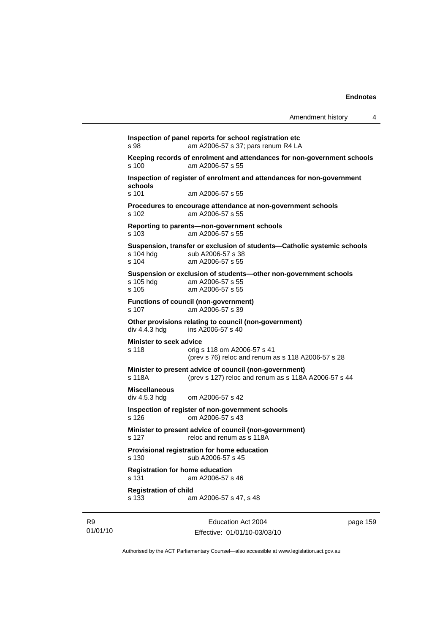**Inspection of panel reports for school registration etc**  s 98 am A2006-57 s 37; pars renum R4 LA **Keeping records of enrolment and attendances for non-government schools**  s 100 am A2006-57 s 55 **Inspection of register of enrolment and attendances for non-government schools**  s 101 am A2006-57 s 55 **Procedures to encourage attendance at non-government schools**  s 102 am A2006-57 s 55 **Reporting to parents—non-government schools**  s 103 am A2006-57 s 55 **Suspension, transfer or exclusion of students—Catholic systemic schools**  s 104 hdg sub A2006-57 s 38 s 104 am A2006-57 s 55 **Suspension or exclusion of students—other non-government schools**  s 105 hdg am A2006-57 s 55<br>s 105 am A2006-57 s 55 am A2006-57 s 55 **Functions of council (non-government)**  s 107 am A2006-57 s 39 **Other provisions relating to council (non-government)**  div 4.4.3 hdg ins A2006-57 s 40 **Minister to seek advice**  s 118 orig s 118 om A2006-57 s 41 (prev s 76) reloc and renum as s 118 A2006-57 s 28 **Minister to present advice of council (non-government)**  s 118A (prev s 127) reloc and renum as s 118A A2006-57 s 44 **Miscellaneous**  div 4.5.3 hdg om A2006-57 s 42 **Inspection of register of non-government schools**  s 126 om A2006-57 s 43 **Minister to present advice of council (non-government)**  s 127 reloc and renum as s 118A **Provisional registration for home education**  s 130 sub A2006-57 s 45 **Registration for home education**  s 131 am A2006-57 s 46 **Registration of child**  s 133 am A2006-57 s 47, s 48

R9 01/01/10

Education Act 2004 Effective: 01/01/10-03/03/10 page 159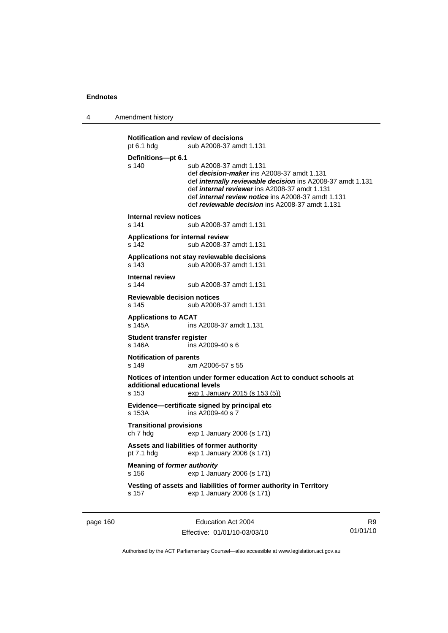4 Amendment history

```
Notification and review of decisions 
pt 6.1 hdg sub A2008-37 amdt 1.131
Definitions—pt 6.1 
s 140 sub A2008-37 amdt 1.131 
                  def decision-maker ins A2008-37 amdt 1.131 
                  def internally reviewable decision ins A2008-37 amdt 1.131 
                  def internal reviewer ins A2008-37 amdt 1.131 
                  def internal review notice ins A2008-37 amdt 1.131 
                  def reviewable decision ins A2008-37 amdt 1.131 
Internal review notices 
s 141 sub A2008-37 amdt 1.131 
Applications for internal review 
s 142 sub A2008-37 amdt 1.131 
Applications not stay reviewable decisions 
s 143 sub A2008-37 amdt 1.131 
Internal review 
                 sub A2008-37 amdt 1.131
Reviewable decision notices 
s 145 sub A2008-37 amdt 1.131 
Applications to ACAT 
                 ins A2008-37 amdt 1.131
Student transfer register 
s 146A ins A2009-40 s 6 
Notification of parents 
s 149 am A2006-57 s 55 
Notices of intention under former education Act to conduct schools at 
additional educational levels 
                 exp 1 January 2015 (s 153 (5))
Evidence—certificate signed by principal etc 
s 153A ins A2009-40 s 7 
Transitional provisions 
ch 7 hdg exp 1 January 2006 (s 171) 
Assets and liabilities of former authority 
pt 7.1 hdg exp 1 January 2006 (s 171) 
Meaning of former authority
s 156 exp 1 January 2006 (s 171) 
Vesting of assets and liabilities of former authority in Territory 
s 157 exp 1 January 2006 (s 171)
```
page 160 Education Act 2004 Effective: 01/01/10-03/03/10

R9 01/01/10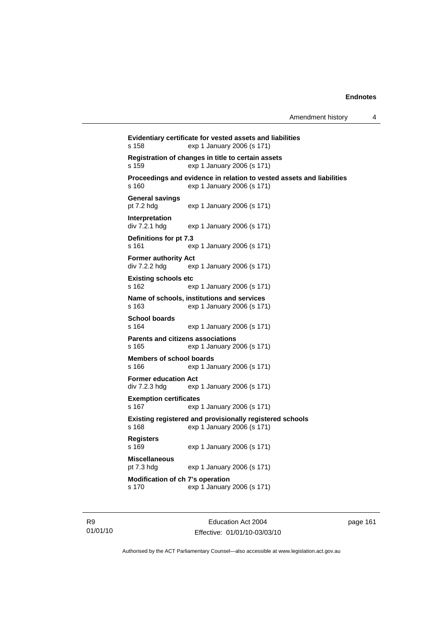```
Evidentiary certificate for vested assets and liabilities 
s 158 exp 1 January 2006 (s 171) 
Registration of changes in title to certain assets 
s 159 exp 1 January 2006 (s 171) 
Proceedings and evidence in relation to vested assets and liabilities 
s 160 exp 1 January 2006 (s 171) 
General savings 
pt 7.2 hdg exp 1 January 2006 (s 171) 
Interpretation<br>div 7.2.1 hdg
                 exp 1 January 2006 (s 171)
Definitions for pt 7.3 
s 161 exp 1 January 2006 (s 171) 
Former authority Act 
div 7.2.2 hdg exp 1 January 2006 (s 171) 
Existing schools etc 
s 162 exp 1 January 2006 (s 171) 
Name of schools, institutions and services 
s 163 exp 1 January 2006 (s 171) 
School boards 
s 164 exp 1 January 2006 (s 171) 
Parents and citizens associations 
s 165 exp 1 January 2006 (s 171) 
Members of school boards 
s 166 exp 1 January 2006 (s 171) 
Former education Act 
div 7.2.3 hdg exp 1 January 2006 (s 171) 
Exemption certificates 
s 167 exp 1 January 2006 (s 171) 
Existing registered and provisionally registered schools 
s 168 exp 1 January 2006 (s 171) 
Registers 
s 169 exp 1 January 2006 (s 171) 
Miscellaneous 
pt 7.3 hdg exp 1 January 2006 (s 171) 
Modification of ch 7's operation 
s 170 exp 1 January 2006 (s 171)
```
R9 01/01/10

Education Act 2004 Effective: 01/01/10-03/03/10 page 161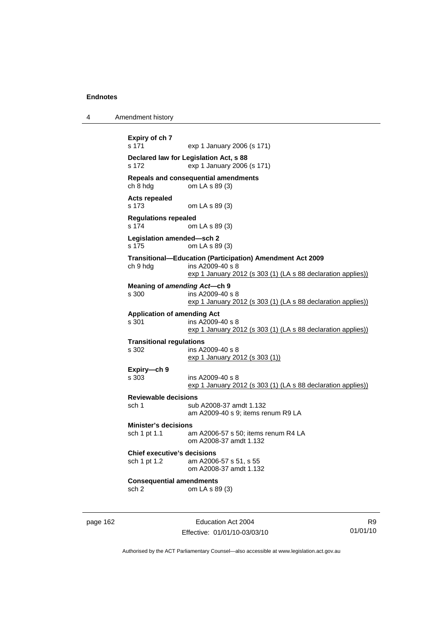```
4 Amendment history 
           Expiry of ch 7 
           s 171 exp 1 January 2006 (s 171) 
           Declared law for Legislation Act, s 88 
           s 172 exp 1 January 2006 (s 171) 
           Repeals and consequential amendments<br>ch 8 hdg om LA s 89 (3)
                             \overline{cm} LA s 89 (3)
           Acts repealed 
           s 173 om LA s 89 (3) 
           Regulations repealed 
           s 174 om LA s 89 (3) 
           Legislation amended—sch 2 
           s 175 om LA s 89 (3) 
           Transitional—Education (Participation) Amendment Act 2009 
           ch 9 hdg ins A2009-40 s 8 
                              exp 1 January 2012 (s 303 (1) (LA s 88 declaration applies))
           Meaning of amending Act—ch 9 
           s 300 ins A2009-40 s 8 
                              exp 1 January 2012 (s 303 (1) (LA s 88 declaration applies))
           Application of amending Act 
           s 301 ins A2009-40 s 8 
                             exp 1 January 2012 (s 303 (1) (LA s 88 declaration applies))
           Transitional regulations 
           s 302 ins A2009-40 s 8 
                              exp 1 January 2012 (s 303 (1))
           Expiry—ch 9 
           s 303 ins A2009-40 s 8 
                              exp 1 January 2012 (s 303 (1) (LA s 88 declaration applies))
           Reviewable decisions 
           sch 1 sub A2008-37 amdt 1.132 
                              am A2009-40 s 9; items renum R9 LA 
           Minister's decisions 
                             am A2006-57 s 50; items renum R4 LA
                              om A2008-37 amdt 1.132 
           Chief executive's decisions 
           sch 1 pt 1.2 am A2006-57 s 51, s 55 
                              om A2008-37 amdt 1.132 
           Consequential amendments 
           sch 2 om LA s 89 (3)
```
page 162 **Education Act 2004** Effective: 01/01/10-03/03/10

R9 01/01/10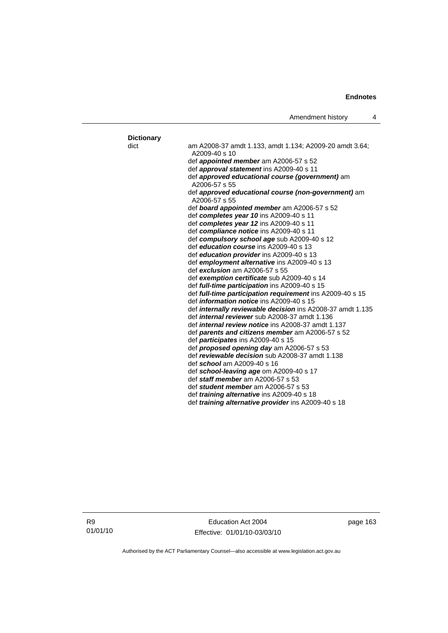| <b>Dictionary</b> |                                                                           |
|-------------------|---------------------------------------------------------------------------|
| dict              | am A2008-37 amdt 1.133, amdt 1.134; A2009-20 amdt 3.64;<br>$A2009-40 s10$ |
|                   | def <i>appointed member</i> am A2006-57 s 52                              |
|                   | def approval statement ins A2009-40 s 11                                  |
|                   | def approved educational course (government) am                           |
|                   | A2006-57 s 55<br>def approved educational course (non-government) am      |
|                   | A2006-57 s 55                                                             |
|                   | def board appointed member am A2006-57 s 52                               |
|                   | def completes year 10 ins A2009-40 s 11                                   |
|                   | def completes year 12 ins A2009-40 s 11                                   |
|                   | def compliance notice ins A2009-40 s 11                                   |
|                   | def compulsory school age sub A2009-40 s 12                               |
|                   | def education course ins A2009-40 s 13                                    |
|                   | def education provider ins A2009-40 s 13                                  |
|                   | def employment alternative ins A2009-40 s 13                              |
|                   | def exclusion am A2006-57 s 55                                            |
|                   | def exemption certificate sub A2009-40 s 14                               |
|                   | def full-time participation ins A2009-40 s 15                             |
|                   | def full-time participation requirement ins A2009-40 s 15                 |
|                   | def <i>information notice</i> ins A2009-40 s 15                           |
|                   | def <i>internally reviewable decision</i> ins A2008-37 amdt 1.135         |
|                   | def <i>internal reviewer</i> sub A2008-37 amdt 1.136                      |
|                   | def <i>internal review notice</i> ins A2008-37 amdt 1.137                 |
|                   | def parents and citizens member am A2006-57 s 52                          |
|                   | def <i>participates</i> ins A2009-40 s 15                                 |
|                   | def <b>proposed opening day</b> am A2006-57 s 53                          |
|                   | def reviewable decision sub A2008-37 amdt 1.138                           |
|                   | def school am A2009-40 s 16                                               |
|                   | def school-leaving age om A2009-40 s 17                                   |
|                   | def staff member am A2006-57 s 53<br>def student member am A2006-57 s 53  |
|                   |                                                                           |
|                   | def <i>training alternative</i> ins A2009-40 s 18                         |
|                   | def <i>training alternative provider</i> ins A2009-40 s 18                |

R9 01/01/10

Education Act 2004 Effective: 01/01/10-03/03/10 page 163